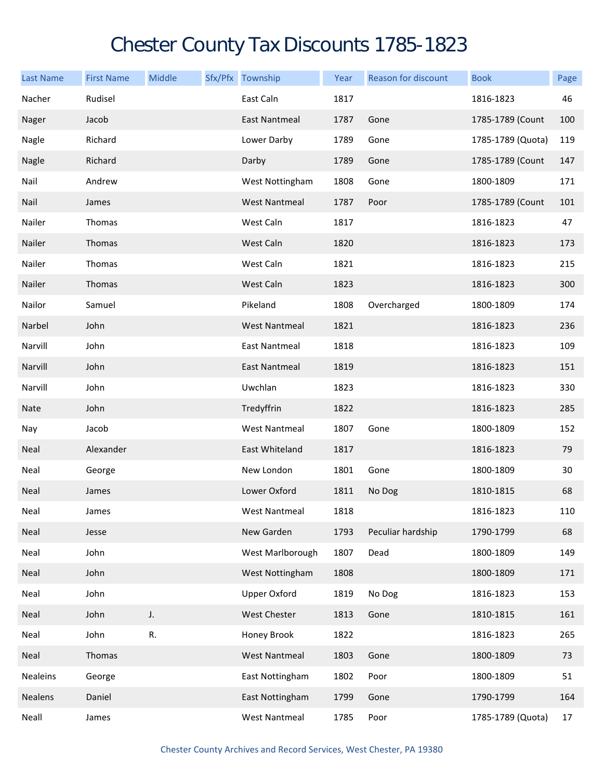## Chester County Tax Discounts 1785-1823

| <b>Last Name</b> | <b>First Name</b> | Middle | Sfx/Pfx Township     | Year | <b>Reason for discount</b> | <b>Book</b>       | Page |
|------------------|-------------------|--------|----------------------|------|----------------------------|-------------------|------|
| Nacher           | Rudisel           |        | East Caln            | 1817 |                            | 1816-1823         | 46   |
| Nager            | Jacob             |        | <b>East Nantmeal</b> | 1787 | Gone                       | 1785-1789 (Count  | 100  |
| Nagle            | Richard           |        | Lower Darby          | 1789 | Gone                       | 1785-1789 (Quota) | 119  |
| Nagle            | Richard           |        | Darby                | 1789 | Gone                       | 1785-1789 (Count  | 147  |
| Nail             | Andrew            |        | West Nottingham      | 1808 | Gone                       | 1800-1809         | 171  |
| Nail             | James             |        | <b>West Nantmeal</b> | 1787 | Poor                       | 1785-1789 (Count  | 101  |
| Nailer           | Thomas            |        | West Caln            | 1817 |                            | 1816-1823         | 47   |
| Nailer           | Thomas            |        | West Caln            | 1820 |                            | 1816-1823         | 173  |
| Nailer           | Thomas            |        | West Caln            | 1821 |                            | 1816-1823         | 215  |
| Nailer           | Thomas            |        | West Caln            | 1823 |                            | 1816-1823         | 300  |
| Nailor           | Samuel            |        | Pikeland             | 1808 | Overcharged                | 1800-1809         | 174  |
| Narbel           | John              |        | <b>West Nantmeal</b> | 1821 |                            | 1816-1823         | 236  |
| Narvill          | John              |        | East Nantmeal        | 1818 |                            | 1816-1823         | 109  |
| Narvill          | John              |        | East Nantmeal        | 1819 |                            | 1816-1823         | 151  |
| Narvill          | John              |        | Uwchlan              | 1823 |                            | 1816-1823         | 330  |
| Nate             | John              |        | Tredyffrin           | 1822 |                            | 1816-1823         | 285  |
| Nay              | Jacob             |        | <b>West Nantmeal</b> | 1807 | Gone                       | 1800-1809         | 152  |
| Neal             | Alexander         |        | East Whiteland       | 1817 |                            | 1816-1823         | 79   |
| Neal             | George            |        | New London           | 1801 | Gone                       | 1800-1809         | 30   |
| Neal             | James             |        | Lower Oxford         | 1811 | No Dog                     | 1810-1815         | 68   |
| Neal             | James             |        | West Nantmeal        | 1818 |                            | 1816-1823         | 110  |
| Neal             | Jesse             |        | New Garden           | 1793 | Peculiar hardship          | 1790-1799         | 68   |
| Neal             | John              |        | West Marlborough     | 1807 | Dead                       | 1800-1809         | 149  |
| Neal             | John              |        | West Nottingham      | 1808 |                            | 1800-1809         | 171  |
| Neal             | John              |        | <b>Upper Oxford</b>  | 1819 | No Dog                     | 1816-1823         | 153  |
| Neal             | John              | J.     | West Chester         | 1813 | Gone                       | 1810-1815         | 161  |
| Neal             | John              | R.     | Honey Brook          | 1822 |                            | 1816-1823         | 265  |
| Neal             | Thomas            |        | <b>West Nantmeal</b> | 1803 | Gone                       | 1800-1809         | 73   |
| Nealeins         | George            |        | East Nottingham      | 1802 | Poor                       | 1800-1809         | 51   |
| Nealens          | Daniel            |        | East Nottingham      | 1799 | Gone                       | 1790-1799         | 164  |
| Neall            | James             |        | <b>West Nantmeal</b> | 1785 | Poor                       | 1785-1789 (Quota) | 17   |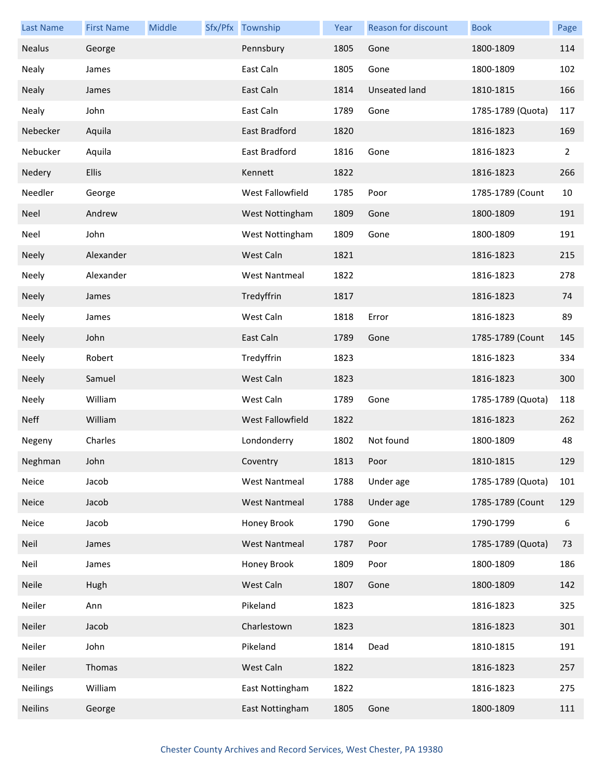| <b>Last Name</b> | <b>First Name</b> | Middle | Sfx/Pfx Township     | Year | Reason for discount  | <b>Book</b>       | Page |
|------------------|-------------------|--------|----------------------|------|----------------------|-------------------|------|
| <b>Nealus</b>    | George            |        | Pennsbury            | 1805 | Gone                 | 1800-1809         | 114  |
| Nealy            | James             |        | East Caln            | 1805 | Gone                 | 1800-1809         | 102  |
| <b>Nealy</b>     | James             |        | East Caln            | 1814 | <b>Unseated land</b> | 1810-1815         | 166  |
| Nealy            | John              |        | East Caln            | 1789 | Gone                 | 1785-1789 (Quota) | 117  |
| Nebecker         | Aquila            |        | East Bradford        | 1820 |                      | 1816-1823         | 169  |
| Nebucker         | Aquila            |        | East Bradford        | 1816 | Gone                 | 1816-1823         | 2    |
| Nedery           | <b>Ellis</b>      |        | Kennett              | 1822 |                      | 1816-1823         | 266  |
| Needler          | George            |        | West Fallowfield     | 1785 | Poor                 | 1785-1789 (Count  | 10   |
| Neel             | Andrew            |        | West Nottingham      | 1809 | Gone                 | 1800-1809         | 191  |
| Neel             | John              |        | West Nottingham      | 1809 | Gone                 | 1800-1809         | 191  |
| <b>Neely</b>     | Alexander         |        | West Caln            | 1821 |                      | 1816-1823         | 215  |
| Neely            | Alexander         |        | <b>West Nantmeal</b> | 1822 |                      | 1816-1823         | 278  |
| <b>Neely</b>     | James             |        | Tredyffrin           | 1817 |                      | 1816-1823         | 74   |
| Neely            | James             |        | West Caln            | 1818 | Error                | 1816-1823         | 89   |
| <b>Neely</b>     | John              |        | East Caln            | 1789 | Gone                 | 1785-1789 (Count  | 145  |
| Neely            | Robert            |        | Tredyffrin           | 1823 |                      | 1816-1823         | 334  |
| <b>Neely</b>     | Samuel            |        | West Caln            | 1823 |                      | 1816-1823         | 300  |
| Neely            | William           |        | West Caln            | 1789 | Gone                 | 1785-1789 (Quota) | 118  |
| <b>Neff</b>      | William           |        | West Fallowfield     | 1822 |                      | 1816-1823         | 262  |
| Negeny           | Charles           |        | Londonderry          | 1802 | Not found            | 1800-1809         | 48   |
| Neghman          | John              |        | Coventry             | 1813 | Poor                 | 1810-1815         | 129  |
| Neice            | Jacob             |        | <b>West Nantmeal</b> | 1788 | Under age            | 1785-1789 (Quota) | 101  |
| <b>Neice</b>     | Jacob             |        | <b>West Nantmeal</b> | 1788 | Under age            | 1785-1789 (Count  | 129  |
| Neice            | Jacob             |        | Honey Brook          | 1790 | Gone                 | 1790-1799         | 6    |
| Neil             | James             |        | <b>West Nantmeal</b> | 1787 | Poor                 | 1785-1789 (Quota) | 73   |
| Neil             | James             |        | Honey Brook          | 1809 | Poor                 | 1800-1809         | 186  |
| <b>Neile</b>     | Hugh              |        | West Caln            | 1807 | Gone                 | 1800-1809         | 142  |
| Neiler           | Ann               |        | Pikeland             | 1823 |                      | 1816-1823         | 325  |
| Neiler           | Jacob             |        | Charlestown          | 1823 |                      | 1816-1823         | 301  |
| Neiler           | John              |        | Pikeland             | 1814 | Dead                 | 1810-1815         | 191  |
| Neiler           | Thomas            |        | West Caln            | 1822 |                      | 1816-1823         | 257  |
| <b>Neilings</b>  | William           |        | East Nottingham      | 1822 |                      | 1816-1823         | 275  |
| <b>Neilins</b>   | George            |        | East Nottingham      | 1805 | Gone                 | 1800-1809         | 111  |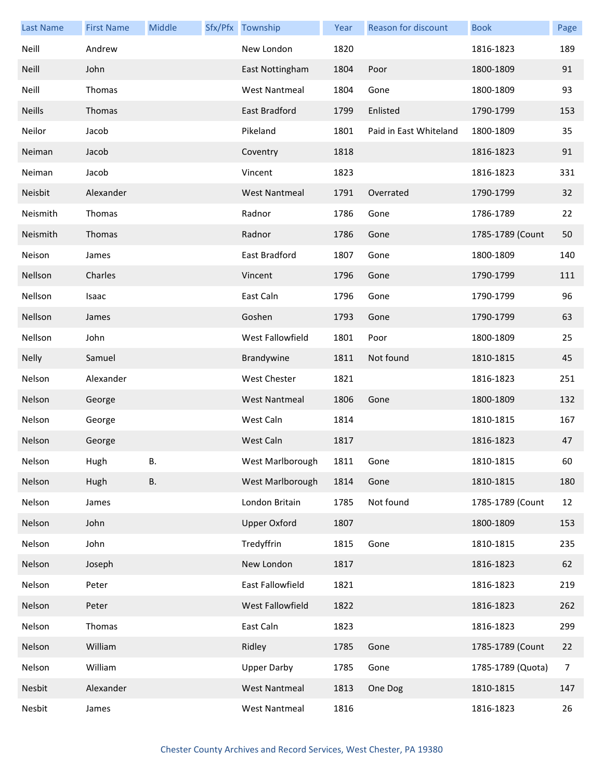| <b>Last Name</b> | <b>First Name</b> | Middle    | Sfx/Pfx Township     | Year | Reason for discount    | <b>Book</b>       | Page           |
|------------------|-------------------|-----------|----------------------|------|------------------------|-------------------|----------------|
| Neill            | Andrew            |           | New London           | 1820 |                        | 1816-1823         | 189            |
| <b>Neill</b>     | John              |           | East Nottingham      | 1804 | Poor                   | 1800-1809         | 91             |
| Neill            | Thomas            |           | <b>West Nantmeal</b> | 1804 | Gone                   | 1800-1809         | 93             |
| <b>Neills</b>    | Thomas            |           | East Bradford        | 1799 | Enlisted               | 1790-1799         | 153            |
| Neilor           | Jacob             |           | Pikeland             | 1801 | Paid in East Whiteland | 1800-1809         | 35             |
| Neiman           | Jacob             |           | Coventry             | 1818 |                        | 1816-1823         | 91             |
| Neiman           | Jacob             |           | Vincent              | 1823 |                        | 1816-1823         | 331            |
| Neisbit          | Alexander         |           | <b>West Nantmeal</b> | 1791 | Overrated              | 1790-1799         | 32             |
| Neismith         | Thomas            |           | Radnor               | 1786 | Gone                   | 1786-1789         | 22             |
| Neismith         | Thomas            |           | Radnor               | 1786 | Gone                   | 1785-1789 (Count  | 50             |
| Neison           | James             |           | East Bradford        | 1807 | Gone                   | 1800-1809         | 140            |
| Nellson          | Charles           |           | Vincent              | 1796 | Gone                   | 1790-1799         | 111            |
| Nellson          | Isaac             |           | East Caln            | 1796 | Gone                   | 1790-1799         | 96             |
| Nellson          | James             |           | Goshen               | 1793 | Gone                   | 1790-1799         | 63             |
| Nellson          | John              |           | West Fallowfield     | 1801 | Poor                   | 1800-1809         | 25             |
| <b>Nelly</b>     | Samuel            |           | Brandywine           | 1811 | Not found              | 1810-1815         | 45             |
| Nelson           | Alexander         |           | West Chester         | 1821 |                        | 1816-1823         | 251            |
| Nelson           | George            |           | <b>West Nantmeal</b> | 1806 | Gone                   | 1800-1809         | 132            |
| Nelson           | George            |           | West Caln            | 1814 |                        | 1810-1815         | 167            |
| Nelson           | George            |           | West Caln            | 1817 |                        | 1816-1823         | 47             |
| Nelson           | Hugh              | В.        | West Marlborough     | 1811 | Gone                   | 1810-1815         | 60             |
| Nelson           | Hugh              | <b>B.</b> | West Marlborough     | 1814 | Gone                   | 1810-1815         | 180            |
| Nelson           | James             |           | London Britain       | 1785 | Not found              | 1785-1789 (Count  | 12             |
| Nelson           | John              |           | <b>Upper Oxford</b>  | 1807 |                        | 1800-1809         | 153            |
| Nelson           | John              |           | Tredyffrin           | 1815 | Gone                   | 1810-1815         | 235            |
| Nelson           | Joseph            |           | New London           | 1817 |                        | 1816-1823         | 62             |
| Nelson           | Peter             |           | East Fallowfield     | 1821 |                        | 1816-1823         | 219            |
| Nelson           | Peter             |           | West Fallowfield     | 1822 |                        | 1816-1823         | 262            |
| Nelson           | Thomas            |           | East Caln            | 1823 |                        | 1816-1823         | 299            |
| Nelson           | William           |           | Ridley               | 1785 | Gone                   | 1785-1789 (Count  | 22             |
| Nelson           | William           |           | <b>Upper Darby</b>   | 1785 | Gone                   | 1785-1789 (Quota) | $\overline{7}$ |
| Nesbit           | Alexander         |           | <b>West Nantmeal</b> | 1813 | One Dog                | 1810-1815         | 147            |
| Nesbit           | James             |           | <b>West Nantmeal</b> | 1816 |                        | 1816-1823         | 26             |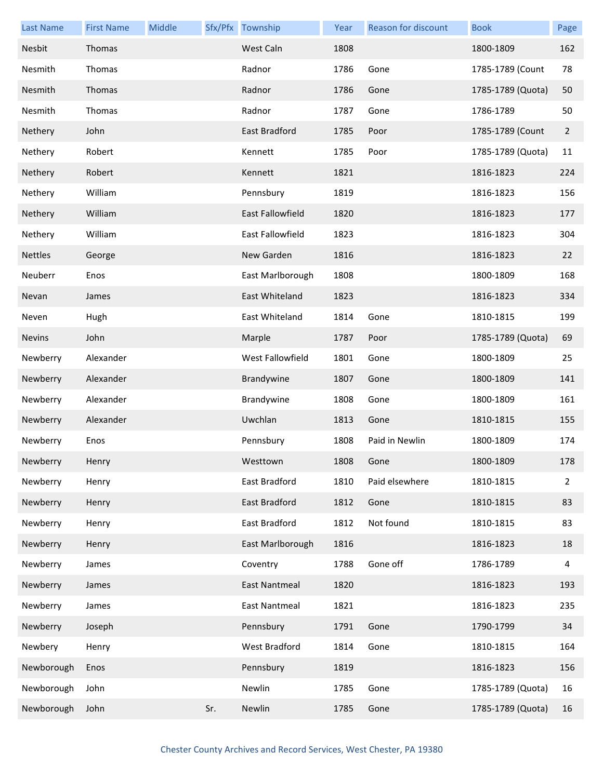| <b>Last Name</b> | <b>First Name</b> | Middle |     | Sfx/Pfx Township        | Year | Reason for discount | <b>Book</b>       | Page           |
|------------------|-------------------|--------|-----|-------------------------|------|---------------------|-------------------|----------------|
| Nesbit           | Thomas            |        |     | West Caln               | 1808 |                     | 1800-1809         | 162            |
| Nesmith          | Thomas            |        |     | Radnor                  | 1786 | Gone                | 1785-1789 (Count  | 78             |
| Nesmith          | Thomas            |        |     | Radnor                  | 1786 | Gone                | 1785-1789 (Quota) | 50             |
| Nesmith          | Thomas            |        |     | Radnor                  | 1787 | Gone                | 1786-1789         | 50             |
| Nethery          | John              |        |     | East Bradford           | 1785 | Poor                | 1785-1789 (Count  | $\overline{2}$ |
| Nethery          | Robert            |        |     | Kennett                 | 1785 | Poor                | 1785-1789 (Quota) | 11             |
| Nethery          | Robert            |        |     | Kennett                 | 1821 |                     | 1816-1823         | 224            |
| Nethery          | William           |        |     | Pennsbury               | 1819 |                     | 1816-1823         | 156            |
| Nethery          | William           |        |     | <b>East Fallowfield</b> | 1820 |                     | 1816-1823         | 177            |
| Nethery          | William           |        |     | East Fallowfield        | 1823 |                     | 1816-1823         | 304            |
| <b>Nettles</b>   | George            |        |     | New Garden              | 1816 |                     | 1816-1823         | 22             |
| Neuberr          | Enos              |        |     | East Marlborough        | 1808 |                     | 1800-1809         | 168            |
| Nevan            | James             |        |     | East Whiteland          | 1823 |                     | 1816-1823         | 334            |
| Neven            | Hugh              |        |     | East Whiteland          | 1814 | Gone                | 1810-1815         | 199            |
| <b>Nevins</b>    | John              |        |     | Marple                  | 1787 | Poor                | 1785-1789 (Quota) | 69             |
| Newberry         | Alexander         |        |     | West Fallowfield        | 1801 | Gone                | 1800-1809         | 25             |
| Newberry         | Alexander         |        |     | Brandywine              | 1807 | Gone                | 1800-1809         | 141            |
| Newberry         | Alexander         |        |     | Brandywine              | 1808 | Gone                | 1800-1809         | 161            |
| Newberry         | Alexander         |        |     | Uwchlan                 | 1813 | Gone                | 1810-1815         | 155            |
| Newberry         | Enos              |        |     | Pennsbury               | 1808 | Paid in Newlin      | 1800-1809         | 174            |
| Newberry         | Henry             |        |     | Westtown                | 1808 | Gone                | 1800-1809         | 178            |
| Newberry         | Henry             |        |     | East Bradford           | 1810 | Paid elsewhere      | 1810-1815         | $\overline{2}$ |
| Newberry         | Henry             |        |     | East Bradford           | 1812 | Gone                | 1810-1815         | 83             |
| Newberry         | Henry             |        |     | East Bradford           | 1812 | Not found           | 1810-1815         | 83             |
| Newberry         | Henry             |        |     | East Marlborough        | 1816 |                     | 1816-1823         | 18             |
| Newberry         | James             |        |     | Coventry                | 1788 | Gone off            | 1786-1789         | 4              |
| Newberry         | James             |        |     | <b>East Nantmeal</b>    | 1820 |                     | 1816-1823         | 193            |
| Newberry         | James             |        |     | <b>East Nantmeal</b>    | 1821 |                     | 1816-1823         | 235            |
| Newberry         | Joseph            |        |     | Pennsbury               | 1791 | Gone                | 1790-1799         | 34             |
| Newbery          | Henry             |        |     | West Bradford           | 1814 | Gone                | 1810-1815         | 164            |
| Newborough       | Enos              |        |     | Pennsbury               | 1819 |                     | 1816-1823         | 156            |
| Newborough       | John              |        |     | Newlin                  | 1785 | Gone                | 1785-1789 (Quota) | 16             |
| Newborough       | John              |        | Sr. | Newlin                  | 1785 | Gone                | 1785-1789 (Quota) | 16             |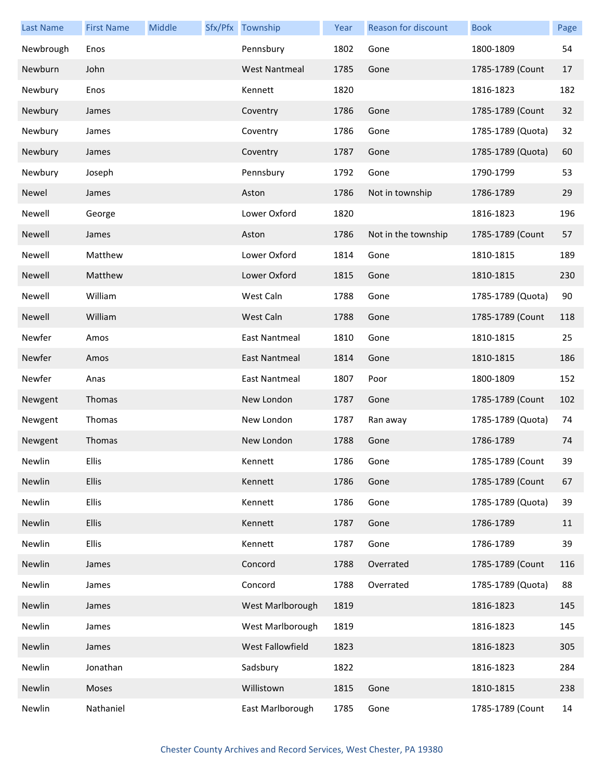| <b>Last Name</b> | <b>First Name</b> | Middle | Sfx/Pfx Township     | Year | Reason for discount | <b>Book</b>       | Page |
|------------------|-------------------|--------|----------------------|------|---------------------|-------------------|------|
| Newbrough        | Enos              |        | Pennsbury            | 1802 | Gone                | 1800-1809         | 54   |
| Newburn          | John              |        | <b>West Nantmeal</b> | 1785 | Gone                | 1785-1789 (Count  | 17   |
| Newbury          | Enos              |        | Kennett              | 1820 |                     | 1816-1823         | 182  |
| Newbury          | James             |        | Coventry             | 1786 | Gone                | 1785-1789 (Count  | 32   |
| Newbury          | James             |        | Coventry             | 1786 | Gone                | 1785-1789 (Quota) | 32   |
| Newbury          | James             |        | Coventry             | 1787 | Gone                | 1785-1789 (Quota) | 60   |
| Newbury          | Joseph            |        | Pennsbury            | 1792 | Gone                | 1790-1799         | 53   |
| Newel            | James             |        | Aston                | 1786 | Not in township     | 1786-1789         | 29   |
| Newell           | George            |        | Lower Oxford         | 1820 |                     | 1816-1823         | 196  |
| Newell           | James             |        | Aston                | 1786 | Not in the township | 1785-1789 (Count  | 57   |
| Newell           | Matthew           |        | Lower Oxford         | 1814 | Gone                | 1810-1815         | 189  |
| Newell           | Matthew           |        | Lower Oxford         | 1815 | Gone                | 1810-1815         | 230  |
| Newell           | William           |        | West Caln            | 1788 | Gone                | 1785-1789 (Quota) | 90   |
| Newell           | William           |        | West Caln            | 1788 | Gone                | 1785-1789 (Count  | 118  |
| Newfer           | Amos              |        | <b>East Nantmeal</b> | 1810 | Gone                | 1810-1815         | 25   |
| Newfer           | Amos              |        | East Nantmeal        | 1814 | Gone                | 1810-1815         | 186  |
| Newfer           | Anas              |        | <b>East Nantmeal</b> | 1807 | Poor                | 1800-1809         | 152  |
| Newgent          | Thomas            |        | New London           | 1787 | Gone                | 1785-1789 (Count  | 102  |
| Newgent          | Thomas            |        | New London           | 1787 | Ran away            | 1785-1789 (Quota) | 74   |
| Newgent          | Thomas            |        | New London           | 1788 | Gone                | 1786-1789         | 74   |
| Newlin           | Ellis             |        | Kennett              | 1786 | Gone                | 1785-1789 (Count  | 39   |
| Newlin           | Ellis             |        | Kennett              | 1786 | Gone                | 1785-1789 (Count  | 67   |
| Newlin           | Ellis             |        | Kennett              | 1786 | Gone                | 1785-1789 (Quota) | 39   |
| Newlin           | Ellis             |        | Kennett              | 1787 | Gone                | 1786-1789         | 11   |
| Newlin           | Ellis             |        | Kennett              | 1787 | Gone                | 1786-1789         | 39   |
| Newlin           | James             |        | Concord              | 1788 | Overrated           | 1785-1789 (Count  | 116  |
| Newlin           | James             |        | Concord              | 1788 | Overrated           | 1785-1789 (Quota) | 88   |
| Newlin           | James             |        | West Marlborough     | 1819 |                     | 1816-1823         | 145  |
| Newlin           | James             |        | West Marlborough     | 1819 |                     | 1816-1823         | 145  |
| Newlin           | James             |        | West Fallowfield     | 1823 |                     | 1816-1823         | 305  |
| Newlin           | Jonathan          |        | Sadsbury             | 1822 |                     | 1816-1823         | 284  |
| Newlin           | Moses             |        | Willistown           | 1815 | Gone                | 1810-1815         | 238  |
| Newlin           | Nathaniel         |        | East Marlborough     | 1785 | Gone                | 1785-1789 (Count  | 14   |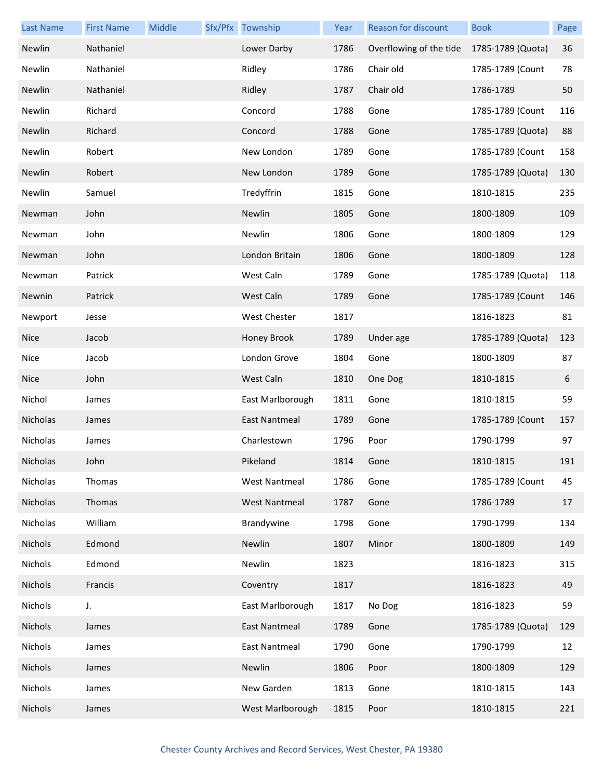| <b>Last Name</b> | <b>First Name</b> | Middle | Sfx/Pfx Township     | Year | Reason for discount     | <b>Book</b>       | Page |
|------------------|-------------------|--------|----------------------|------|-------------------------|-------------------|------|
| Newlin           | Nathaniel         |        | Lower Darby          | 1786 | Overflowing of the tide | 1785-1789 (Quota) | 36   |
| Newlin           | Nathaniel         |        | Ridley               | 1786 | Chair old               | 1785-1789 (Count  | 78   |
| Newlin           | Nathaniel         |        | Ridley               | 1787 | Chair old               | 1786-1789         | 50   |
| Newlin           | Richard           |        | Concord              | 1788 | Gone                    | 1785-1789 (Count  | 116  |
| Newlin           | Richard           |        | Concord              | 1788 | Gone                    | 1785-1789 (Quota) | 88   |
| Newlin           | Robert            |        | New London           | 1789 | Gone                    | 1785-1789 (Count  | 158  |
| Newlin           | Robert            |        | New London           | 1789 | Gone                    | 1785-1789 (Quota) | 130  |
| Newlin           | Samuel            |        | Tredyffrin           | 1815 | Gone                    | 1810-1815         | 235  |
| Newman           | John              |        | Newlin               | 1805 | Gone                    | 1800-1809         | 109  |
| Newman           | John              |        | Newlin               | 1806 | Gone                    | 1800-1809         | 129  |
| Newman           | John              |        | London Britain       | 1806 | Gone                    | 1800-1809         | 128  |
| Newman           | Patrick           |        | West Caln            | 1789 | Gone                    | 1785-1789 (Quota) | 118  |
| Newnin           | Patrick           |        | West Caln            | 1789 | Gone                    | 1785-1789 (Count  | 146  |
| Newport          | Jesse             |        | West Chester         | 1817 |                         | 1816-1823         | 81   |
| <b>Nice</b>      | Jacob             |        | Honey Brook          | 1789 | Under age               | 1785-1789 (Quota) | 123  |
| Nice             | Jacob             |        | London Grove         | 1804 | Gone                    | 1800-1809         | 87   |
| <b>Nice</b>      | John              |        | West Caln            | 1810 | One Dog                 | 1810-1815         | 6    |
| Nichol           | James             |        | East Marlborough     | 1811 | Gone                    | 1810-1815         | 59   |
| Nicholas         | James             |        | <b>East Nantmeal</b> | 1789 | Gone                    | 1785-1789 (Count  | 157  |
| Nicholas         | James             |        | Charlestown          | 1796 | Poor                    | 1790-1799         | 97   |
| Nicholas         | John              |        | Pikeland             | 1814 | Gone                    | 1810-1815         | 191  |
| Nicholas         | Thomas            |        | <b>West Nantmeal</b> | 1786 | Gone                    | 1785-1789 (Count  | 45   |
| Nicholas         | Thomas            |        | <b>West Nantmeal</b> | 1787 | Gone                    | 1786-1789         | 17   |
| Nicholas         | William           |        | Brandywine           | 1798 | Gone                    | 1790-1799         | 134  |
| Nichols          | Edmond            |        | Newlin               | 1807 | Minor                   | 1800-1809         | 149  |
| Nichols          | Edmond            |        | Newlin               | 1823 |                         | 1816-1823         | 315  |
| Nichols          | Francis           |        | Coventry             | 1817 |                         | 1816-1823         | 49   |
| Nichols          | J.                |        | East Marlborough     | 1817 | No Dog                  | 1816-1823         | 59   |
| Nichols          | James             |        | East Nantmeal        | 1789 | Gone                    | 1785-1789 (Quota) | 129  |
| Nichols          | James             |        | East Nantmeal        | 1790 | Gone                    | 1790-1799         | 12   |
| Nichols          | James             |        | Newlin               | 1806 | Poor                    | 1800-1809         | 129  |
| Nichols          | James             |        | New Garden           | 1813 | Gone                    | 1810-1815         | 143  |
| Nichols          | James             |        | West Marlborough     | 1815 | Poor                    | 1810-1815         | 221  |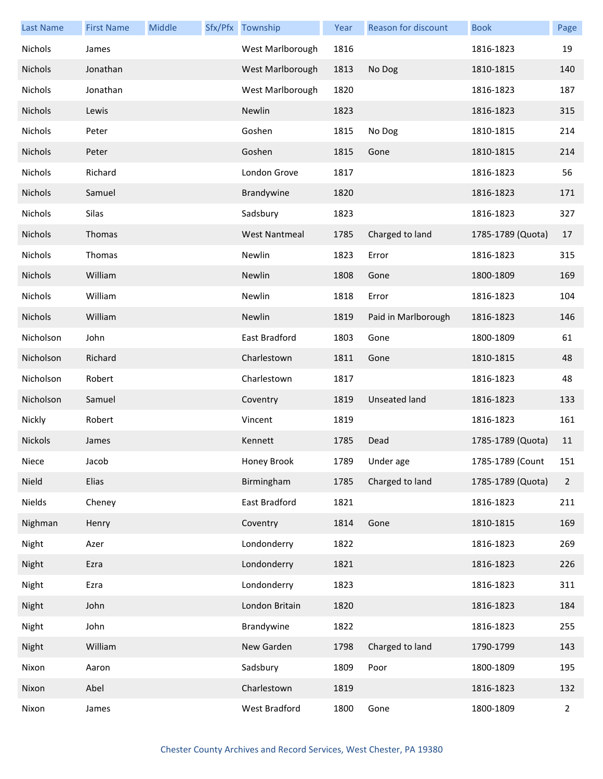| <b>Last Name</b> | <b>First Name</b> | Middle | Sfx/Pfx Township     | Year | Reason for discount  | <b>Book</b>       | Page           |
|------------------|-------------------|--------|----------------------|------|----------------------|-------------------|----------------|
| Nichols          | James             |        | West Marlborough     | 1816 |                      | 1816-1823         | 19             |
| Nichols          | Jonathan          |        | West Marlborough     | 1813 | No Dog               | 1810-1815         | 140            |
| Nichols          | Jonathan          |        | West Marlborough     | 1820 |                      | 1816-1823         | 187            |
| Nichols          | Lewis             |        | Newlin               | 1823 |                      | 1816-1823         | 315            |
| Nichols          | Peter             |        | Goshen               | 1815 | No Dog               | 1810-1815         | 214            |
| Nichols          | Peter             |        | Goshen               | 1815 | Gone                 | 1810-1815         | 214            |
| Nichols          | Richard           |        | London Grove         | 1817 |                      | 1816-1823         | 56             |
| Nichols          | Samuel            |        | Brandywine           | 1820 |                      | 1816-1823         | 171            |
| Nichols          | Silas             |        | Sadsbury             | 1823 |                      | 1816-1823         | 327            |
| Nichols          | Thomas            |        | <b>West Nantmeal</b> | 1785 | Charged to land      | 1785-1789 (Quota) | 17             |
| Nichols          | Thomas            |        | Newlin               | 1823 | Error                | 1816-1823         | 315            |
| Nichols          | William           |        | Newlin               | 1808 | Gone                 | 1800-1809         | 169            |
| Nichols          | William           |        | Newlin               | 1818 | Error                | 1816-1823         | 104            |
| Nichols          | William           |        | Newlin               | 1819 | Paid in Marlborough  | 1816-1823         | 146            |
| Nicholson        | John              |        | East Bradford        | 1803 | Gone                 | 1800-1809         | 61             |
| Nicholson        | Richard           |        | Charlestown          | 1811 | Gone                 | 1810-1815         | 48             |
| Nicholson        | Robert            |        | Charlestown          | 1817 |                      | 1816-1823         | 48             |
| Nicholson        | Samuel            |        | Coventry             | 1819 | <b>Unseated land</b> | 1816-1823         | 133            |
| Nickly           | Robert            |        | Vincent              | 1819 |                      | 1816-1823         | 161            |
| Nickols          | James             |        | Kennett              | 1785 | Dead                 | 1785-1789 (Quota) | 11             |
| Niece            | Jacob             |        | Honey Brook          | 1789 | Under age            | 1785-1789 (Count  | 151            |
| Nield            | Elias             |        | Birmingham           | 1785 | Charged to land      | 1785-1789 (Quota) | $\overline{2}$ |
| Nields           | Cheney            |        | East Bradford        | 1821 |                      | 1816-1823         | 211            |
| Nighman          | Henry             |        | Coventry             | 1814 | Gone                 | 1810-1815         | 169            |
| Night            | Azer              |        | Londonderry          | 1822 |                      | 1816-1823         | 269            |
| Night            | Ezra              |        | Londonderry          | 1821 |                      | 1816-1823         | 226            |
| Night            | Ezra              |        | Londonderry          | 1823 |                      | 1816-1823         | 311            |
| Night            | John              |        | London Britain       | 1820 |                      | 1816-1823         | 184            |
| Night            | John              |        | Brandywine           | 1822 |                      | 1816-1823         | 255            |
| Night            | William           |        | New Garden           | 1798 | Charged to land      | 1790-1799         | 143            |
| Nixon            | Aaron             |        | Sadsbury             | 1809 | Poor                 | 1800-1809         | 195            |
| Nixon            | Abel              |        | Charlestown          | 1819 |                      | 1816-1823         | 132            |
| Nixon            | James             |        | West Bradford        | 1800 | Gone                 | 1800-1809         | $\overline{2}$ |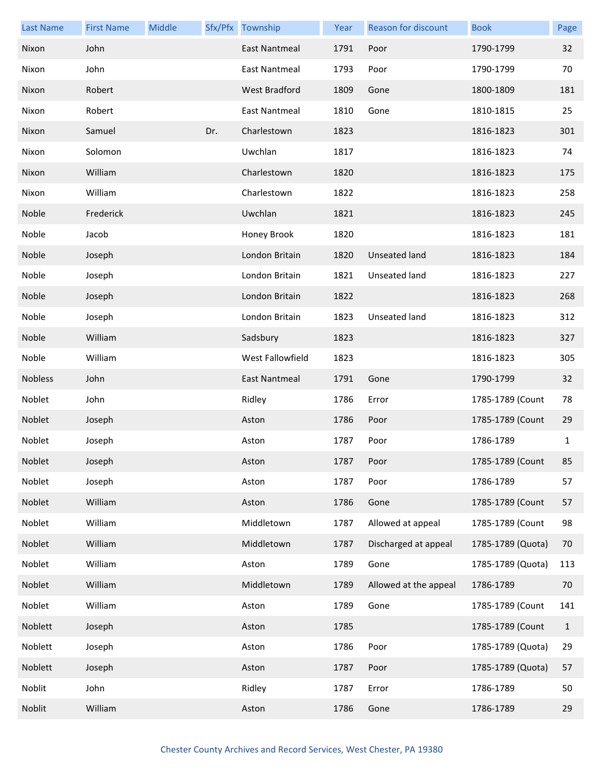| <b>Last Name</b> | <b>First Name</b> | Middle |     | Sfx/Pfx Township     | Year | Reason for discount   | <b>Book</b>       | Page         |
|------------------|-------------------|--------|-----|----------------------|------|-----------------------|-------------------|--------------|
| Nixon            | John              |        |     | <b>East Nantmeal</b> | 1791 | Poor                  | 1790-1799         | 32           |
| Nixon            | John              |        |     | East Nantmeal        | 1793 | Poor                  | 1790-1799         | 70           |
| Nixon            | Robert            |        |     | West Bradford        | 1809 | Gone                  | 1800-1809         | 181          |
| Nixon            | Robert            |        |     | East Nantmeal        | 1810 | Gone                  | 1810-1815         | 25           |
| Nixon            | Samuel            |        | Dr. | Charlestown          | 1823 |                       | 1816-1823         | 301          |
| Nixon            | Solomon           |        |     | Uwchlan              | 1817 |                       | 1816-1823         | 74           |
| Nixon            | William           |        |     | Charlestown          | 1820 |                       | 1816-1823         | 175          |
| Nixon            | William           |        |     | Charlestown          | 1822 |                       | 1816-1823         | 258          |
| Noble            | Frederick         |        |     | Uwchlan              | 1821 |                       | 1816-1823         | 245          |
| Noble            | Jacob             |        |     | Honey Brook          | 1820 |                       | 1816-1823         | 181          |
| Noble            | Joseph            |        |     | London Britain       | 1820 | Unseated land         | 1816-1823         | 184          |
| Noble            | Joseph            |        |     | London Britain       | 1821 | Unseated land         | 1816-1823         | 227          |
| Noble            | Joseph            |        |     | London Britain       | 1822 |                       | 1816-1823         | 268          |
| Noble            | Joseph            |        |     | London Britain       | 1823 | Unseated land         | 1816-1823         | 312          |
| Noble            | William           |        |     | Sadsbury             | 1823 |                       | 1816-1823         | 327          |
| Noble            | William           |        |     | West Fallowfield     | 1823 |                       | 1816-1823         | 305          |
| Nobless          | John              |        |     | East Nantmeal        | 1791 | Gone                  | 1790-1799         | 32           |
| Noblet           | John              |        |     | Ridley               | 1786 | Error                 | 1785-1789 (Count  | 78           |
| Noblet           | Joseph            |        |     | Aston                | 1786 | Poor                  | 1785-1789 (Count  | 29           |
| Noblet           | Joseph            |        |     | Aston                | 1787 | Poor                  | 1786-1789         | $\mathbf{1}$ |
| Noblet           | Joseph            |        |     | Aston                | 1787 | Poor                  | 1785-1789 (Count  | 85           |
| Noblet           | Joseph            |        |     | Aston                | 1787 | Poor                  | 1786-1789         | 57           |
| Noblet           | William           |        |     | Aston                | 1786 | Gone                  | 1785-1789 (Count  | 57           |
| Noblet           | William           |        |     | Middletown           | 1787 | Allowed at appeal     | 1785-1789 (Count  | 98           |
| Noblet           | William           |        |     | Middletown           | 1787 | Discharged at appeal  | 1785-1789 (Quota) | 70           |
| Noblet           | William           |        |     | Aston                | 1789 | Gone                  | 1785-1789 (Quota) | 113          |
| Noblet           | William           |        |     | Middletown           | 1789 | Allowed at the appeal | 1786-1789         | 70           |
| Noblet           | William           |        |     | Aston                | 1789 | Gone                  | 1785-1789 (Count  | 141          |
| Noblett          | Joseph            |        |     | Aston                | 1785 |                       | 1785-1789 (Count  | $\mathbf{1}$ |
| Noblett          | Joseph            |        |     | Aston                | 1786 | Poor                  | 1785-1789 (Quota) | 29           |
| Noblett          | Joseph            |        |     | Aston                | 1787 | Poor                  | 1785-1789 (Quota) | 57           |
| Noblit           | John              |        |     | Ridley               | 1787 | Error                 | 1786-1789         | 50           |
| Noblit           | William           |        |     | Aston                | 1786 | Gone                  | 1786-1789         | 29           |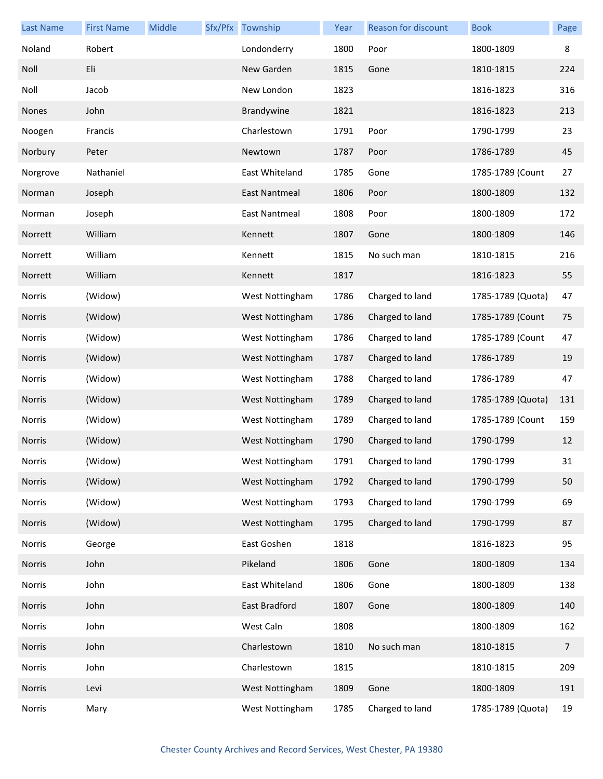| <b>Last Name</b> | <b>First Name</b> | Middle | Sfx/Pfx Township | Year | Reason for discount | <b>Book</b>       | Page           |
|------------------|-------------------|--------|------------------|------|---------------------|-------------------|----------------|
| Noland           | Robert            |        | Londonderry      | 1800 | Poor                | 1800-1809         | 8              |
| Noll             | Eli               |        | New Garden       | 1815 | Gone                | 1810-1815         | 224            |
| Noll             | Jacob             |        | New London       | 1823 |                     | 1816-1823         | 316            |
| Nones            | John              |        | Brandywine       | 1821 |                     | 1816-1823         | 213            |
| Noogen           | Francis           |        | Charlestown      | 1791 | Poor                | 1790-1799         | 23             |
| Norbury          | Peter             |        | Newtown          | 1787 | Poor                | 1786-1789         | 45             |
| Norgrove         | Nathaniel         |        | East Whiteland   | 1785 | Gone                | 1785-1789 (Count  | 27             |
| Norman           | Joseph            |        | East Nantmeal    | 1806 | Poor                | 1800-1809         | 132            |
| Norman           | Joseph            |        | East Nantmeal    | 1808 | Poor                | 1800-1809         | 172            |
| Norrett          | William           |        | Kennett          | 1807 | Gone                | 1800-1809         | 146            |
| Norrett          | William           |        | Kennett          | 1815 | No such man         | 1810-1815         | 216            |
| Norrett          | William           |        | Kennett          | 1817 |                     | 1816-1823         | 55             |
| Norris           | (Widow)           |        | West Nottingham  | 1786 | Charged to land     | 1785-1789 (Quota) | 47             |
| Norris           | (Widow)           |        | West Nottingham  | 1786 | Charged to land     | 1785-1789 (Count  | 75             |
| Norris           | (Widow)           |        | West Nottingham  | 1786 | Charged to land     | 1785-1789 (Count  | 47             |
| Norris           | (Widow)           |        | West Nottingham  | 1787 | Charged to land     | 1786-1789         | 19             |
| Norris           | (Widow)           |        | West Nottingham  | 1788 | Charged to land     | 1786-1789         | 47             |
| Norris           | (Widow)           |        | West Nottingham  | 1789 | Charged to land     | 1785-1789 (Quota) | 131            |
| Norris           | (Widow)           |        | West Nottingham  | 1789 | Charged to land     | 1785-1789 (Count  | 159            |
| <b>Norris</b>    | (Widow)           |        | West Nottingham  | 1790 | Charged to land     | 1790-1799         | 12             |
| Norris           | (Widow)           |        | West Nottingham  | 1791 | Charged to land     | 1790-1799         | 31             |
| Norris           | (Widow)           |        | West Nottingham  | 1792 | Charged to land     | 1790-1799         | 50             |
| Norris           | (Widow)           |        | West Nottingham  | 1793 | Charged to land     | 1790-1799         | 69             |
| Norris           | (Widow)           |        | West Nottingham  | 1795 | Charged to land     | 1790-1799         | 87             |
| Norris           | George            |        | East Goshen      | 1818 |                     | 1816-1823         | 95             |
| Norris           | John              |        | Pikeland         | 1806 | Gone                | 1800-1809         | 134            |
| Norris           | John              |        | East Whiteland   | 1806 | Gone                | 1800-1809         | 138            |
| Norris           | John              |        | East Bradford    | 1807 | Gone                | 1800-1809         | 140            |
| Norris           | John              |        | West Caln        | 1808 |                     | 1800-1809         | 162            |
| Norris           | John              |        | Charlestown      | 1810 | No such man         | 1810-1815         | $\overline{7}$ |
| Norris           | John              |        | Charlestown      | 1815 |                     | 1810-1815         | 209            |
| Norris           | Levi              |        | West Nottingham  | 1809 | Gone                | 1800-1809         | 191            |
| Norris           | Mary              |        | West Nottingham  | 1785 | Charged to land     | 1785-1789 (Quota) | 19             |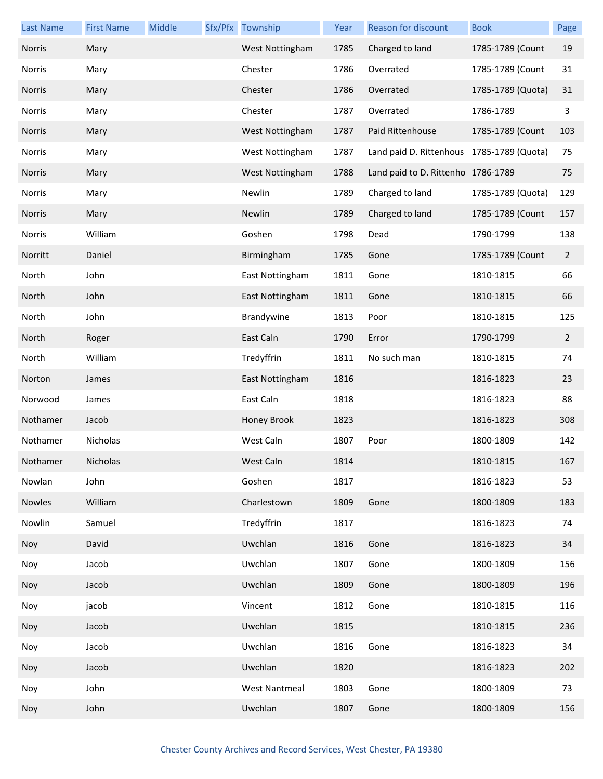| <b>Last Name</b> | <b>First Name</b> | Middle | Sfx/Pfx Township     | Year | Reason for discount                       | <b>Book</b>       | Page           |
|------------------|-------------------|--------|----------------------|------|-------------------------------------------|-------------------|----------------|
| <b>Norris</b>    | Mary              |        | West Nottingham      | 1785 | Charged to land                           | 1785-1789 (Count  | 19             |
| Norris           | Mary              |        | Chester              | 1786 | Overrated                                 | 1785-1789 (Count  | 31             |
| Norris           | Mary              |        | Chester              | 1786 | Overrated                                 | 1785-1789 (Quota) | 31             |
| Norris           | Mary              |        | Chester              | 1787 | Overrated                                 | 1786-1789         | 3              |
| Norris           | Mary              |        | West Nottingham      | 1787 | Paid Rittenhouse                          | 1785-1789 (Count  | 103            |
| Norris           | Mary              |        | West Nottingham      | 1787 | Land paid D. Rittenhous 1785-1789 (Quota) |                   | 75             |
| Norris           | Mary              |        | West Nottingham      | 1788 | Land paid to D. Rittenho 1786-1789        |                   | 75             |
| Norris           | Mary              |        | Newlin               | 1789 | Charged to land                           | 1785-1789 (Quota) | 129            |
| Norris           | Mary              |        | Newlin               | 1789 | Charged to land                           | 1785-1789 (Count  | 157            |
| Norris           | William           |        | Goshen               | 1798 | Dead                                      | 1790-1799         | 138            |
| Norritt          | Daniel            |        | Birmingham           | 1785 | Gone                                      | 1785-1789 (Count  | $\overline{2}$ |
| North            | John              |        | East Nottingham      | 1811 | Gone                                      | 1810-1815         | 66             |
| North            | John              |        | East Nottingham      | 1811 | Gone                                      | 1810-1815         | 66             |
| North            | John              |        | Brandywine           | 1813 | Poor                                      | 1810-1815         | 125            |
| North            | Roger             |        | East Caln            | 1790 | Error                                     | 1790-1799         | $\overline{2}$ |
| North            | William           |        | Tredyffrin           | 1811 | No such man                               | 1810-1815         | 74             |
| Norton           | James             |        | East Nottingham      | 1816 |                                           | 1816-1823         | 23             |
| Norwood          | James             |        | East Caln            | 1818 |                                           | 1816-1823         | 88             |
| Nothamer         | Jacob             |        | Honey Brook          | 1823 |                                           | 1816-1823         | 308            |
| Nothamer         | Nicholas          |        | West Caln            | 1807 | Poor                                      | 1800-1809         | 142            |
| Nothamer         | Nicholas          |        | West Caln            | 1814 |                                           | 1810-1815         | 167            |
| Nowlan           | John              |        | Goshen               | 1817 |                                           | 1816-1823         | 53             |
| Nowles           | William           |        | Charlestown          | 1809 | Gone                                      | 1800-1809         | 183            |
| Nowlin           | Samuel            |        | Tredyffrin           | 1817 |                                           | 1816-1823         | 74             |
| Noy              | David             |        | Uwchlan              | 1816 | Gone                                      | 1816-1823         | 34             |
| Noy              | Jacob             |        | Uwchlan              | 1807 | Gone                                      | 1800-1809         | 156            |
| Noy              | Jacob             |        | Uwchlan              | 1809 | Gone                                      | 1800-1809         | 196            |
| Noy              | jacob             |        | Vincent              | 1812 | Gone                                      | 1810-1815         | 116            |
| Noy              | Jacob             |        | Uwchlan              | 1815 |                                           | 1810-1815         | 236            |
| Noy              | Jacob             |        | Uwchlan              | 1816 | Gone                                      | 1816-1823         | 34             |
| Noy              | Jacob             |        | Uwchlan              | 1820 |                                           | 1816-1823         | 202            |
| Noy              | John              |        | <b>West Nantmeal</b> | 1803 | Gone                                      | 1800-1809         | 73             |
| Noy              | John              |        | Uwchlan              | 1807 | Gone                                      | 1800-1809         | 156            |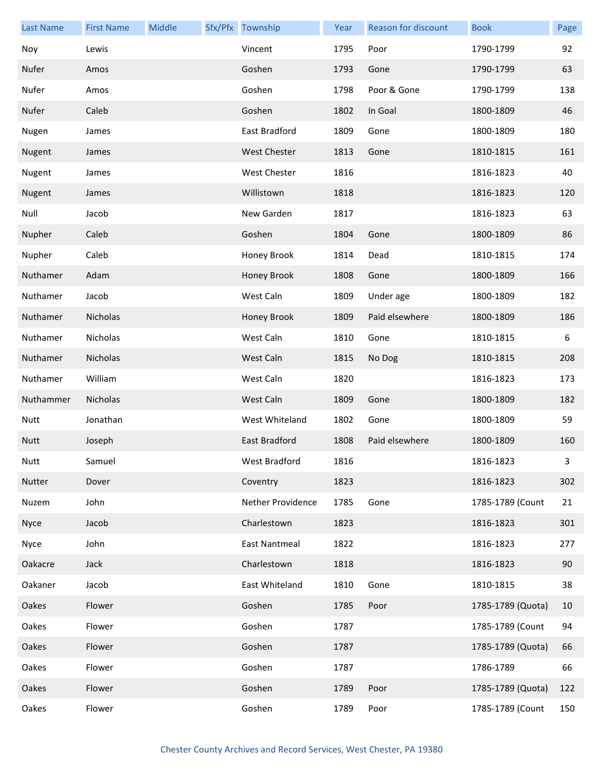| <b>Last Name</b> | <b>First Name</b> | Middle | Sfx/Pfx Township    | Year | <b>Reason for discount</b> | <b>Book</b>       | Page |
|------------------|-------------------|--------|---------------------|------|----------------------------|-------------------|------|
| Noy              | Lewis             |        | Vincent             | 1795 | Poor                       | 1790-1799         | 92   |
| Nufer            | Amos              |        | Goshen              | 1793 | Gone                       | 1790-1799         | 63   |
| Nufer            | Amos              |        | Goshen              | 1798 | Poor & Gone                | 1790-1799         | 138  |
| Nufer            | Caleb             |        | Goshen              | 1802 | In Goal                    | 1800-1809         | 46   |
| Nugen            | James             |        | East Bradford       | 1809 | Gone                       | 1800-1809         | 180  |
| Nugent           | James             |        | <b>West Chester</b> | 1813 | Gone                       | 1810-1815         | 161  |
| Nugent           | James             |        | West Chester        | 1816 |                            | 1816-1823         | 40   |
| Nugent           | James             |        | Willistown          | 1818 |                            | 1816-1823         | 120  |
| Null             | Jacob             |        | New Garden          | 1817 |                            | 1816-1823         | 63   |
| Nupher           | Caleb             |        | Goshen              | 1804 | Gone                       | 1800-1809         | 86   |
| Nupher           | Caleb             |        | Honey Brook         | 1814 | Dead                       | 1810-1815         | 174  |
| Nuthamer         | Adam              |        | Honey Brook         | 1808 | Gone                       | 1800-1809         | 166  |
| Nuthamer         | Jacob             |        | West Caln           | 1809 | Under age                  | 1800-1809         | 182  |
| Nuthamer         | Nicholas          |        | Honey Brook         | 1809 | Paid elsewhere             | 1800-1809         | 186  |
| Nuthamer         | Nicholas          |        | West Caln           | 1810 | Gone                       | 1810-1815         | 6    |
| Nuthamer         | Nicholas          |        | West Caln           | 1815 | No Dog                     | 1810-1815         | 208  |
| Nuthamer         | William           |        | West Caln           | 1820 |                            | 1816-1823         | 173  |
| Nuthammer        | Nicholas          |        | West Caln           | 1809 | Gone                       | 1800-1809         | 182  |
| <b>Nutt</b>      | Jonathan          |        | West Whiteland      | 1802 | Gone                       | 1800-1809         | 59   |
| <b>Nutt</b>      | Joseph            |        | East Bradford       | 1808 | Paid elsewhere             | 1800-1809         | 160  |
| Nutt             | Samuel            |        | West Bradford       | 1816 |                            | 1816-1823         | 3    |
| Nutter           | Dover             |        | Coventry            | 1823 |                            | 1816-1823         | 302  |
| Nuzem            | John              |        | Nether Providence   | 1785 | Gone                       | 1785-1789 (Count  | 21   |
| <b>Nyce</b>      | Jacob             |        | Charlestown         | 1823 |                            | 1816-1823         | 301  |
| Nyce             | John              |        | East Nantmeal       | 1822 |                            | 1816-1823         | 277  |
| Oakacre          | Jack              |        | Charlestown         | 1818 |                            | 1816-1823         | 90   |
| Oakaner          | Jacob             |        | East Whiteland      | 1810 | Gone                       | 1810-1815         | 38   |
| Oakes            | Flower            |        | Goshen              | 1785 | Poor                       | 1785-1789 (Quota) | 10   |
| Oakes            | Flower            |        | Goshen              | 1787 |                            | 1785-1789 (Count  | 94   |
| Oakes            | Flower            |        | Goshen              | 1787 |                            | 1785-1789 (Quota) | 66   |
| Oakes            | Flower            |        | Goshen              | 1787 |                            | 1786-1789         | 66   |
| Oakes            | Flower            |        | Goshen              | 1789 | Poor                       | 1785-1789 (Quota) | 122  |
| Oakes            | Flower            |        | Goshen              | 1789 | Poor                       | 1785-1789 (Count  | 150  |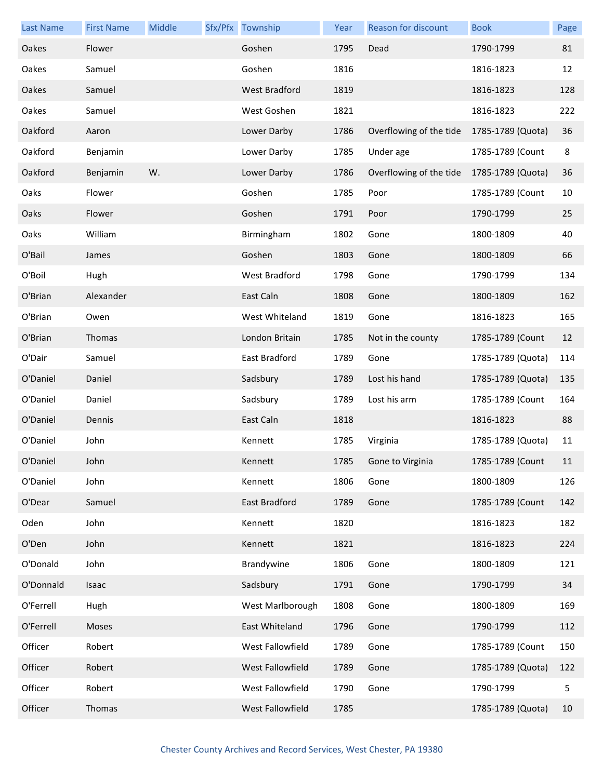| <b>Last Name</b> | <b>First Name</b> | Middle | Sfx/Pfx Township     | Year | <b>Reason for discount</b> | <b>Book</b>       | Page |
|------------------|-------------------|--------|----------------------|------|----------------------------|-------------------|------|
| Oakes            | Flower            |        | Goshen               | 1795 | Dead                       | 1790-1799         | 81   |
| Oakes            | Samuel            |        | Goshen               | 1816 |                            | 1816-1823         | 12   |
| Oakes            | Samuel            |        | <b>West Bradford</b> | 1819 |                            | 1816-1823         | 128  |
| Oakes            | Samuel            |        | West Goshen          | 1821 |                            | 1816-1823         | 222  |
| Oakford          | Aaron             |        | Lower Darby          | 1786 | Overflowing of the tide    | 1785-1789 (Quota) | 36   |
| Oakford          | Benjamin          |        | Lower Darby          | 1785 | Under age                  | 1785-1789 (Count  | 8    |
| Oakford          | Benjamin          | W.     | Lower Darby          | 1786 | Overflowing of the tide    | 1785-1789 (Quota) | 36   |
| Oaks             | Flower            |        | Goshen               | 1785 | Poor                       | 1785-1789 (Count  | 10   |
| Oaks             | Flower            |        | Goshen               | 1791 | Poor                       | 1790-1799         | 25   |
| Oaks             | William           |        | Birmingham           | 1802 | Gone                       | 1800-1809         | 40   |
| O'Bail           | James             |        | Goshen               | 1803 | Gone                       | 1800-1809         | 66   |
| O'Boil           | Hugh              |        | West Bradford        | 1798 | Gone                       | 1790-1799         | 134  |
| O'Brian          | Alexander         |        | East Caln            | 1808 | Gone                       | 1800-1809         | 162  |
| O'Brian          | Owen              |        | West Whiteland       | 1819 | Gone                       | 1816-1823         | 165  |
| O'Brian          | Thomas            |        | London Britain       | 1785 | Not in the county          | 1785-1789 (Count  | 12   |
| O'Dair           | Samuel            |        | East Bradford        | 1789 | Gone                       | 1785-1789 (Quota) | 114  |
| O'Daniel         | Daniel            |        | Sadsbury             | 1789 | Lost his hand              | 1785-1789 (Quota) | 135  |
| O'Daniel         | Daniel            |        | Sadsbury             | 1789 | Lost his arm               | 1785-1789 (Count  | 164  |
| O'Daniel         | Dennis            |        | East Caln            | 1818 |                            | 1816-1823         | 88   |
| O'Daniel         | John              |        | Kennett              | 1785 | Virginia                   | 1785-1789 (Quota) | 11   |
| O'Daniel         | John              |        | Kennett              | 1785 | Gone to Virginia           | 1785-1789 (Count  | 11   |
| O'Daniel         | John              |        | Kennett              | 1806 | Gone                       | 1800-1809         | 126  |
| O'Dear           | Samuel            |        | East Bradford        | 1789 | Gone                       | 1785-1789 (Count  | 142  |
| Oden             | John              |        | Kennett              | 1820 |                            | 1816-1823         | 182  |
| O'Den            | John              |        | Kennett              | 1821 |                            | 1816-1823         | 224  |
| O'Donald         | John              |        | Brandywine           | 1806 | Gone                       | 1800-1809         | 121  |
| O'Donnald        | Isaac             |        | Sadsbury             | 1791 | Gone                       | 1790-1799         | 34   |
| O'Ferrell        | Hugh              |        | West Marlborough     | 1808 | Gone                       | 1800-1809         | 169  |
| O'Ferrell        | Moses             |        | East Whiteland       | 1796 | Gone                       | 1790-1799         | 112  |
| Officer          | Robert            |        | West Fallowfield     | 1789 | Gone                       | 1785-1789 (Count  | 150  |
| Officer          | Robert            |        | West Fallowfield     | 1789 | Gone                       | 1785-1789 (Quota) | 122  |
| Officer          | Robert            |        | West Fallowfield     | 1790 | Gone                       | 1790-1799         | 5    |
| Officer          | Thomas            |        | West Fallowfield     | 1785 |                            | 1785-1789 (Quota) | 10   |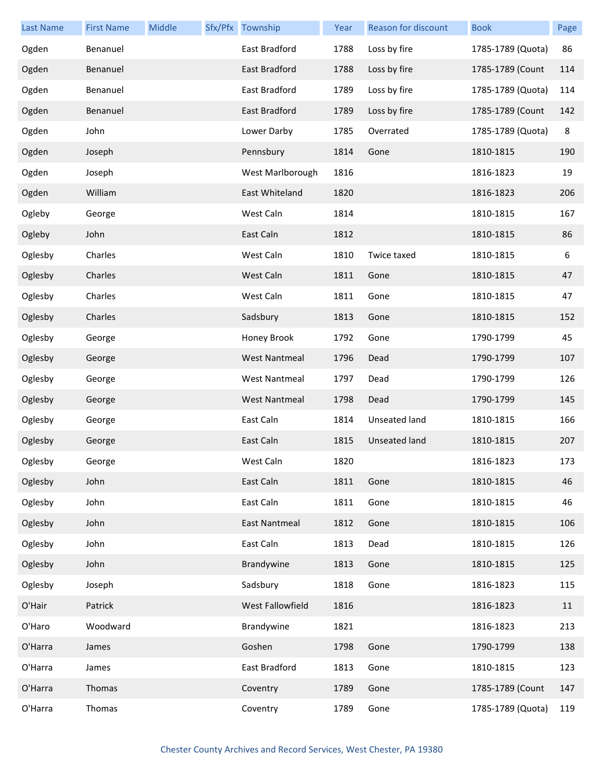| <b>Last Name</b> | <b>First Name</b> | Middle | Sfx/Pfx Township     | Year | <b>Reason for discount</b> | <b>Book</b>       | Page    |
|------------------|-------------------|--------|----------------------|------|----------------------------|-------------------|---------|
| Ogden            | Benanuel          |        | East Bradford        | 1788 | Loss by fire               | 1785-1789 (Quota) | 86      |
| Ogden            | Benanuel          |        | East Bradford        | 1788 | Loss by fire               | 1785-1789 (Count  | 114     |
| Ogden            | Benanuel          |        | East Bradford        | 1789 | Loss by fire               | 1785-1789 (Quota) | 114     |
| Ogden            | Benanuel          |        | East Bradford        | 1789 | Loss by fire               | 1785-1789 (Count  | 142     |
| Ogden            | John              |        | Lower Darby          | 1785 | Overrated                  | 1785-1789 (Quota) | $\,8\,$ |
| Ogden            | Joseph            |        | Pennsbury            | 1814 | Gone                       | 1810-1815         | 190     |
| Ogden            | Joseph            |        | West Marlborough     | 1816 |                            | 1816-1823         | 19      |
| Ogden            | William           |        | East Whiteland       | 1820 |                            | 1816-1823         | 206     |
| Ogleby           | George            |        | West Caln            | 1814 |                            | 1810-1815         | 167     |
| Ogleby           | John              |        | East Caln            | 1812 |                            | 1810-1815         | 86      |
| Oglesby          | Charles           |        | West Caln            | 1810 | Twice taxed                | 1810-1815         | 6       |
| Oglesby          | Charles           |        | West Caln            | 1811 | Gone                       | 1810-1815         | 47      |
| Oglesby          | Charles           |        | West Caln            | 1811 | Gone                       | 1810-1815         | 47      |
| Oglesby          | Charles           |        | Sadsbury             | 1813 | Gone                       | 1810-1815         | 152     |
| Oglesby          | George            |        | Honey Brook          | 1792 | Gone                       | 1790-1799         | 45      |
| Oglesby          | George            |        | <b>West Nantmeal</b> | 1796 | Dead                       | 1790-1799         | 107     |
| Oglesby          | George            |        | <b>West Nantmeal</b> | 1797 | Dead                       | 1790-1799         | 126     |
| Oglesby          | George            |        | <b>West Nantmeal</b> | 1798 | Dead                       | 1790-1799         | 145     |
| Oglesby          | George            |        | East Caln            | 1814 | Unseated land              | 1810-1815         | 166     |
| Oglesby          | George            |        | East Caln            | 1815 | <b>Unseated land</b>       | 1810-1815         | 207     |
| Oglesby          | George            |        | West Caln            | 1820 |                            | 1816-1823         | 173     |
| Oglesby          | John              |        | East Caln            | 1811 | Gone                       | 1810-1815         | 46      |
| Oglesby          | John              |        | East Caln            | 1811 | Gone                       | 1810-1815         | 46      |
| Oglesby          | John              |        | East Nantmeal        | 1812 | Gone                       | 1810-1815         | 106     |
| Oglesby          | John              |        | East Caln            | 1813 | Dead                       | 1810-1815         | 126     |
| Oglesby          | John              |        | Brandywine           | 1813 | Gone                       | 1810-1815         | 125     |
| Oglesby          | Joseph            |        | Sadsbury             | 1818 | Gone                       | 1816-1823         | 115     |
| O'Hair           | Patrick           |        | West Fallowfield     | 1816 |                            | 1816-1823         | 11      |
| O'Haro           | Woodward          |        | Brandywine           | 1821 |                            | 1816-1823         | 213     |
| O'Harra          | James             |        | Goshen               | 1798 | Gone                       | 1790-1799         | 138     |
| O'Harra          | James             |        | East Bradford        | 1813 | Gone                       | 1810-1815         | 123     |
| O'Harra          | Thomas            |        | Coventry             | 1789 | Gone                       | 1785-1789 (Count  | 147     |
| O'Harra          | Thomas            |        | Coventry             | 1789 | Gone                       | 1785-1789 (Quota) | 119     |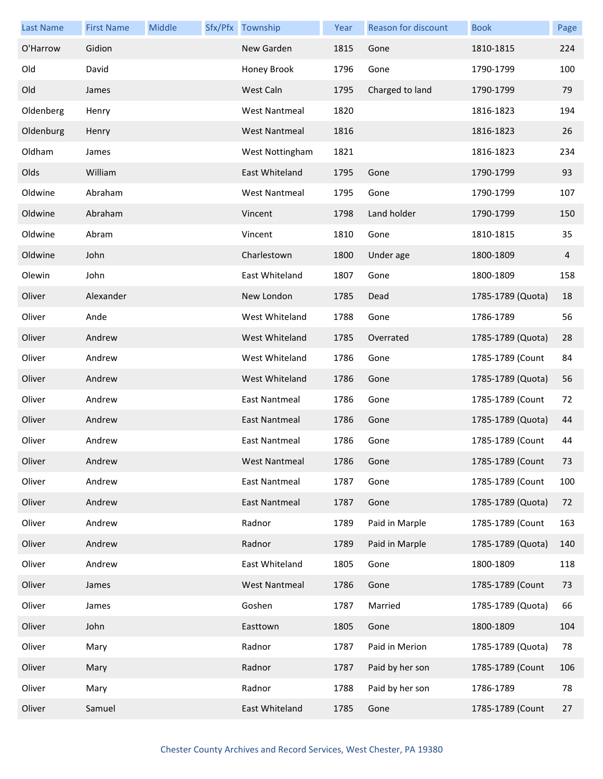| <b>Last Name</b> | <b>First Name</b> | Middle | Sfx/Pfx Township     | Year | Reason for discount | <b>Book</b>       | Page |
|------------------|-------------------|--------|----------------------|------|---------------------|-------------------|------|
| O'Harrow         | Gidion            |        | New Garden           | 1815 | Gone                | 1810-1815         | 224  |
| Old              | David             |        | Honey Brook          | 1796 | Gone                | 1790-1799         | 100  |
| Old              | James             |        | West Caln            | 1795 | Charged to land     | 1790-1799         | 79   |
| Oldenberg        | Henry             |        | <b>West Nantmeal</b> | 1820 |                     | 1816-1823         | 194  |
| Oldenburg        | Henry             |        | <b>West Nantmeal</b> | 1816 |                     | 1816-1823         | 26   |
| Oldham           | James             |        | West Nottingham      | 1821 |                     | 1816-1823         | 234  |
| Olds             | William           |        | East Whiteland       | 1795 | Gone                | 1790-1799         | 93   |
| Oldwine          | Abraham           |        | <b>West Nantmeal</b> | 1795 | Gone                | 1790-1799         | 107  |
| Oldwine          | Abraham           |        | Vincent              | 1798 | Land holder         | 1790-1799         | 150  |
| Oldwine          | Abram             |        | Vincent              | 1810 | Gone                | 1810-1815         | 35   |
| Oldwine          | John              |        | Charlestown          | 1800 | Under age           | 1800-1809         | 4    |
| Olewin           | John              |        | East Whiteland       | 1807 | Gone                | 1800-1809         | 158  |
| Oliver           | Alexander         |        | New London           | 1785 | Dead                | 1785-1789 (Quota) | 18   |
| Oliver           | Ande              |        | West Whiteland       | 1788 | Gone                | 1786-1789         | 56   |
| Oliver           | Andrew            |        | West Whiteland       | 1785 | Overrated           | 1785-1789 (Quota) | 28   |
| Oliver           | Andrew            |        | West Whiteland       | 1786 | Gone                | 1785-1789 (Count  | 84   |
| Oliver           | Andrew            |        | West Whiteland       | 1786 | Gone                | 1785-1789 (Quota) | 56   |
| Oliver           | Andrew            |        | East Nantmeal        | 1786 | Gone                | 1785-1789 (Count  | 72   |
| Oliver           | Andrew            |        | <b>East Nantmeal</b> | 1786 | Gone                | 1785-1789 (Quota) | 44   |
| Oliver           | Andrew            |        | East Nantmeal        | 1786 | Gone                | 1785-1789 (Count  | 44   |
| Oliver           | Andrew            |        | West Nantmeal        | 1786 | Gone                | 1785-1789 (Count  | 73   |
| Oliver           | Andrew            |        | East Nantmeal        | 1787 | Gone                | 1785-1789 (Count  | 100  |
| Oliver           | Andrew            |        | <b>East Nantmeal</b> | 1787 | Gone                | 1785-1789 (Quota) | 72   |
| Oliver           | Andrew            |        | Radnor               | 1789 | Paid in Marple      | 1785-1789 (Count  | 163  |
| Oliver           | Andrew            |        | Radnor               | 1789 | Paid in Marple      | 1785-1789 (Quota) | 140  |
| Oliver           | Andrew            |        | East Whiteland       | 1805 | Gone                | 1800-1809         | 118  |
| Oliver           | James             |        | <b>West Nantmeal</b> | 1786 | Gone                | 1785-1789 (Count  | 73   |
| Oliver           | James             |        | Goshen               | 1787 | Married             | 1785-1789 (Quota) | 66   |
| Oliver           | John              |        | Easttown             | 1805 | Gone                | 1800-1809         | 104  |
| Oliver           | Mary              |        | Radnor               | 1787 | Paid in Merion      | 1785-1789 (Quota) | 78   |
| Oliver           | Mary              |        | Radnor               | 1787 | Paid by her son     | 1785-1789 (Count  | 106  |
| Oliver           | Mary              |        | Radnor               | 1788 | Paid by her son     | 1786-1789         | 78   |
| Oliver           | Samuel            |        | East Whiteland       | 1785 | Gone                | 1785-1789 (Count  | 27   |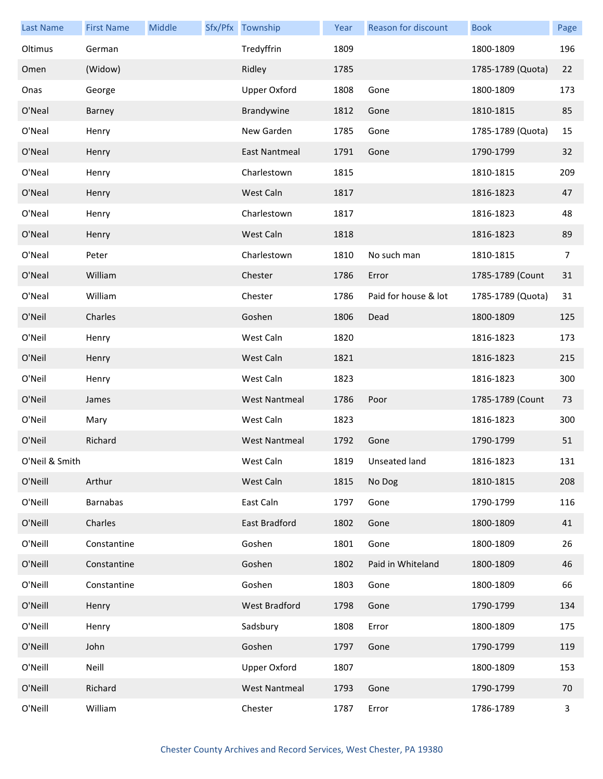| <b>Last Name</b> | <b>First Name</b> | Middle | Sfx/Pfx Township     | Year | <b>Reason for discount</b> | <b>Book</b>       | Page |
|------------------|-------------------|--------|----------------------|------|----------------------------|-------------------|------|
| Oltimus          | German            |        | Tredyffrin           | 1809 |                            | 1800-1809         | 196  |
| Omen             | (Widow)           |        | Ridley               | 1785 |                            | 1785-1789 (Quota) | 22   |
| Onas             | George            |        | <b>Upper Oxford</b>  | 1808 | Gone                       | 1800-1809         | 173  |
| O'Neal           | Barney            |        | Brandywine           | 1812 | Gone                       | 1810-1815         | 85   |
| O'Neal           | Henry             |        | New Garden           | 1785 | Gone                       | 1785-1789 (Quota) | 15   |
| O'Neal           | Henry             |        | East Nantmeal        | 1791 | Gone                       | 1790-1799         | 32   |
| O'Neal           | Henry             |        | Charlestown          | 1815 |                            | 1810-1815         | 209  |
| O'Neal           | Henry             |        | West Caln            | 1817 |                            | 1816-1823         | 47   |
| O'Neal           | Henry             |        | Charlestown          | 1817 |                            | 1816-1823         | 48   |
| O'Neal           | Henry             |        | West Caln            | 1818 |                            | 1816-1823         | 89   |
| O'Neal           | Peter             |        | Charlestown          | 1810 | No such man                | 1810-1815         | 7    |
| O'Neal           | William           |        | Chester              | 1786 | Error                      | 1785-1789 (Count  | 31   |
| O'Neal           | William           |        | Chester              | 1786 | Paid for house & lot       | 1785-1789 (Quota) | 31   |
| O'Neil           | Charles           |        | Goshen               | 1806 | Dead                       | 1800-1809         | 125  |
| O'Neil           | Henry             |        | West Caln            | 1820 |                            | 1816-1823         | 173  |
| O'Neil           | Henry             |        | West Caln            | 1821 |                            | 1816-1823         | 215  |
| O'Neil           | Henry             |        | West Caln            | 1823 |                            | 1816-1823         | 300  |
| O'Neil           | James             |        | <b>West Nantmeal</b> | 1786 | Poor                       | 1785-1789 (Count  | 73   |
| O'Neil           | Mary              |        | West Caln            | 1823 |                            | 1816-1823         | 300  |
| O'Neil           | Richard           |        | <b>West Nantmeal</b> | 1792 | Gone                       | 1790-1799         | 51   |
| O'Neil & Smith   |                   |        | West Caln            |      | 1819 Unseated land         | 1816-1823         | 131  |
| O'Neill          | Arthur            |        | West Caln            | 1815 | No Dog                     | 1810-1815         | 208  |
| O'Neill          | <b>Barnabas</b>   |        | East Caln            | 1797 | Gone                       | 1790-1799         | 116  |
| O'Neill          | Charles           |        | East Bradford        | 1802 | Gone                       | 1800-1809         | 41   |
| O'Neill          | Constantine       |        | Goshen               | 1801 | Gone                       | 1800-1809         | 26   |
| O'Neill          | Constantine       |        | Goshen               | 1802 | Paid in Whiteland          | 1800-1809         | 46   |
| O'Neill          | Constantine       |        | Goshen               | 1803 | Gone                       | 1800-1809         | 66   |
| O'Neill          | Henry             |        | West Bradford        | 1798 | Gone                       | 1790-1799         | 134  |
| O'Neill          | Henry             |        | Sadsbury             | 1808 | Error                      | 1800-1809         | 175  |
| O'Neill          | John              |        | Goshen               | 1797 | Gone                       | 1790-1799         | 119  |
| O'Neill          | Neill             |        | <b>Upper Oxford</b>  | 1807 |                            | 1800-1809         | 153  |
| O'Neill          | Richard           |        | <b>West Nantmeal</b> | 1793 | Gone                       | 1790-1799         | 70   |
| O'Neill          | William           |        | Chester              | 1787 | Error                      | 1786-1789         | 3    |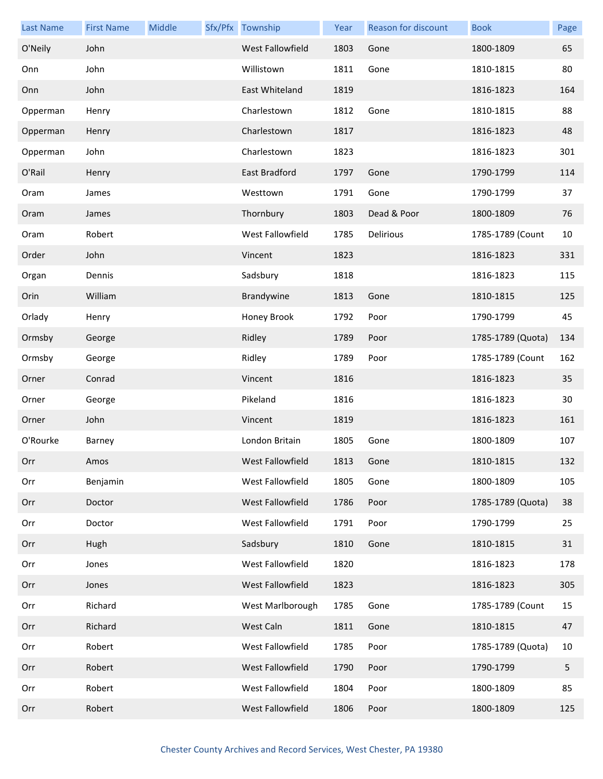| <b>Last Name</b> | <b>First Name</b> | Middle | Sfx/Pfx Township | Year | <b>Reason for discount</b> | <b>Book</b>       | Page |
|------------------|-------------------|--------|------------------|------|----------------------------|-------------------|------|
| O'Neily          | John              |        | West Fallowfield | 1803 | Gone                       | 1800-1809         | 65   |
| Onn              | John              |        | Willistown       | 1811 | Gone                       | 1810-1815         | 80   |
| Onn              | John              |        | East Whiteland   | 1819 |                            | 1816-1823         | 164  |
| Opperman         | Henry             |        | Charlestown      | 1812 | Gone                       | 1810-1815         | 88   |
| Opperman         | Henry             |        | Charlestown      | 1817 |                            | 1816-1823         | 48   |
| Opperman         | John              |        | Charlestown      | 1823 |                            | 1816-1823         | 301  |
| O'Rail           | Henry             |        | East Bradford    | 1797 | Gone                       | 1790-1799         | 114  |
| Oram             | James             |        | Westtown         | 1791 | Gone                       | 1790-1799         | 37   |
| Oram             | James             |        | Thornbury        | 1803 | Dead & Poor                | 1800-1809         | 76   |
| Oram             | Robert            |        | West Fallowfield | 1785 | Delirious                  | 1785-1789 (Count  | 10   |
| Order            | John              |        | Vincent          | 1823 |                            | 1816-1823         | 331  |
| Organ            | Dennis            |        | Sadsbury         | 1818 |                            | 1816-1823         | 115  |
| Orin             | William           |        | Brandywine       | 1813 | Gone                       | 1810-1815         | 125  |
| Orlady           | Henry             |        | Honey Brook      | 1792 | Poor                       | 1790-1799         | 45   |
| Ormsby           | George            |        | Ridley           | 1789 | Poor                       | 1785-1789 (Quota) | 134  |
| Ormsby           | George            |        | Ridley           | 1789 | Poor                       | 1785-1789 (Count  | 162  |
| Orner            | Conrad            |        | Vincent          | 1816 |                            | 1816-1823         | 35   |
| Orner            | George            |        | Pikeland         | 1816 |                            | 1816-1823         | 30   |
| Orner            | John              |        | Vincent          | 1819 |                            | 1816-1823         | 161  |
| O'Rourke         | Barney            |        | London Britain   | 1805 | Gone                       | 1800-1809         | 107  |
| Orr              | Amos              |        | West Fallowfield | 1813 | Gone                       | 1810-1815         | 132  |
| Orr              | Benjamin          |        | West Fallowfield | 1805 | Gone                       | 1800-1809         | 105  |
| Orr              | Doctor            |        | West Fallowfield | 1786 | Poor                       | 1785-1789 (Quota) | 38   |
| Orr              | Doctor            |        | West Fallowfield | 1791 | Poor                       | 1790-1799         | 25   |
| Orr              | Hugh              |        | Sadsbury         | 1810 | Gone                       | 1810-1815         | 31   |
| Orr              | Jones             |        | West Fallowfield | 1820 |                            | 1816-1823         | 178  |
| Orr              | Jones             |        | West Fallowfield | 1823 |                            | 1816-1823         | 305  |
| Orr              | Richard           |        | West Marlborough | 1785 | Gone                       | 1785-1789 (Count  | 15   |
| Orr              | Richard           |        | West Caln        | 1811 | Gone                       | 1810-1815         | 47   |
| Orr              | Robert            |        | West Fallowfield | 1785 | Poor                       | 1785-1789 (Quota) | 10   |
| Orr              | Robert            |        | West Fallowfield | 1790 | Poor                       | 1790-1799         | 5    |
| Orr              | Robert            |        | West Fallowfield | 1804 | Poor                       | 1800-1809         | 85   |
| Orr              | Robert            |        | West Fallowfield | 1806 | Poor                       | 1800-1809         | 125  |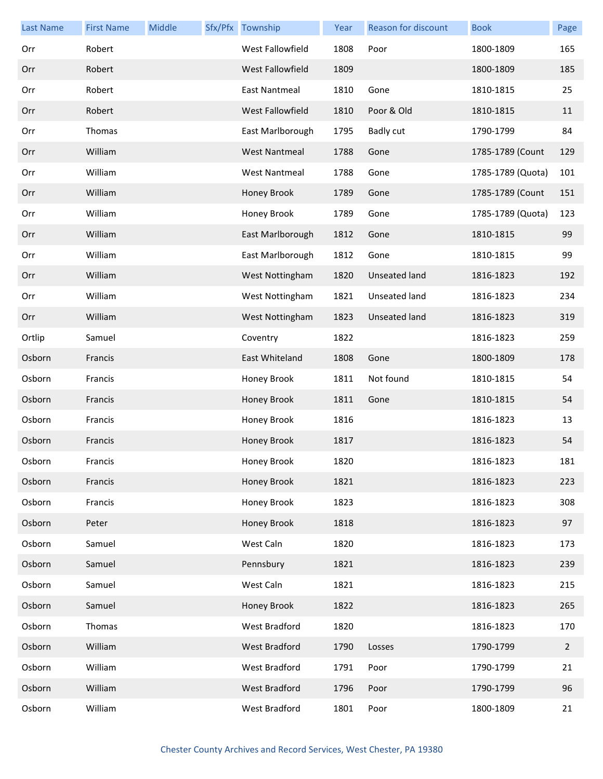| <b>Last Name</b> | <b>First Name</b> | Middle | Sfx/Pfx Township     | Year | <b>Reason for discount</b> | <b>Book</b>       | Page           |
|------------------|-------------------|--------|----------------------|------|----------------------------|-------------------|----------------|
| Orr              | Robert            |        | West Fallowfield     | 1808 | Poor                       | 1800-1809         | 165            |
| Orr              | Robert            |        | West Fallowfield     | 1809 |                            | 1800-1809         | 185            |
| Orr              | Robert            |        | East Nantmeal        | 1810 | Gone                       | 1810-1815         | 25             |
| Orr              | Robert            |        | West Fallowfield     | 1810 | Poor & Old                 | 1810-1815         | 11             |
| Orr              | Thomas            |        | East Marlborough     | 1795 | <b>Badly cut</b>           | 1790-1799         | 84             |
| Orr              | William           |        | <b>West Nantmeal</b> | 1788 | Gone                       | 1785-1789 (Count  | 129            |
| Orr              | William           |        | <b>West Nantmeal</b> | 1788 | Gone                       | 1785-1789 (Quota) | 101            |
| Orr              | William           |        | Honey Brook          | 1789 | Gone                       | 1785-1789 (Count  | 151            |
| Orr              | William           |        | Honey Brook          | 1789 | Gone                       | 1785-1789 (Quota) | 123            |
| Orr              | William           |        | East Marlborough     | 1812 | Gone                       | 1810-1815         | 99             |
| Orr              | William           |        | East Marlborough     | 1812 | Gone                       | 1810-1815         | 99             |
| Orr              | William           |        | West Nottingham      | 1820 | <b>Unseated land</b>       | 1816-1823         | 192            |
| Orr              | William           |        | West Nottingham      | 1821 | Unseated land              | 1816-1823         | 234            |
| Orr              | William           |        | West Nottingham      | 1823 | <b>Unseated land</b>       | 1816-1823         | 319            |
| Ortlip           | Samuel            |        | Coventry             | 1822 |                            | 1816-1823         | 259            |
| Osborn           | Francis           |        | East Whiteland       | 1808 | Gone                       | 1800-1809         | 178            |
| Osborn           | Francis           |        | Honey Brook          | 1811 | Not found                  | 1810-1815         | 54             |
| Osborn           | Francis           |        | Honey Brook          | 1811 | Gone                       | 1810-1815         | 54             |
| Osborn           | Francis           |        | Honey Brook          | 1816 |                            | 1816-1823         | 13             |
| Osborn           | Francis           |        | Honey Brook          | 1817 |                            | 1816-1823         | 54             |
| Osborn           | Francis           |        | Honey Brook          | 1820 |                            | 1816-1823         | 181            |
| Osborn           | Francis           |        | Honey Brook          | 1821 |                            | 1816-1823         | 223            |
| Osborn           | Francis           |        | Honey Brook          | 1823 |                            | 1816-1823         | 308            |
| Osborn           | Peter             |        | Honey Brook          | 1818 |                            | 1816-1823         | 97             |
| Osborn           | Samuel            |        | West Caln            | 1820 |                            | 1816-1823         | 173            |
| Osborn           | Samuel            |        | Pennsbury            | 1821 |                            | 1816-1823         | 239            |
| Osborn           | Samuel            |        | West Caln            | 1821 |                            | 1816-1823         | 215            |
| Osborn           | Samuel            |        | Honey Brook          | 1822 |                            | 1816-1823         | 265            |
| Osborn           | Thomas            |        | West Bradford        | 1820 |                            | 1816-1823         | 170            |
| Osborn           | William           |        | West Bradford        | 1790 | Losses                     | 1790-1799         | $\overline{2}$ |
| Osborn           | William           |        | West Bradford        | 1791 | Poor                       | 1790-1799         | 21             |
| Osborn           | William           |        | West Bradford        | 1796 | Poor                       | 1790-1799         | 96             |
| Osborn           | William           |        | <b>West Bradford</b> | 1801 | Poor                       | 1800-1809         | 21             |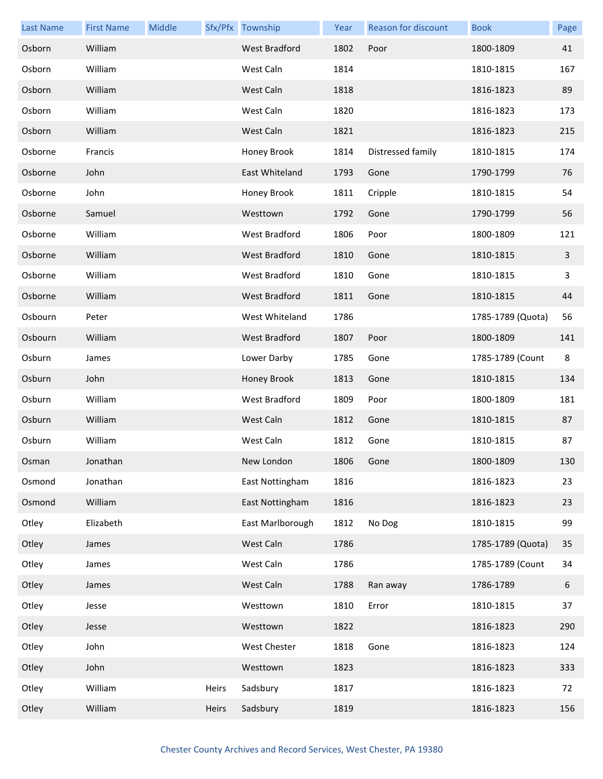| <b>Last Name</b> | <b>First Name</b> | Middle |       | Sfx/Pfx Township     | Year | <b>Reason for discount</b> | <b>Book</b>       | Page             |
|------------------|-------------------|--------|-------|----------------------|------|----------------------------|-------------------|------------------|
| Osborn           | William           |        |       | <b>West Bradford</b> | 1802 | Poor                       | 1800-1809         | 41               |
| Osborn           | William           |        |       | West Caln            | 1814 |                            | 1810-1815         | 167              |
| Osborn           | William           |        |       | West Caln            | 1818 |                            | 1816-1823         | 89               |
| Osborn           | William           |        |       | West Caln            | 1820 |                            | 1816-1823         | 173              |
| Osborn           | William           |        |       | West Caln            | 1821 |                            | 1816-1823         | 215              |
| Osborne          | Francis           |        |       | Honey Brook          | 1814 | Distressed family          | 1810-1815         | 174              |
| Osborne          | John              |        |       | East Whiteland       | 1793 | Gone                       | 1790-1799         | 76               |
| Osborne          | John              |        |       | Honey Brook          | 1811 | Cripple                    | 1810-1815         | 54               |
| Osborne          | Samuel            |        |       | Westtown             | 1792 | Gone                       | 1790-1799         | 56               |
| Osborne          | William           |        |       | West Bradford        | 1806 | Poor                       | 1800-1809         | 121              |
| Osborne          | William           |        |       | <b>West Bradford</b> | 1810 | Gone                       | 1810-1815         | 3                |
| Osborne          | William           |        |       | <b>West Bradford</b> | 1810 | Gone                       | 1810-1815         | 3                |
| Osborne          | William           |        |       | <b>West Bradford</b> | 1811 | Gone                       | 1810-1815         | 44               |
| Osbourn          | Peter             |        |       | West Whiteland       | 1786 |                            | 1785-1789 (Quota) | 56               |
| Osbourn          | William           |        |       | <b>West Bradford</b> | 1807 | Poor                       | 1800-1809         | 141              |
| Osburn           | James             |        |       | Lower Darby          | 1785 | Gone                       | 1785-1789 (Count  | 8                |
| Osburn           | John              |        |       | Honey Brook          | 1813 | Gone                       | 1810-1815         | 134              |
| Osburn           | William           |        |       | <b>West Bradford</b> | 1809 | Poor                       | 1800-1809         | 181              |
| Osburn           | William           |        |       | West Caln            | 1812 | Gone                       | 1810-1815         | 87               |
| Osburn           | William           |        |       | West Caln            | 1812 | Gone                       | 1810-1815         | 87               |
| Osman            | Jonathan          |        |       | New London           | 1806 | Gone                       | 1800-1809         | 130              |
| Osmond           | Jonathan          |        |       | East Nottingham      | 1816 |                            | 1816-1823         | 23               |
| Osmond           | William           |        |       | East Nottingham      | 1816 |                            | 1816-1823         | 23               |
| Otley            | Elizabeth         |        |       | East Marlborough     | 1812 | No Dog                     | 1810-1815         | 99               |
| Otley            | James             |        |       | West Caln            | 1786 |                            | 1785-1789 (Quota) | 35               |
| Otley            | James             |        |       | West Caln            | 1786 |                            | 1785-1789 (Count  | 34               |
| Otley            | James             |        |       | West Caln            | 1788 | Ran away                   | 1786-1789         | $\boldsymbol{6}$ |
| Otley            | Jesse             |        |       | Westtown             | 1810 | Error                      | 1810-1815         | 37               |
| Otley            | Jesse             |        |       | Westtown             | 1822 |                            | 1816-1823         | 290              |
| Otley            | John              |        |       | West Chester         | 1818 | Gone                       | 1816-1823         | 124              |
| Otley            | John              |        |       | Westtown             | 1823 |                            | 1816-1823         | 333              |
| Otley            | William           |        | Heirs | Sadsbury             | 1817 |                            | 1816-1823         | 72               |
| Otley            | William           |        | Heirs | Sadsbury             | 1819 |                            | 1816-1823         | 156              |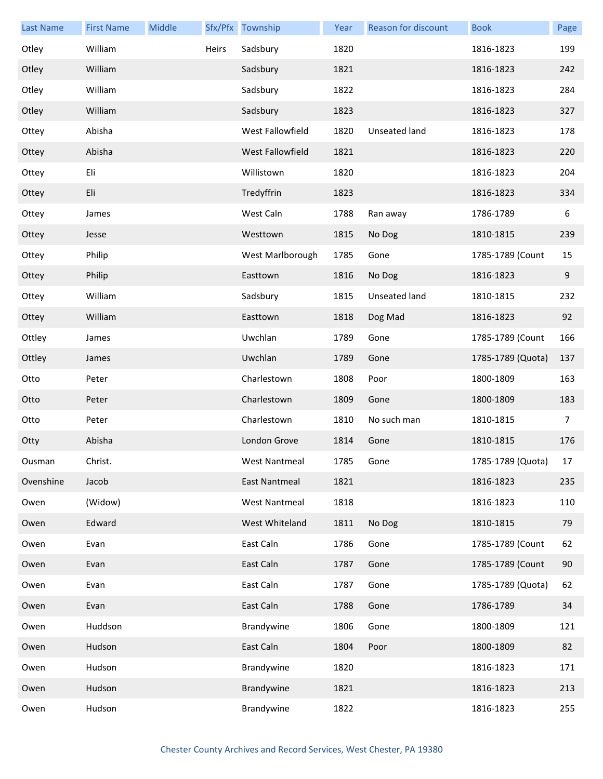| <b>Last Name</b> | <b>First Name</b> | Middle |       | Sfx/Pfx Township     | Year | Reason for discount | <b>Book</b>       | Page |
|------------------|-------------------|--------|-------|----------------------|------|---------------------|-------------------|------|
| Otley            | William           |        | Heirs | Sadsbury             | 1820 |                     | 1816-1823         | 199  |
| Otley            | William           |        |       | Sadsbury             | 1821 |                     | 1816-1823         | 242  |
| Otley            | William           |        |       | Sadsbury             | 1822 |                     | 1816-1823         | 284  |
| Otley            | William           |        |       | Sadsbury             | 1823 |                     | 1816-1823         | 327  |
| Ottey            | Abisha            |        |       | West Fallowfield     | 1820 | Unseated land       | 1816-1823         | 178  |
| Ottey            | Abisha            |        |       | West Fallowfield     | 1821 |                     | 1816-1823         | 220  |
| Ottey            | Eli               |        |       | Willistown           | 1820 |                     | 1816-1823         | 204  |
| Ottey            | Eli               |        |       | Tredyffrin           | 1823 |                     | 1816-1823         | 334  |
| Ottey            | James             |        |       | West Caln            | 1788 | Ran away            | 1786-1789         | 6    |
| Ottey            | Jesse             |        |       | Westtown             | 1815 | No Dog              | 1810-1815         | 239  |
| Ottey            | Philip            |        |       | West Marlborough     | 1785 | Gone                | 1785-1789 (Count  | 15   |
| Ottey            | Philip            |        |       | Easttown             | 1816 | No Dog              | 1816-1823         | 9    |
| Ottey            | William           |        |       | Sadsbury             | 1815 | Unseated land       | 1810-1815         | 232  |
| Ottey            | William           |        |       | Easttown             | 1818 | Dog Mad             | 1816-1823         | 92   |
| Ottley           | James             |        |       | Uwchlan              | 1789 | Gone                | 1785-1789 (Count  | 166  |
| Ottley           | James             |        |       | Uwchlan              | 1789 | Gone                | 1785-1789 (Quota) | 137  |
| Otto             | Peter             |        |       | Charlestown          | 1808 | Poor                | 1800-1809         | 163  |
| Otto             | Peter             |        |       | Charlestown          | 1809 | Gone                | 1800-1809         | 183  |
| Otto             | Peter             |        |       | Charlestown          | 1810 | No such man         | 1810-1815         | 7    |
| Otty             | Abisha            |        |       | London Grove         | 1814 | Gone                | 1810-1815         | 176  |
| Ousman           | Christ.           |        |       | West Nantmeal        | 1785 | Gone                | 1785-1789 (Quota) | 17   |
| Ovenshine        | Jacob             |        |       | East Nantmeal        | 1821 |                     | 1816-1823         | 235  |
| Owen             | (Widow)           |        |       | <b>West Nantmeal</b> | 1818 |                     | 1816-1823         | 110  |
| Owen             | Edward            |        |       | West Whiteland       | 1811 | No Dog              | 1810-1815         | 79   |
| Owen             | Evan              |        |       | East Caln            | 1786 | Gone                | 1785-1789 (Count  | 62   |
| Owen             | Evan              |        |       | East Caln            | 1787 | Gone                | 1785-1789 (Count  | 90   |
| Owen             | Evan              |        |       | East Caln            | 1787 | Gone                | 1785-1789 (Quota) | 62   |
| Owen             | Evan              |        |       | East Caln            | 1788 | Gone                | 1786-1789         | 34   |
| Owen             | Huddson           |        |       | Brandywine           | 1806 | Gone                | 1800-1809         | 121  |
| Owen             | Hudson            |        |       | East Caln            | 1804 | Poor                | 1800-1809         | 82   |
| Owen             | Hudson            |        |       | Brandywine           | 1820 |                     | 1816-1823         | 171  |
| Owen             | Hudson            |        |       | Brandywine           | 1821 |                     | 1816-1823         | 213  |
| Owen             | Hudson            |        |       | Brandywine           | 1822 |                     | 1816-1823         | 255  |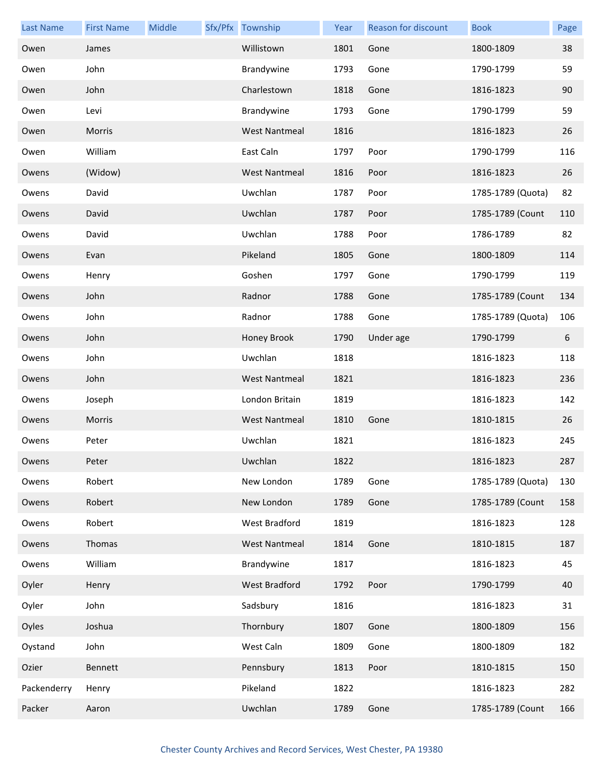| <b>Last Name</b> | <b>First Name</b> | Middle | Sfx/Pfx Township     | Year | Reason for discount | <b>Book</b>       | Page |
|------------------|-------------------|--------|----------------------|------|---------------------|-------------------|------|
| Owen             | James             |        | Willistown           | 1801 | Gone                | 1800-1809         | 38   |
| Owen             | John              |        | Brandywine           | 1793 | Gone                | 1790-1799         | 59   |
| Owen             | John              |        | Charlestown          | 1818 | Gone                | 1816-1823         | 90   |
| Owen             | Levi              |        | Brandywine           | 1793 | Gone                | 1790-1799         | 59   |
| Owen             | Morris            |        | <b>West Nantmeal</b> | 1816 |                     | 1816-1823         | 26   |
| Owen             | William           |        | East Caln            | 1797 | Poor                | 1790-1799         | 116  |
| Owens            | (Widow)           |        | <b>West Nantmeal</b> | 1816 | Poor                | 1816-1823         | 26   |
| Owens            | David             |        | Uwchlan              | 1787 | Poor                | 1785-1789 (Quota) | 82   |
| Owens            | David             |        | Uwchlan              | 1787 | Poor                | 1785-1789 (Count  | 110  |
| Owens            | David             |        | Uwchlan              | 1788 | Poor                | 1786-1789         | 82   |
| Owens            | Evan              |        | Pikeland             | 1805 | Gone                | 1800-1809         | 114  |
| Owens            | Henry             |        | Goshen               | 1797 | Gone                | 1790-1799         | 119  |
| Owens            | John              |        | Radnor               | 1788 | Gone                | 1785-1789 (Count  | 134  |
| Owens            | John              |        | Radnor               | 1788 | Gone                | 1785-1789 (Quota) | 106  |
| Owens            | John              |        | Honey Brook          | 1790 | Under age           | 1790-1799         | 6    |
| Owens            | John              |        | Uwchlan              | 1818 |                     | 1816-1823         | 118  |
| Owens            | John              |        | <b>West Nantmeal</b> | 1821 |                     | 1816-1823         | 236  |
| Owens            | Joseph            |        | London Britain       | 1819 |                     | 1816-1823         | 142  |
| Owens            | Morris            |        | <b>West Nantmeal</b> | 1810 | Gone                | 1810-1815         | 26   |
| Owens            | Peter             |        | Uwchlan              | 1821 |                     | 1816-1823         | 245  |
| Owens            | Peter             |        | Uwchlan              | 1822 |                     | 1816-1823         | 287  |
| Owens            | Robert            |        | New London           | 1789 | Gone                | 1785-1789 (Quota) | 130  |
| Owens            | Robert            |        | New London           | 1789 | Gone                | 1785-1789 (Count  | 158  |
| Owens            | Robert            |        | West Bradford        | 1819 |                     | 1816-1823         | 128  |
| Owens            | Thomas            |        | <b>West Nantmeal</b> | 1814 | Gone                | 1810-1815         | 187  |
| Owens            | William           |        | Brandywine           | 1817 |                     | 1816-1823         | 45   |
| Oyler            | Henry             |        | West Bradford        | 1792 | Poor                | 1790-1799         | 40   |
| Oyler            | John              |        | Sadsbury             | 1816 |                     | 1816-1823         | 31   |
| Oyles            | Joshua            |        | Thornbury            | 1807 | Gone                | 1800-1809         | 156  |
| Oystand          | John              |        | West Caln            | 1809 | Gone                | 1800-1809         | 182  |
| Ozier            | Bennett           |        | Pennsbury            | 1813 | Poor                | 1810-1815         | 150  |
| Packenderry      | Henry             |        | Pikeland             | 1822 |                     | 1816-1823         | 282  |
| Packer           | Aaron             |        | Uwchlan              | 1789 | Gone                | 1785-1789 (Count  | 166  |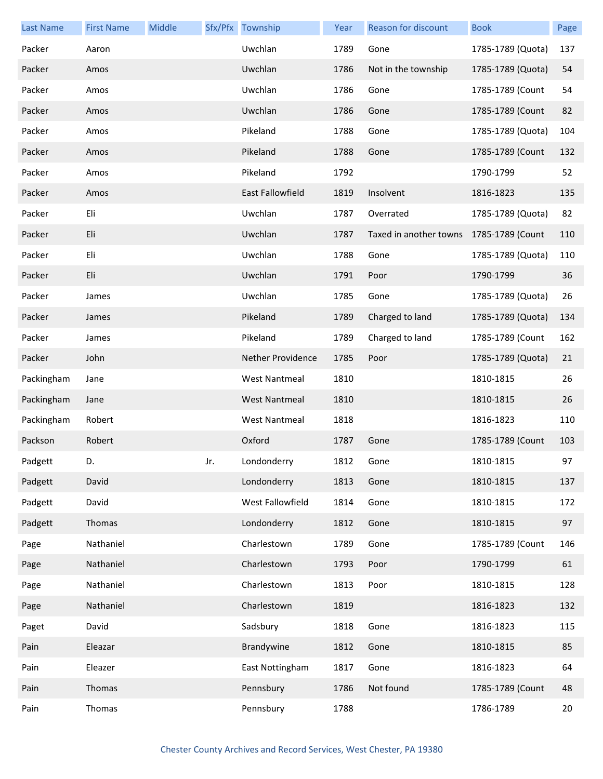| <b>Last Name</b> | <b>First Name</b> | Middle |     | Sfx/Pfx Township        | Year | <b>Reason for discount</b> | <b>Book</b>       | Page |
|------------------|-------------------|--------|-----|-------------------------|------|----------------------------|-------------------|------|
| Packer           | Aaron             |        |     | Uwchlan                 | 1789 | Gone                       | 1785-1789 (Quota) | 137  |
| Packer           | Amos              |        |     | Uwchlan                 | 1786 | Not in the township        | 1785-1789 (Quota) | 54   |
| Packer           | Amos              |        |     | Uwchlan                 | 1786 | Gone                       | 1785-1789 (Count  | 54   |
| Packer           | Amos              |        |     | Uwchlan                 | 1786 | Gone                       | 1785-1789 (Count  | 82   |
| Packer           | Amos              |        |     | Pikeland                | 1788 | Gone                       | 1785-1789 (Quota) | 104  |
| Packer           | Amos              |        |     | Pikeland                | 1788 | Gone                       | 1785-1789 (Count  | 132  |
| Packer           | Amos              |        |     | Pikeland                | 1792 |                            | 1790-1799         | 52   |
| Packer           | Amos              |        |     | <b>East Fallowfield</b> | 1819 | Insolvent                  | 1816-1823         | 135  |
| Packer           | Eli               |        |     | Uwchlan                 | 1787 | Overrated                  | 1785-1789 (Quota) | 82   |
| Packer           | Eli               |        |     | Uwchlan                 | 1787 | Taxed in another towns     | 1785-1789 (Count  | 110  |
| Packer           | Eli               |        |     | Uwchlan                 | 1788 | Gone                       | 1785-1789 (Quota) | 110  |
| Packer           | Eli               |        |     | Uwchlan                 | 1791 | Poor                       | 1790-1799         | 36   |
| Packer           | James             |        |     | Uwchlan                 | 1785 | Gone                       | 1785-1789 (Quota) | 26   |
| Packer           | James             |        |     | Pikeland                | 1789 | Charged to land            | 1785-1789 (Quota) | 134  |
| Packer           | James             |        |     | Pikeland                | 1789 | Charged to land            | 1785-1789 (Count  | 162  |
| Packer           | John              |        |     | Nether Providence       | 1785 | Poor                       | 1785-1789 (Quota) | 21   |
| Packingham       | Jane              |        |     | <b>West Nantmeal</b>    | 1810 |                            | 1810-1815         | 26   |
| Packingham       | Jane              |        |     | <b>West Nantmeal</b>    | 1810 |                            | 1810-1815         | 26   |
| Packingham       | Robert            |        |     | <b>West Nantmeal</b>    | 1818 |                            | 1816-1823         | 110  |
| Packson          | Robert            |        |     | Oxford                  | 1787 | Gone                       | 1785-1789 (Count  | 103  |
| Padgett          | D.                |        | Jr. | Londonderry             | 1812 | Gone                       | 1810-1815         | 97   |
| Padgett          | David             |        |     | Londonderry             | 1813 | Gone                       | 1810-1815         | 137  |
| Padgett          | David             |        |     | West Fallowfield        | 1814 | Gone                       | 1810-1815         | 172  |
| Padgett          | Thomas            |        |     | Londonderry             | 1812 | Gone                       | 1810-1815         | 97   |
| Page             | Nathaniel         |        |     | Charlestown             | 1789 | Gone                       | 1785-1789 (Count  | 146  |
| Page             | Nathaniel         |        |     | Charlestown             | 1793 | Poor                       | 1790-1799         | 61   |
| Page             | Nathaniel         |        |     | Charlestown             | 1813 | Poor                       | 1810-1815         | 128  |
| Page             | Nathaniel         |        |     | Charlestown             | 1819 |                            | 1816-1823         | 132  |
| Paget            | David             |        |     | Sadsbury                | 1818 | Gone                       | 1816-1823         | 115  |
| Pain             | Eleazar           |        |     | Brandywine              | 1812 | Gone                       | 1810-1815         | 85   |
| Pain             | Eleazer           |        |     | East Nottingham         | 1817 | Gone                       | 1816-1823         | 64   |
| Pain             | Thomas            |        |     | Pennsbury               | 1786 | Not found                  | 1785-1789 (Count  | 48   |
| Pain             | Thomas            |        |     | Pennsbury               | 1788 |                            | 1786-1789         | 20   |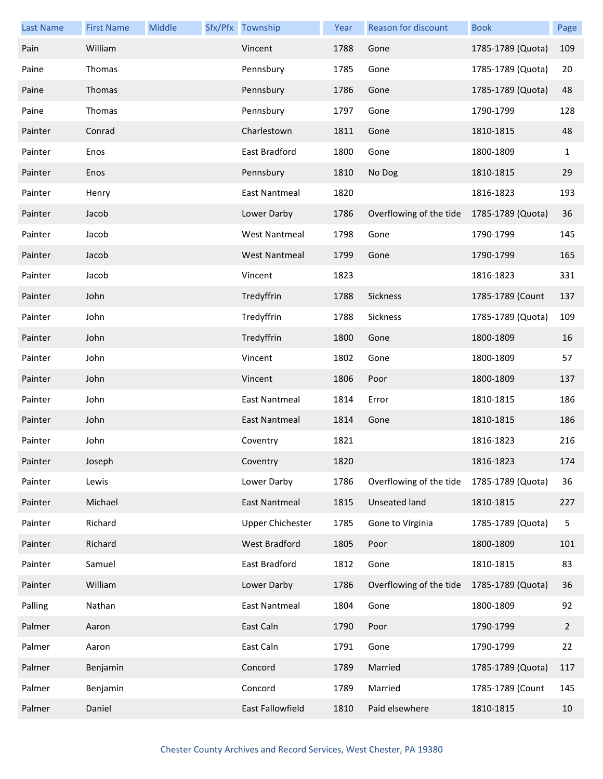| <b>Last Name</b> | <b>First Name</b> | Middle | Sfx/Pfx Township        | Year | Reason for discount     | <b>Book</b>       | Page         |
|------------------|-------------------|--------|-------------------------|------|-------------------------|-------------------|--------------|
| Pain             | William           |        | Vincent                 | 1788 | Gone                    | 1785-1789 (Quota) | 109          |
| Paine            | Thomas            |        | Pennsbury               | 1785 | Gone                    | 1785-1789 (Quota) | 20           |
| Paine            | Thomas            |        | Pennsbury               | 1786 | Gone                    | 1785-1789 (Quota) | 48           |
| Paine            | Thomas            |        | Pennsbury               | 1797 | Gone                    | 1790-1799         | 128          |
| Painter          | Conrad            |        | Charlestown             | 1811 | Gone                    | 1810-1815         | 48           |
| Painter          | Enos              |        | East Bradford           | 1800 | Gone                    | 1800-1809         | $\mathbf{1}$ |
| Painter          | Enos              |        | Pennsbury               | 1810 | No Dog                  | 1810-1815         | 29           |
| Painter          | Henry             |        | East Nantmeal           | 1820 |                         | 1816-1823         | 193          |
| Painter          | Jacob             |        | Lower Darby             | 1786 | Overflowing of the tide | 1785-1789 (Quota) | 36           |
| Painter          | Jacob             |        | <b>West Nantmeal</b>    | 1798 | Gone                    | 1790-1799         | 145          |
| Painter          | Jacob             |        | <b>West Nantmeal</b>    | 1799 | Gone                    | 1790-1799         | 165          |
| Painter          | Jacob             |        | Vincent                 | 1823 |                         | 1816-1823         | 331          |
| Painter          | John              |        | Tredyffrin              | 1788 | Sickness                | 1785-1789 (Count  | 137          |
| Painter          | John              |        | Tredyffrin              | 1788 | Sickness                | 1785-1789 (Quota) | 109          |
| Painter          | John              |        | Tredyffrin              | 1800 | Gone                    | 1800-1809         | 16           |
| Painter          | John              |        | Vincent                 | 1802 | Gone                    | 1800-1809         | 57           |
| Painter          | John              |        | Vincent                 | 1806 | Poor                    | 1800-1809         | 137          |
| Painter          | John              |        | <b>East Nantmeal</b>    | 1814 | Error                   | 1810-1815         | 186          |
| Painter          | John              |        | <b>East Nantmeal</b>    | 1814 | Gone                    | 1810-1815         | 186          |
| Painter          | John              |        | Coventry                | 1821 |                         | 1816-1823         | 216          |
| Painter          | Joseph            |        | Coventry                | 1820 |                         | 1816-1823         | 174          |
| Painter          | Lewis             |        | Lower Darby             | 1786 | Overflowing of the tide | 1785-1789 (Quota) | 36           |
| Painter          | Michael           |        | <b>East Nantmeal</b>    | 1815 | Unseated land           | 1810-1815         | 227          |
| Painter          | Richard           |        | <b>Upper Chichester</b> | 1785 | Gone to Virginia        | 1785-1789 (Quota) | 5            |
| Painter          | Richard           |        | West Bradford           | 1805 | Poor                    | 1800-1809         | 101          |
| Painter          | Samuel            |        | East Bradford           | 1812 | Gone                    | 1810-1815         | 83           |
| Painter          | William           |        | Lower Darby             | 1786 | Overflowing of the tide | 1785-1789 (Quota) | 36           |
| Palling          | Nathan            |        | <b>East Nantmeal</b>    | 1804 | Gone                    | 1800-1809         | 92           |
| Palmer           | Aaron             |        | East Caln               | 1790 | Poor                    | 1790-1799         | $\mathbf{2}$ |
| Palmer           | Aaron             |        | East Caln               | 1791 | Gone                    | 1790-1799         | 22           |
| Palmer           | Benjamin          |        | Concord                 | 1789 | Married                 | 1785-1789 (Quota) | 117          |
| Palmer           | Benjamin          |        | Concord                 | 1789 | Married                 | 1785-1789 (Count  | 145          |
| Palmer           | Daniel            |        | East Fallowfield        | 1810 | Paid elsewhere          | 1810-1815         | 10           |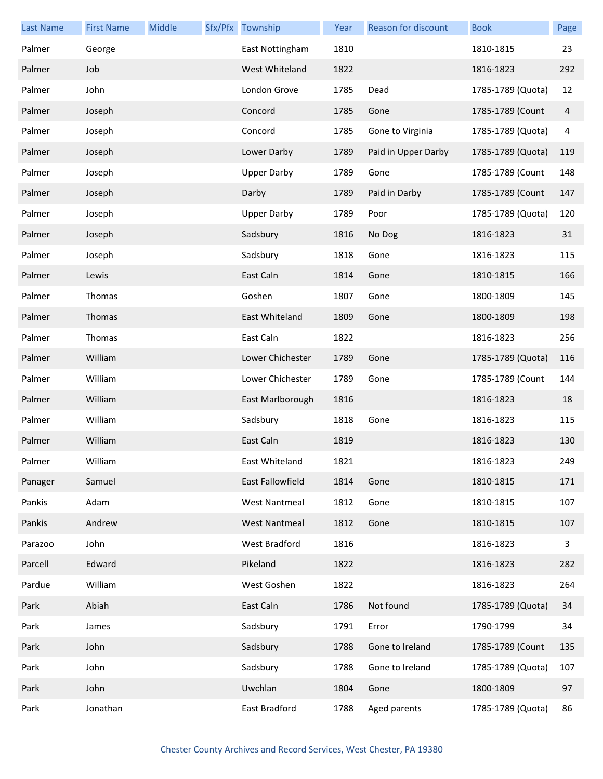| <b>Last Name</b> | <b>First Name</b> | Middle | Sfx/Pfx Township     | Year | Reason for discount | <b>Book</b>       | Page |
|------------------|-------------------|--------|----------------------|------|---------------------|-------------------|------|
| Palmer           | George            |        | East Nottingham      | 1810 |                     | 1810-1815         | 23   |
| Palmer           | Job               |        | West Whiteland       | 1822 |                     | 1816-1823         | 292  |
| Palmer           | John              |        | London Grove         | 1785 | Dead                | 1785-1789 (Quota) | 12   |
| Palmer           | Joseph            |        | Concord              | 1785 | Gone                | 1785-1789 (Count  | 4    |
| Palmer           | Joseph            |        | Concord              | 1785 | Gone to Virginia    | 1785-1789 (Quota) | 4    |
| Palmer           | Joseph            |        | Lower Darby          | 1789 | Paid in Upper Darby | 1785-1789 (Quota) | 119  |
| Palmer           | Joseph            |        | <b>Upper Darby</b>   | 1789 | Gone                | 1785-1789 (Count  | 148  |
| Palmer           | Joseph            |        | Darby                | 1789 | Paid in Darby       | 1785-1789 (Count  | 147  |
| Palmer           | Joseph            |        | <b>Upper Darby</b>   | 1789 | Poor                | 1785-1789 (Quota) | 120  |
| Palmer           | Joseph            |        | Sadsbury             | 1816 | No Dog              | 1816-1823         | 31   |
| Palmer           | Joseph            |        | Sadsbury             | 1818 | Gone                | 1816-1823         | 115  |
| Palmer           | Lewis             |        | East Caln            | 1814 | Gone                | 1810-1815         | 166  |
| Palmer           | Thomas            |        | Goshen               | 1807 | Gone                | 1800-1809         | 145  |
| Palmer           | Thomas            |        | East Whiteland       | 1809 | Gone                | 1800-1809         | 198  |
| Palmer           | Thomas            |        | East Caln            | 1822 |                     | 1816-1823         | 256  |
| Palmer           | William           |        | Lower Chichester     | 1789 | Gone                | 1785-1789 (Quota) | 116  |
| Palmer           | William           |        | Lower Chichester     | 1789 | Gone                | 1785-1789 (Count  | 144  |
| Palmer           | William           |        | East Marlborough     | 1816 |                     | 1816-1823         | 18   |
| Palmer           | William           |        | Sadsbury             | 1818 | Gone                | 1816-1823         | 115  |
| Palmer           | William           |        | East Caln            | 1819 |                     | 1816-1823         | 130  |
| Palmer           | William           |        | East Whiteland       | 1821 |                     | 1816-1823         | 249  |
| Panager          | Samuel            |        | East Fallowfield     | 1814 | Gone                | 1810-1815         | 171  |
| Pankis           | Adam              |        | <b>West Nantmeal</b> | 1812 | Gone                | 1810-1815         | 107  |
| Pankis           | Andrew            |        | <b>West Nantmeal</b> | 1812 | Gone                | 1810-1815         | 107  |
| Parazoo          | John              |        | <b>West Bradford</b> | 1816 |                     | 1816-1823         | 3    |
| Parcell          | Edward            |        | Pikeland             | 1822 |                     | 1816-1823         | 282  |
| Pardue           | William           |        | West Goshen          | 1822 |                     | 1816-1823         | 264  |
| Park             | Abiah             |        | East Caln            | 1786 | Not found           | 1785-1789 (Quota) | 34   |
| Park             | James             |        | Sadsbury             | 1791 | Error               | 1790-1799         | 34   |
| Park             | John              |        | Sadsbury             | 1788 | Gone to Ireland     | 1785-1789 (Count  | 135  |
| Park             | John              |        | Sadsbury             | 1788 | Gone to Ireland     | 1785-1789 (Quota) | 107  |
| Park             | John              |        | Uwchlan              | 1804 | Gone                | 1800-1809         | 97   |
| Park             | Jonathan          |        | East Bradford        | 1788 | Aged parents        | 1785-1789 (Quota) | 86   |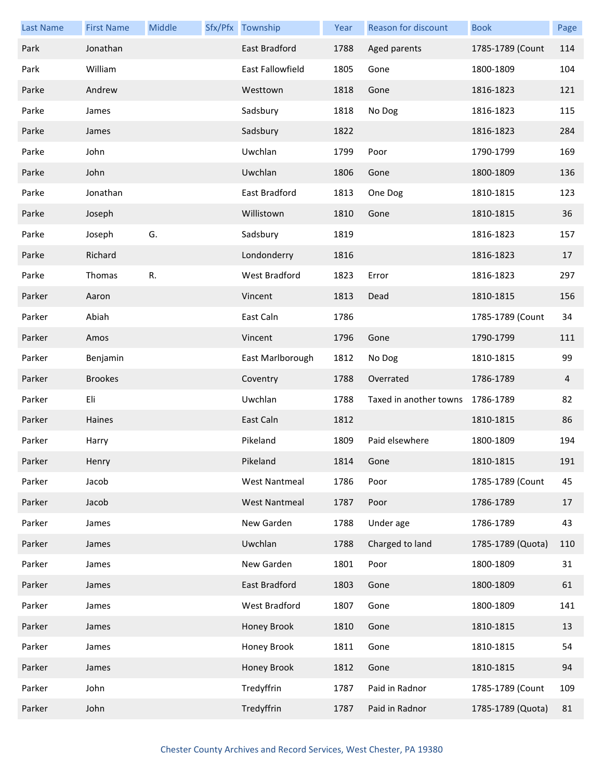| <b>Last Name</b> | <b>First Name</b> | Middle | Sfx/Pfx Township     | Year | Reason for discount    | <b>Book</b>       | Page           |
|------------------|-------------------|--------|----------------------|------|------------------------|-------------------|----------------|
| Park             | Jonathan          |        | East Bradford        | 1788 | Aged parents           | 1785-1789 (Count  | 114            |
| Park             | William           |        | East Fallowfield     | 1805 | Gone                   | 1800-1809         | 104            |
| Parke            | Andrew            |        | Westtown             | 1818 | Gone                   | 1816-1823         | 121            |
| Parke            | James             |        | Sadsbury             | 1818 | No Dog                 | 1816-1823         | 115            |
| Parke            | James             |        | Sadsbury             | 1822 |                        | 1816-1823         | 284            |
| Parke            | John              |        | Uwchlan              | 1799 | Poor                   | 1790-1799         | 169            |
| Parke            | John              |        | Uwchlan              | 1806 | Gone                   | 1800-1809         | 136            |
| Parke            | Jonathan          |        | East Bradford        | 1813 | One Dog                | 1810-1815         | 123            |
| Parke            | Joseph            |        | Willistown           | 1810 | Gone                   | 1810-1815         | 36             |
| Parke            | Joseph            | G.     | Sadsbury             | 1819 |                        | 1816-1823         | 157            |
| Parke            | Richard           |        | Londonderry          | 1816 |                        | 1816-1823         | 17             |
| Parke            | Thomas            | R.     | West Bradford        | 1823 | Error                  | 1816-1823         | 297            |
| Parker           | Aaron             |        | Vincent              | 1813 | Dead                   | 1810-1815         | 156            |
| Parker           | Abiah             |        | East Caln            | 1786 |                        | 1785-1789 (Count  | 34             |
| Parker           | Amos              |        | Vincent              | 1796 | Gone                   | 1790-1799         | 111            |
| Parker           | Benjamin          |        | East Marlborough     | 1812 | No Dog                 | 1810-1815         | 99             |
| Parker           | <b>Brookes</b>    |        | Coventry             | 1788 | Overrated              | 1786-1789         | $\overline{4}$ |
| Parker           | Eli               |        | Uwchlan              | 1788 | Taxed in another towns | 1786-1789         | 82             |
| Parker           | Haines            |        | East Caln            | 1812 |                        | 1810-1815         | 86             |
| Parker           | Harry             |        | Pikeland             | 1809 | Paid elsewhere         | 1800-1809         | 194            |
| Parker           | Henry             |        | Pikeland             | 1814 | Gone                   | 1810-1815         | 191            |
| Parker           | Jacob             |        | <b>West Nantmeal</b> | 1786 | Poor                   | 1785-1789 (Count  | 45             |
| Parker           | Jacob             |        | <b>West Nantmeal</b> | 1787 | Poor                   | 1786-1789         | 17             |
| Parker           | James             |        | New Garden           | 1788 | Under age              | 1786-1789         | 43             |
| Parker           | James             |        | Uwchlan              | 1788 | Charged to land        | 1785-1789 (Quota) | 110            |
| Parker           | James             |        | New Garden           | 1801 | Poor                   | 1800-1809         | 31             |
| Parker           | James             |        | East Bradford        | 1803 | Gone                   | 1800-1809         | 61             |
| Parker           | James             |        | West Bradford        | 1807 | Gone                   | 1800-1809         | 141            |
| Parker           | James             |        | Honey Brook          | 1810 | Gone                   | 1810-1815         | 13             |
| Parker           | James             |        | Honey Brook          | 1811 | Gone                   | 1810-1815         | 54             |
| Parker           | James             |        | Honey Brook          | 1812 | Gone                   | 1810-1815         | 94             |
| Parker           | John              |        | Tredyffrin           | 1787 | Paid in Radnor         | 1785-1789 (Count  | 109            |
| Parker           | John              |        | Tredyffrin           | 1787 | Paid in Radnor         | 1785-1789 (Quota) | 81             |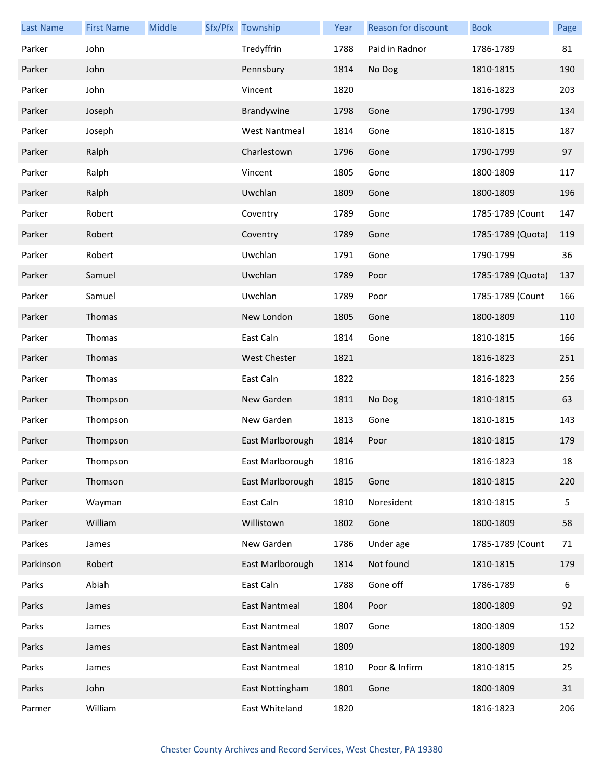| <b>Last Name</b> | <b>First Name</b> | Middle | Sfx/Pfx Township     | Year | Reason for discount | <b>Book</b>       | Page |
|------------------|-------------------|--------|----------------------|------|---------------------|-------------------|------|
| Parker           | John              |        | Tredyffrin           | 1788 | Paid in Radnor      | 1786-1789         | 81   |
| Parker           | John              |        | Pennsbury            | 1814 | No Dog              | 1810-1815         | 190  |
| Parker           | John              |        | Vincent              | 1820 |                     | 1816-1823         | 203  |
| Parker           | Joseph            |        | Brandywine           | 1798 | Gone                | 1790-1799         | 134  |
| Parker           | Joseph            |        | <b>West Nantmeal</b> | 1814 | Gone                | 1810-1815         | 187  |
| Parker           | Ralph             |        | Charlestown          | 1796 | Gone                | 1790-1799         | 97   |
| Parker           | Ralph             |        | Vincent              | 1805 | Gone                | 1800-1809         | 117  |
| Parker           | Ralph             |        | Uwchlan              | 1809 | Gone                | 1800-1809         | 196  |
| Parker           | Robert            |        | Coventry             | 1789 | Gone                | 1785-1789 (Count  | 147  |
| Parker           | Robert            |        | Coventry             | 1789 | Gone                | 1785-1789 (Quota) | 119  |
| Parker           | Robert            |        | Uwchlan              | 1791 | Gone                | 1790-1799         | 36   |
| Parker           | Samuel            |        | Uwchlan              | 1789 | Poor                | 1785-1789 (Quota) | 137  |
| Parker           | Samuel            |        | Uwchlan              | 1789 | Poor                | 1785-1789 (Count  | 166  |
| Parker           | Thomas            |        | New London           | 1805 | Gone                | 1800-1809         | 110  |
| Parker           | Thomas            |        | East Caln            | 1814 | Gone                | 1810-1815         | 166  |
| Parker           | Thomas            |        | <b>West Chester</b>  | 1821 |                     | 1816-1823         | 251  |
| Parker           | Thomas            |        | East Caln            | 1822 |                     | 1816-1823         | 256  |
| Parker           | Thompson          |        | New Garden           | 1811 | No Dog              | 1810-1815         | 63   |
| Parker           | Thompson          |        | New Garden           | 1813 | Gone                | 1810-1815         | 143  |
| Parker           | Thompson          |        | East Marlborough     | 1814 | Poor                | 1810-1815         | 179  |
| Parker           | Thompson          |        | East Marlborough     | 1816 |                     | 1816-1823         | 18   |
| Parker           | Thomson           |        | East Marlborough     | 1815 | Gone                | 1810-1815         | 220  |
| Parker           | Wayman            |        | East Caln            | 1810 | Noresident          | 1810-1815         | 5    |
| Parker           | William           |        | Willistown           | 1802 | Gone                | 1800-1809         | 58   |
| Parkes           | James             |        | New Garden           | 1786 | Under age           | 1785-1789 (Count  | 71   |
| Parkinson        | Robert            |        | East Marlborough     | 1814 | Not found           | 1810-1815         | 179  |
| Parks            | Abiah             |        | East Caln            | 1788 | Gone off            | 1786-1789         | 6    |
| Parks            | James             |        | East Nantmeal        | 1804 | Poor                | 1800-1809         | 92   |
| Parks            | James             |        | <b>East Nantmeal</b> | 1807 | Gone                | 1800-1809         | 152  |
| Parks            | James             |        | East Nantmeal        | 1809 |                     | 1800-1809         | 192  |
| Parks            | James             |        | East Nantmeal        | 1810 | Poor & Infirm       | 1810-1815         | 25   |
| Parks            | John              |        | East Nottingham      | 1801 | Gone                | 1800-1809         | 31   |
| Parmer           | William           |        | East Whiteland       | 1820 |                     | 1816-1823         | 206  |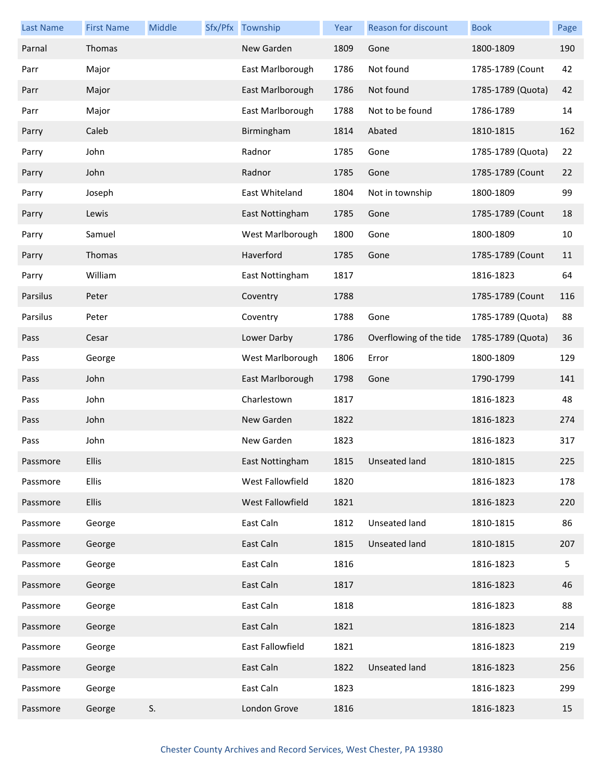| <b>Last Name</b> | <b>First Name</b> | Middle | Sfx/Pfx Township | Year | <b>Reason for discount</b> | <b>Book</b>       | Page |
|------------------|-------------------|--------|------------------|------|----------------------------|-------------------|------|
| Parnal           | Thomas            |        | New Garden       | 1809 | Gone                       | 1800-1809         | 190  |
| Parr             | Major             |        | East Marlborough | 1786 | Not found                  | 1785-1789 (Count  | 42   |
| Parr             | Major             |        | East Marlborough | 1786 | Not found                  | 1785-1789 (Quota) | 42   |
| Parr             | Major             |        | East Marlborough | 1788 | Not to be found            | 1786-1789         | 14   |
| Parry            | Caleb             |        | Birmingham       | 1814 | Abated                     | 1810-1815         | 162  |
| Parry            | John              |        | Radnor           | 1785 | Gone                       | 1785-1789 (Quota) | 22   |
| Parry            | John              |        | Radnor           | 1785 | Gone                       | 1785-1789 (Count  | 22   |
| Parry            | Joseph            |        | East Whiteland   | 1804 | Not in township            | 1800-1809         | 99   |
| Parry            | Lewis             |        | East Nottingham  | 1785 | Gone                       | 1785-1789 (Count  | 18   |
| Parry            | Samuel            |        | West Marlborough | 1800 | Gone                       | 1800-1809         | 10   |
| Parry            | Thomas            |        | Haverford        | 1785 | Gone                       | 1785-1789 (Count  | 11   |
| Parry            | William           |        | East Nottingham  | 1817 |                            | 1816-1823         | 64   |
| Parsilus         | Peter             |        | Coventry         | 1788 |                            | 1785-1789 (Count  | 116  |
| Parsilus         | Peter             |        | Coventry         | 1788 | Gone                       | 1785-1789 (Quota) | 88   |
| Pass             | Cesar             |        | Lower Darby      | 1786 | Overflowing of the tide    | 1785-1789 (Quota) | 36   |
| Pass             | George            |        | West Marlborough | 1806 | Error                      | 1800-1809         | 129  |
| Pass             | John              |        | East Marlborough | 1798 | Gone                       | 1790-1799         | 141  |
| Pass             | John              |        | Charlestown      | 1817 |                            | 1816-1823         | 48   |
| Pass             | John              |        | New Garden       | 1822 |                            | 1816-1823         | 274  |
| Pass             | John              |        | New Garden       | 1823 |                            | 1816-1823         | 317  |
| Passmore         | <b>Ellis</b>      |        | East Nottingham  |      | 1815 Unseated land         | 1810-1815         | 225  |
| Passmore         | <b>Ellis</b>      |        | West Fallowfield | 1820 |                            | 1816-1823         | 178  |
| Passmore         | <b>Ellis</b>      |        | West Fallowfield | 1821 |                            | 1816-1823         | 220  |
| Passmore         | George            |        | East Caln        | 1812 | <b>Unseated land</b>       | 1810-1815         | 86   |
| Passmore         | George            |        | East Caln        | 1815 | <b>Unseated land</b>       | 1810-1815         | 207  |
| Passmore         | George            |        | East Caln        | 1816 |                            | 1816-1823         | 5    |
| Passmore         | George            |        | East Caln        | 1817 |                            | 1816-1823         | 46   |
| Passmore         | George            |        | East Caln        | 1818 |                            | 1816-1823         | 88   |
| Passmore         | George            |        | East Caln        | 1821 |                            | 1816-1823         | 214  |
| Passmore         | George            |        | East Fallowfield | 1821 |                            | 1816-1823         | 219  |
| Passmore         | George            |        | East Caln        | 1822 | Unseated land              | 1816-1823         | 256  |
| Passmore         | George            |        | East Caln        | 1823 |                            | 1816-1823         | 299  |
| Passmore         | George            | S.     | London Grove     | 1816 |                            | 1816-1823         | 15   |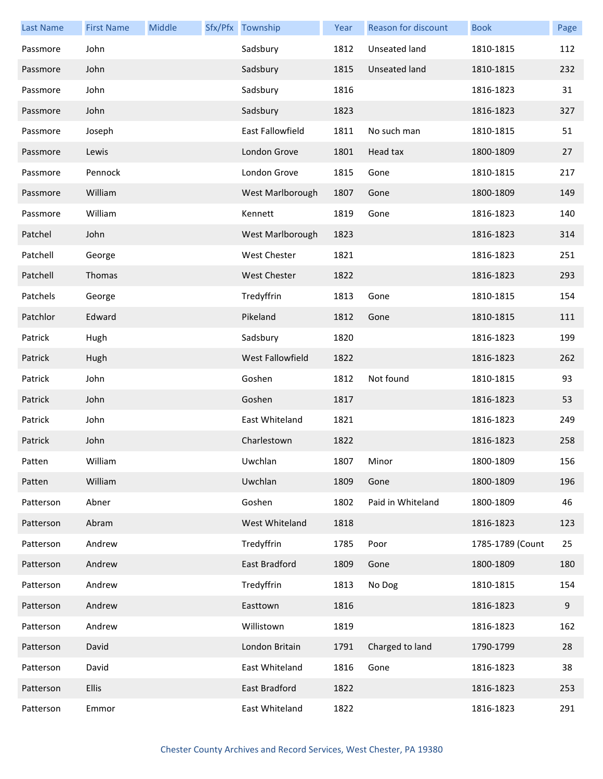| <b>Last Name</b> | <b>First Name</b> | Middle | Sfx/Pfx Township        | Year | Reason for discount | <b>Book</b>      | Page |
|------------------|-------------------|--------|-------------------------|------|---------------------|------------------|------|
| Passmore         | John              |        | Sadsbury                | 1812 | Unseated land       | 1810-1815        | 112  |
| Passmore         | John              |        | Sadsbury                | 1815 | Unseated land       | 1810-1815        | 232  |
| Passmore         | John              |        | Sadsbury                | 1816 |                     | 1816-1823        | 31   |
| Passmore         | John              |        | Sadsbury                | 1823 |                     | 1816-1823        | 327  |
| Passmore         | Joseph            |        | <b>East Fallowfield</b> | 1811 | No such man         | 1810-1815        | 51   |
| Passmore         | Lewis             |        | London Grove            | 1801 | Head tax            | 1800-1809        | 27   |
| Passmore         | Pennock           |        | London Grove            | 1815 | Gone                | 1810-1815        | 217  |
| Passmore         | William           |        | West Marlborough        | 1807 | Gone                | 1800-1809        | 149  |
| Passmore         | William           |        | Kennett                 | 1819 | Gone                | 1816-1823        | 140  |
| Patchel          | John              |        | West Marlborough        | 1823 |                     | 1816-1823        | 314  |
| Patchell         | George            |        | West Chester            | 1821 |                     | 1816-1823        | 251  |
| Patchell         | Thomas            |        | <b>West Chester</b>     | 1822 |                     | 1816-1823        | 293  |
| Patchels         | George            |        | Tredyffrin              | 1813 | Gone                | 1810-1815        | 154  |
| Patchlor         | Edward            |        | Pikeland                | 1812 | Gone                | 1810-1815        | 111  |
| Patrick          | Hugh              |        | Sadsbury                | 1820 |                     | 1816-1823        | 199  |
| Patrick          | Hugh              |        | West Fallowfield        | 1822 |                     | 1816-1823        | 262  |
| Patrick          | John              |        | Goshen                  | 1812 | Not found           | 1810-1815        | 93   |
| Patrick          | John              |        | Goshen                  | 1817 |                     | 1816-1823        | 53   |
| Patrick          | John              |        | East Whiteland          | 1821 |                     | 1816-1823        | 249  |
| Patrick          | John              |        | Charlestown             | 1822 |                     | 1816-1823        | 258  |
| Patten           | William           |        | Uwchlan                 | 1807 | Minor               | 1800-1809        | 156  |
| Patten           | William           |        | Uwchlan                 | 1809 | Gone                | 1800-1809        | 196  |
| Patterson        | Abner             |        | Goshen                  | 1802 | Paid in Whiteland   | 1800-1809        | 46   |
| Patterson        | Abram             |        | West Whiteland          | 1818 |                     | 1816-1823        | 123  |
| Patterson        | Andrew            |        | Tredyffrin              | 1785 | Poor                | 1785-1789 (Count | 25   |
| Patterson        | Andrew            |        | East Bradford           | 1809 | Gone                | 1800-1809        | 180  |
| Patterson        | Andrew            |        | Tredyffrin              | 1813 | No Dog              | 1810-1815        | 154  |
| Patterson        | Andrew            |        | Easttown                | 1816 |                     | 1816-1823        | 9    |
| Patterson        | Andrew            |        | Willistown              | 1819 |                     | 1816-1823        | 162  |
| Patterson        | David             |        | London Britain          | 1791 | Charged to land     | 1790-1799        | 28   |
| Patterson        | David             |        | East Whiteland          | 1816 | Gone                | 1816-1823        | 38   |
| Patterson        | Ellis             |        | East Bradford           | 1822 |                     | 1816-1823        | 253  |
| Patterson        | Emmor             |        | East Whiteland          | 1822 |                     | 1816-1823        | 291  |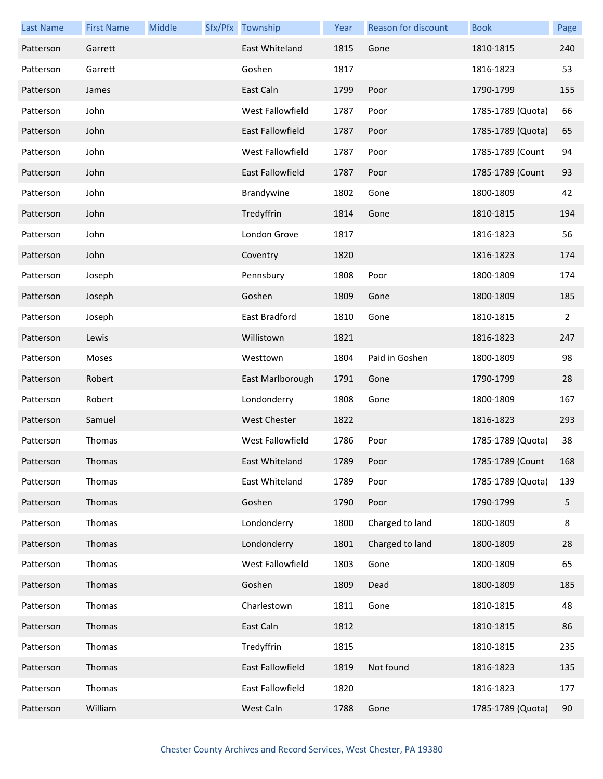| <b>Last Name</b> | <b>First Name</b> | Middle | Sfx/Pfx Township        | Year | <b>Reason for discount</b> | <b>Book</b>       | Page |
|------------------|-------------------|--------|-------------------------|------|----------------------------|-------------------|------|
| Patterson        | Garrett           |        | East Whiteland          | 1815 | Gone                       | 1810-1815         | 240  |
| Patterson        | Garrett           |        | Goshen                  | 1817 |                            | 1816-1823         | 53   |
| Patterson        | James             |        | East Caln               | 1799 | Poor                       | 1790-1799         | 155  |
| Patterson        | John              |        | West Fallowfield        | 1787 | Poor                       | 1785-1789 (Quota) | 66   |
| Patterson        | John              |        | <b>East Fallowfield</b> | 1787 | Poor                       | 1785-1789 (Quota) | 65   |
| Patterson        | John              |        | West Fallowfield        | 1787 | Poor                       | 1785-1789 (Count  | 94   |
| Patterson        | John              |        | <b>East Fallowfield</b> | 1787 | Poor                       | 1785-1789 (Count  | 93   |
| Patterson        | John              |        | Brandywine              | 1802 | Gone                       | 1800-1809         | 42   |
| Patterson        | John              |        | Tredyffrin              | 1814 | Gone                       | 1810-1815         | 194  |
| Patterson        | John              |        | London Grove            | 1817 |                            | 1816-1823         | 56   |
| Patterson        | John              |        | Coventry                | 1820 |                            | 1816-1823         | 174  |
| Patterson        | Joseph            |        | Pennsbury               | 1808 | Poor                       | 1800-1809         | 174  |
| Patterson        | Joseph            |        | Goshen                  | 1809 | Gone                       | 1800-1809         | 185  |
| Patterson        | Joseph            |        | East Bradford           | 1810 | Gone                       | 1810-1815         | 2    |
| Patterson        | Lewis             |        | Willistown              | 1821 |                            | 1816-1823         | 247  |
| Patterson        | Moses             |        | Westtown                | 1804 | Paid in Goshen             | 1800-1809         | 98   |
| Patterson        | Robert            |        | East Marlborough        | 1791 | Gone                       | 1790-1799         | 28   |
| Patterson        | Robert            |        | Londonderry             | 1808 | Gone                       | 1800-1809         | 167  |
| Patterson        | Samuel            |        | West Chester            | 1822 |                            | 1816-1823         | 293  |
| Patterson        | Thomas            |        | West Fallowfield        | 1786 | Poor                       | 1785-1789 (Quota) | 38   |
| Patterson        | Thomas            |        | East Whiteland          | 1789 | Poor                       | 1785-1789 (Count  | 168  |
| Patterson        | Thomas            |        | East Whiteland          | 1789 | Poor                       | 1785-1789 (Quota) | 139  |
| Patterson        | Thomas            |        | Goshen                  | 1790 | Poor                       | 1790-1799         | 5    |
| Patterson        | Thomas            |        | Londonderry             | 1800 | Charged to land            | 1800-1809         | 8    |
| Patterson        | Thomas            |        | Londonderry             | 1801 | Charged to land            | 1800-1809         | 28   |
| Patterson        | Thomas            |        | West Fallowfield        | 1803 | Gone                       | 1800-1809         | 65   |
| Patterson        | Thomas            |        | Goshen                  | 1809 | Dead                       | 1800-1809         | 185  |
| Patterson        | Thomas            |        | Charlestown             | 1811 | Gone                       | 1810-1815         | 48   |
| Patterson        | Thomas            |        | East Caln               | 1812 |                            | 1810-1815         | 86   |
| Patterson        | Thomas            |        | Tredyffrin              | 1815 |                            | 1810-1815         | 235  |
| Patterson        | Thomas            |        | East Fallowfield        | 1819 | Not found                  | 1816-1823         | 135  |
| Patterson        | Thomas            |        | East Fallowfield        | 1820 |                            | 1816-1823         | 177  |
| Patterson        | William           |        | West Caln               | 1788 | Gone                       | 1785-1789 (Quota) | 90   |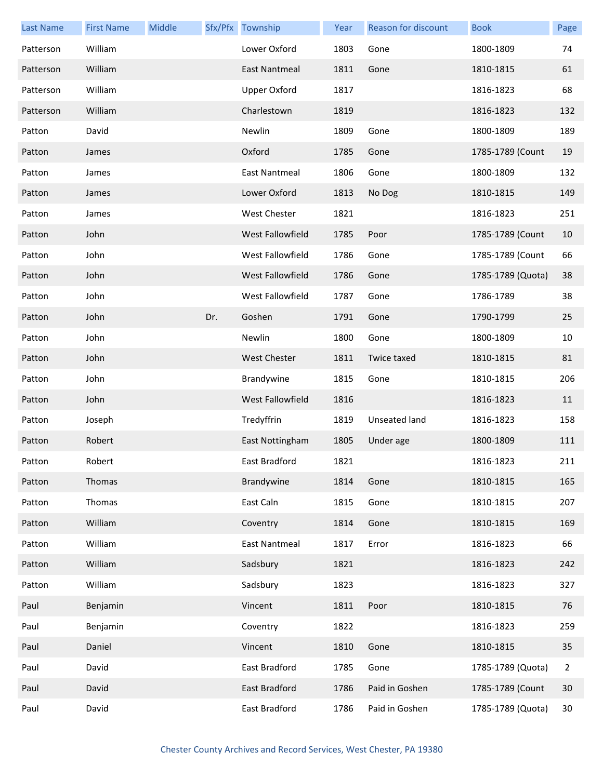| <b>Last Name</b> | <b>First Name</b> | Middle |     | Sfx/Pfx Township     | Year | <b>Reason for discount</b> | <b>Book</b>       | Page |
|------------------|-------------------|--------|-----|----------------------|------|----------------------------|-------------------|------|
| Patterson        | William           |        |     | Lower Oxford         | 1803 | Gone                       | 1800-1809         | 74   |
| Patterson        | William           |        |     | <b>East Nantmeal</b> | 1811 | Gone                       | 1810-1815         | 61   |
| Patterson        | William           |        |     | <b>Upper Oxford</b>  | 1817 |                            | 1816-1823         | 68   |
| Patterson        | William           |        |     | Charlestown          | 1819 |                            | 1816-1823         | 132  |
| Patton           | David             |        |     | Newlin               | 1809 | Gone                       | 1800-1809         | 189  |
| Patton           | James             |        |     | Oxford               | 1785 | Gone                       | 1785-1789 (Count  | 19   |
| Patton           | James             |        |     | <b>East Nantmeal</b> | 1806 | Gone                       | 1800-1809         | 132  |
| Patton           | James             |        |     | Lower Oxford         | 1813 | No Dog                     | 1810-1815         | 149  |
| Patton           | James             |        |     | West Chester         | 1821 |                            | 1816-1823         | 251  |
| Patton           | John              |        |     | West Fallowfield     | 1785 | Poor                       | 1785-1789 (Count  | 10   |
| Patton           | John              |        |     | West Fallowfield     | 1786 | Gone                       | 1785-1789 (Count  | 66   |
| Patton           | John              |        |     | West Fallowfield     | 1786 | Gone                       | 1785-1789 (Quota) | 38   |
| Patton           | John              |        |     | West Fallowfield     | 1787 | Gone                       | 1786-1789         | 38   |
| Patton           | John              |        | Dr. | Goshen               | 1791 | Gone                       | 1790-1799         | 25   |
| Patton           | John              |        |     | Newlin               | 1800 | Gone                       | 1800-1809         | 10   |
| Patton           | John              |        |     | <b>West Chester</b>  | 1811 | Twice taxed                | 1810-1815         | 81   |
| Patton           | John              |        |     | Brandywine           | 1815 | Gone                       | 1810-1815         | 206  |
| Patton           | John              |        |     | West Fallowfield     | 1816 |                            | 1816-1823         | 11   |
| Patton           | Joseph            |        |     | Tredyffrin           | 1819 | Unseated land              | 1816-1823         | 158  |
| Patton           | Robert            |        |     | East Nottingham      | 1805 | Under age                  | 1800-1809         | 111  |
| Patton           | Robert            |        |     | East Bradford        | 1821 |                            | 1816-1823         | 211  |
| Patton           | Thomas            |        |     | Brandywine           | 1814 | Gone                       | 1810-1815         | 165  |
| Patton           | Thomas            |        |     | East Caln            | 1815 | Gone                       | 1810-1815         | 207  |
| Patton           | William           |        |     | Coventry             | 1814 | Gone                       | 1810-1815         | 169  |
| Patton           | William           |        |     | <b>East Nantmeal</b> | 1817 | Error                      | 1816-1823         | 66   |
| Patton           | William           |        |     | Sadsbury             | 1821 |                            | 1816-1823         | 242  |
| Patton           | William           |        |     | Sadsbury             | 1823 |                            | 1816-1823         | 327  |
| Paul             | Benjamin          |        |     | Vincent              | 1811 | Poor                       | 1810-1815         | 76   |
| Paul             | Benjamin          |        |     | Coventry             | 1822 |                            | 1816-1823         | 259  |
| Paul             | Daniel            |        |     | Vincent              | 1810 | Gone                       | 1810-1815         | 35   |
| Paul             | David             |        |     | East Bradford        | 1785 | Gone                       | 1785-1789 (Quota) | 2    |
| Paul             | David             |        |     | East Bradford        | 1786 | Paid in Goshen             | 1785-1789 (Count  | 30   |
| Paul             | David             |        |     | East Bradford        | 1786 | Paid in Goshen             | 1785-1789 (Quota) | 30   |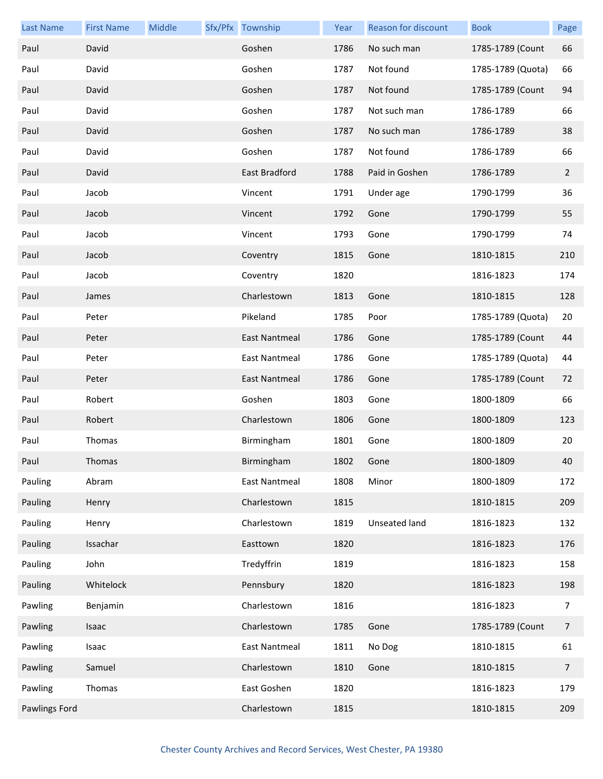| <b>Last Name</b>     | <b>First Name</b> | Middle | Sfx/Pfx Township     | Year | Reason for discount | <b>Book</b>       | Page           |
|----------------------|-------------------|--------|----------------------|------|---------------------|-------------------|----------------|
| Paul                 | David             |        | Goshen               | 1786 | No such man         | 1785-1789 (Count  | 66             |
| Paul                 | David             |        | Goshen               | 1787 | Not found           | 1785-1789 (Quota) | 66             |
| Paul                 | David             |        | Goshen               | 1787 | Not found           | 1785-1789 (Count  | 94             |
| Paul                 | David             |        | Goshen               | 1787 | Not such man        | 1786-1789         | 66             |
| Paul                 | David             |        | Goshen               | 1787 | No such man         | 1786-1789         | 38             |
| Paul                 | David             |        | Goshen               | 1787 | Not found           | 1786-1789         | 66             |
| Paul                 | David             |        | East Bradford        | 1788 | Paid in Goshen      | 1786-1789         | $\overline{2}$ |
| Paul                 | Jacob             |        | Vincent              | 1791 | Under age           | 1790-1799         | 36             |
| Paul                 | Jacob             |        | Vincent              | 1792 | Gone                | 1790-1799         | 55             |
| Paul                 | Jacob             |        | Vincent              | 1793 | Gone                | 1790-1799         | 74             |
| Paul                 | Jacob             |        | Coventry             | 1815 | Gone                | 1810-1815         | 210            |
| Paul                 | Jacob             |        | Coventry             | 1820 |                     | 1816-1823         | 174            |
| Paul                 | James             |        | Charlestown          | 1813 | Gone                | 1810-1815         | 128            |
| Paul                 | Peter             |        | Pikeland             | 1785 | Poor                | 1785-1789 (Quota) | 20             |
| Paul                 | Peter             |        | <b>East Nantmeal</b> | 1786 | Gone                | 1785-1789 (Count  | 44             |
| Paul                 | Peter             |        | <b>East Nantmeal</b> | 1786 | Gone                | 1785-1789 (Quota) | 44             |
| Paul                 | Peter             |        | East Nantmeal        | 1786 | Gone                | 1785-1789 (Count  | 72             |
| Paul                 | Robert            |        | Goshen               | 1803 | Gone                | 1800-1809         | 66             |
| Paul                 | Robert            |        | Charlestown          | 1806 | Gone                | 1800-1809         | 123            |
| Paul                 | Thomas            |        | Birmingham           | 1801 | Gone                | 1800-1809         | 20             |
| Paul                 | Thomas            |        | Birmingham           | 1802 | Gone                | 1800-1809         | 40             |
| Pauling              | Abram             |        | <b>East Nantmeal</b> | 1808 | Minor               | 1800-1809         | 172            |
| Pauling              | Henry             |        | Charlestown          | 1815 |                     | 1810-1815         | 209            |
| Pauling              | Henry             |        | Charlestown          | 1819 | Unseated land       | 1816-1823         | 132            |
| Pauling              | Issachar          |        | Easttown             | 1820 |                     | 1816-1823         | 176            |
| Pauling              | John              |        | Tredyffrin           | 1819 |                     | 1816-1823         | 158            |
| Pauling              | Whitelock         |        | Pennsbury            | 1820 |                     | 1816-1823         | 198            |
| Pawling              | Benjamin          |        | Charlestown          | 1816 |                     | 1816-1823         | 7              |
| Pawling              | Isaac             |        | Charlestown          | 1785 | Gone                | 1785-1789 (Count  | $\overline{7}$ |
| Pawling              | Isaac             |        | <b>East Nantmeal</b> | 1811 | No Dog              | 1810-1815         | 61             |
| Pawling              | Samuel            |        | Charlestown          | 1810 | Gone                | 1810-1815         | $\overline{7}$ |
| Pawling              | Thomas            |        | East Goshen          | 1820 |                     | 1816-1823         | 179            |
| <b>Pawlings Ford</b> |                   |        | Charlestown          | 1815 |                     | 1810-1815         | 209            |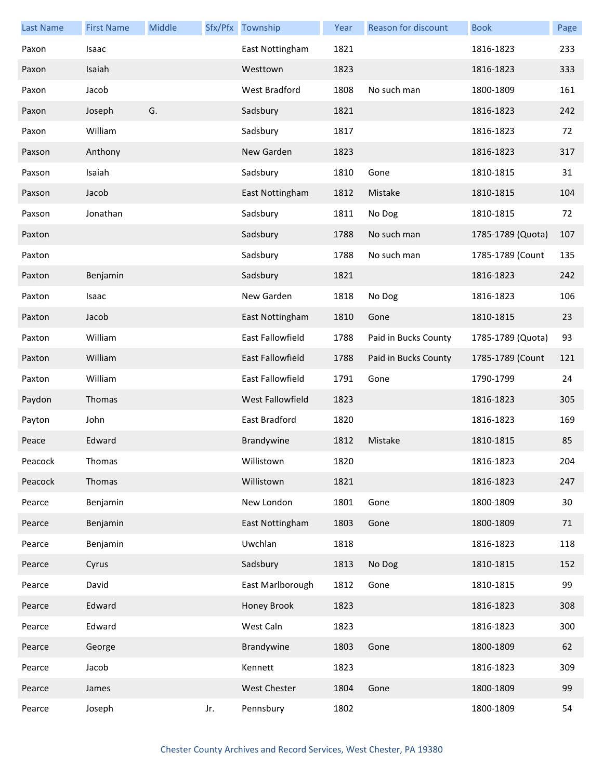| <b>Last Name</b> | <b>First Name</b> | Middle |     | Sfx/Pfx Township        | Year | <b>Reason for discount</b> | <b>Book</b>       | Page |
|------------------|-------------------|--------|-----|-------------------------|------|----------------------------|-------------------|------|
| Paxon            | Isaac             |        |     | East Nottingham         | 1821 |                            | 1816-1823         | 233  |
| Paxon            | Isaiah            |        |     | Westtown                | 1823 |                            | 1816-1823         | 333  |
| Paxon            | Jacob             |        |     | West Bradford           | 1808 | No such man                | 1800-1809         | 161  |
| Paxon            | Joseph            | G.     |     | Sadsbury                | 1821 |                            | 1816-1823         | 242  |
| Paxon            | William           |        |     | Sadsbury                | 1817 |                            | 1816-1823         | 72   |
| Paxson           | Anthony           |        |     | New Garden              | 1823 |                            | 1816-1823         | 317  |
| Paxson           | Isaiah            |        |     | Sadsbury                | 1810 | Gone                       | 1810-1815         | 31   |
| Paxson           | Jacob             |        |     | East Nottingham         | 1812 | Mistake                    | 1810-1815         | 104  |
| Paxson           | Jonathan          |        |     | Sadsbury                | 1811 | No Dog                     | 1810-1815         | 72   |
| Paxton           |                   |        |     | Sadsbury                | 1788 | No such man                | 1785-1789 (Quota) | 107  |
| Paxton           |                   |        |     | Sadsbury                | 1788 | No such man                | 1785-1789 (Count  | 135  |
| Paxton           | Benjamin          |        |     | Sadsbury                | 1821 |                            | 1816-1823         | 242  |
| Paxton           | Isaac             |        |     | New Garden              | 1818 | No Dog                     | 1816-1823         | 106  |
| Paxton           | Jacob             |        |     | East Nottingham         | 1810 | Gone                       | 1810-1815         | 23   |
| Paxton           | William           |        |     | East Fallowfield        | 1788 | Paid in Bucks County       | 1785-1789 (Quota) | 93   |
| Paxton           | William           |        |     | <b>East Fallowfield</b> | 1788 | Paid in Bucks County       | 1785-1789 (Count  | 121  |
| Paxton           | William           |        |     | East Fallowfield        | 1791 | Gone                       | 1790-1799         | 24   |
| Paydon           | Thomas            |        |     | West Fallowfield        | 1823 |                            | 1816-1823         | 305  |
| Payton           | John              |        |     | East Bradford           | 1820 |                            | 1816-1823         | 169  |
| Peace            | Edward            |        |     | Brandywine              | 1812 | Mistake                    | 1810-1815         | 85   |
| Peacock          | Thomas            |        |     | Willistown              | 1820 |                            | 1816-1823         | 204  |
| Peacock          | Thomas            |        |     | Willistown              | 1821 |                            | 1816-1823         | 247  |
| Pearce           | Benjamin          |        |     | New London              | 1801 | Gone                       | 1800-1809         | 30   |
| Pearce           | Benjamin          |        |     | East Nottingham         | 1803 | Gone                       | 1800-1809         | 71   |
| Pearce           | Benjamin          |        |     | Uwchlan                 | 1818 |                            | 1816-1823         | 118  |
| Pearce           | Cyrus             |        |     | Sadsbury                | 1813 | No Dog                     | 1810-1815         | 152  |
| Pearce           | David             |        |     | East Marlborough        | 1812 | Gone                       | 1810-1815         | 99   |
| Pearce           | Edward            |        |     | Honey Brook             | 1823 |                            | 1816-1823         | 308  |
| Pearce           | Edward            |        |     | West Caln               | 1823 |                            | 1816-1823         | 300  |
| Pearce           | George            |        |     | Brandywine              | 1803 | Gone                       | 1800-1809         | 62   |
| Pearce           | Jacob             |        |     | Kennett                 | 1823 |                            | 1816-1823         | 309  |
| Pearce           | James             |        |     | West Chester            | 1804 | Gone                       | 1800-1809         | 99   |
| Pearce           | Joseph            |        | Jr. | Pennsbury               | 1802 |                            | 1800-1809         | 54   |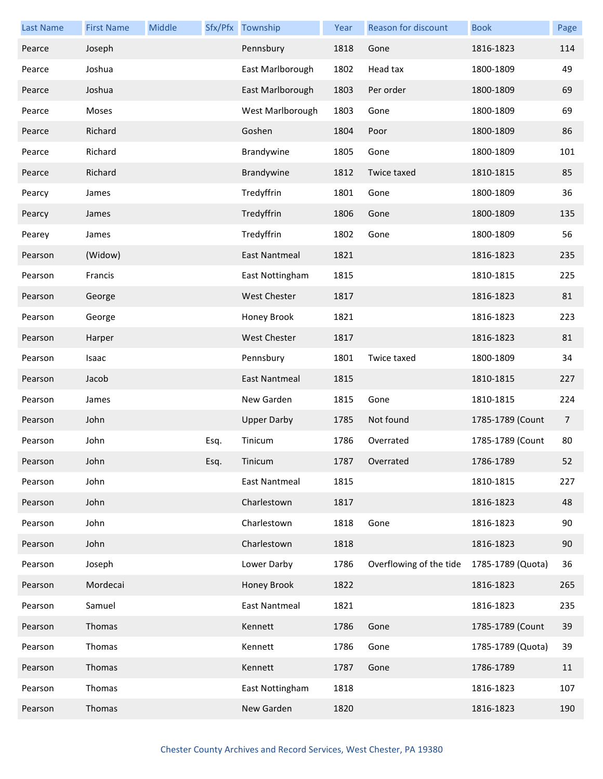| <b>Last Name</b> | <b>First Name</b> | Middle |      | Sfx/Pfx Township     | Year | Reason for discount     | <b>Book</b>       | Page |
|------------------|-------------------|--------|------|----------------------|------|-------------------------|-------------------|------|
| Pearce           | Joseph            |        |      | Pennsbury            | 1818 | Gone                    | 1816-1823         | 114  |
| Pearce           | Joshua            |        |      | East Marlborough     | 1802 | Head tax                | 1800-1809         | 49   |
| Pearce           | Joshua            |        |      | East Marlborough     | 1803 | Per order               | 1800-1809         | 69   |
| Pearce           | Moses             |        |      | West Marlborough     | 1803 | Gone                    | 1800-1809         | 69   |
| Pearce           | Richard           |        |      | Goshen               | 1804 | Poor                    | 1800-1809         | 86   |
| Pearce           | Richard           |        |      | Brandywine           | 1805 | Gone                    | 1800-1809         | 101  |
| Pearce           | Richard           |        |      | Brandywine           | 1812 | Twice taxed             | 1810-1815         | 85   |
| Pearcy           | James             |        |      | Tredyffrin           | 1801 | Gone                    | 1800-1809         | 36   |
| Pearcy           | James             |        |      | Tredyffrin           | 1806 | Gone                    | 1800-1809         | 135  |
| Pearey           | James             |        |      | Tredyffrin           | 1802 | Gone                    | 1800-1809         | 56   |
| Pearson          | (Widow)           |        |      | East Nantmeal        | 1821 |                         | 1816-1823         | 235  |
| Pearson          | Francis           |        |      | East Nottingham      | 1815 |                         | 1810-1815         | 225  |
| Pearson          | George            |        |      | <b>West Chester</b>  | 1817 |                         | 1816-1823         | 81   |
| Pearson          | George            |        |      | Honey Brook          | 1821 |                         | 1816-1823         | 223  |
| Pearson          | Harper            |        |      | <b>West Chester</b>  | 1817 |                         | 1816-1823         | 81   |
| Pearson          | Isaac             |        |      | Pennsbury            | 1801 | Twice taxed             | 1800-1809         | 34   |
| Pearson          | Jacob             |        |      | East Nantmeal        | 1815 |                         | 1810-1815         | 227  |
| Pearson          | James             |        |      | New Garden           | 1815 | Gone                    | 1810-1815         | 224  |
| Pearson          | John              |        |      | <b>Upper Darby</b>   | 1785 | Not found               | 1785-1789 (Count  | 7    |
| Pearson          | John              |        | Esq. | Tinicum              | 1786 | Overrated               | 1785-1789 (Count  | 80   |
| Pearson          | John              |        | Esq. | Tinicum              | 1787 | Overrated               | 1786-1789         | 52   |
| Pearson          | John              |        |      | East Nantmeal        | 1815 |                         | 1810-1815         | 227  |
| Pearson          | John              |        |      | Charlestown          | 1817 |                         | 1816-1823         | 48   |
| Pearson          | John              |        |      | Charlestown          | 1818 | Gone                    | 1816-1823         | 90   |
| Pearson          | John              |        |      | Charlestown          | 1818 |                         | 1816-1823         | 90   |
| Pearson          | Joseph            |        |      | Lower Darby          | 1786 | Overflowing of the tide | 1785-1789 (Quota) | 36   |
| Pearson          | Mordecai          |        |      | Honey Brook          | 1822 |                         | 1816-1823         | 265  |
| Pearson          | Samuel            |        |      | <b>East Nantmeal</b> | 1821 |                         | 1816-1823         | 235  |
| Pearson          | Thomas            |        |      | Kennett              | 1786 | Gone                    | 1785-1789 (Count  | 39   |
| Pearson          | Thomas            |        |      | Kennett              | 1786 | Gone                    | 1785-1789 (Quota) | 39   |
| Pearson          | Thomas            |        |      | Kennett              | 1787 | Gone                    | 1786-1789         | 11   |
| Pearson          | Thomas            |        |      | East Nottingham      | 1818 |                         | 1816-1823         | 107  |
| Pearson          | Thomas            |        |      | New Garden           | 1820 |                         | 1816-1823         | 190  |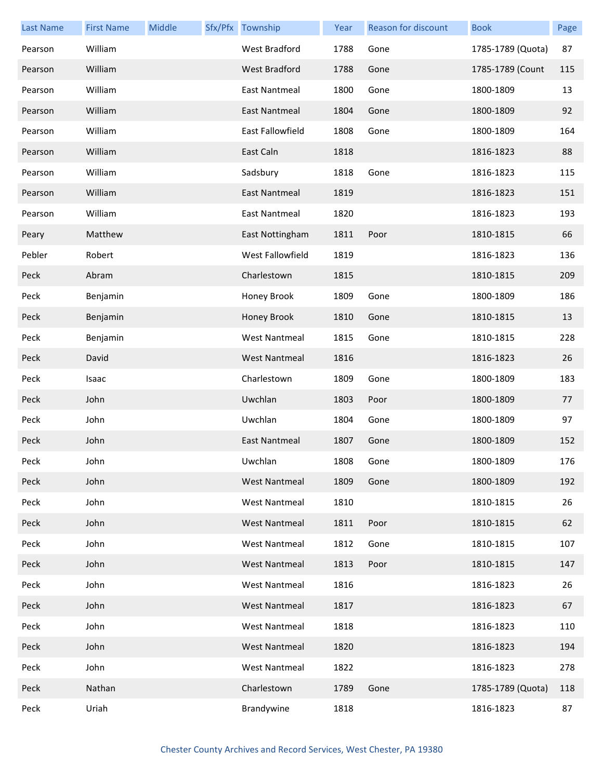| <b>Last Name</b> | <b>First Name</b> | Middle | Sfx/Pfx Township     | Year | <b>Reason for discount</b> | <b>Book</b>       | Page |
|------------------|-------------------|--------|----------------------|------|----------------------------|-------------------|------|
| Pearson          | William           |        | West Bradford        | 1788 | Gone                       | 1785-1789 (Quota) | 87   |
| Pearson          | William           |        | <b>West Bradford</b> | 1788 | Gone                       | 1785-1789 (Count  | 115  |
| Pearson          | William           |        | East Nantmeal        | 1800 | Gone                       | 1800-1809         | 13   |
| Pearson          | William           |        | East Nantmeal        | 1804 | Gone                       | 1800-1809         | 92   |
| Pearson          | William           |        | East Fallowfield     | 1808 | Gone                       | 1800-1809         | 164  |
| Pearson          | William           |        | East Caln            | 1818 |                            | 1816-1823         | 88   |
| Pearson          | William           |        | Sadsbury             | 1818 | Gone                       | 1816-1823         | 115  |
| Pearson          | William           |        | East Nantmeal        | 1819 |                            | 1816-1823         | 151  |
| Pearson          | William           |        | <b>East Nantmeal</b> | 1820 |                            | 1816-1823         | 193  |
| Peary            | Matthew           |        | East Nottingham      | 1811 | Poor                       | 1810-1815         | 66   |
| Pebler           | Robert            |        | West Fallowfield     | 1819 |                            | 1816-1823         | 136  |
| Peck             | Abram             |        | Charlestown          | 1815 |                            | 1810-1815         | 209  |
| Peck             | Benjamin          |        | Honey Brook          | 1809 | Gone                       | 1800-1809         | 186  |
| Peck             | Benjamin          |        | Honey Brook          | 1810 | Gone                       | 1810-1815         | 13   |
| Peck             | Benjamin          |        | <b>West Nantmeal</b> | 1815 | Gone                       | 1810-1815         | 228  |
| Peck             | David             |        | <b>West Nantmeal</b> | 1816 |                            | 1816-1823         | 26   |
| Peck             | Isaac             |        | Charlestown          | 1809 | Gone                       | 1800-1809         | 183  |
| Peck             | John              |        | Uwchlan              | 1803 | Poor                       | 1800-1809         | 77   |
| Peck             | John              |        | Uwchlan              | 1804 | Gone                       | 1800-1809         | 97   |
| Peck             | John              |        | <b>East Nantmeal</b> | 1807 | Gone                       | 1800-1809         | 152  |
| Peck             | John              |        | Uwchlan              | 1808 | Gone                       | 1800-1809         | 176  |
| Peck             | John              |        | West Nantmeal        | 1809 | Gone                       | 1800-1809         | 192  |
| Peck             | John              |        | <b>West Nantmeal</b> | 1810 |                            | 1810-1815         | 26   |
| Peck             | John              |        | <b>West Nantmeal</b> | 1811 | Poor                       | 1810-1815         | 62   |
| Peck             | John              |        | <b>West Nantmeal</b> | 1812 | Gone                       | 1810-1815         | 107  |
| Peck             | John              |        | <b>West Nantmeal</b> | 1813 | Poor                       | 1810-1815         | 147  |
| Peck             | John              |        | <b>West Nantmeal</b> | 1816 |                            | 1816-1823         | 26   |
| Peck             | John              |        | <b>West Nantmeal</b> | 1817 |                            | 1816-1823         | 67   |
| Peck             | John              |        | <b>West Nantmeal</b> | 1818 |                            | 1816-1823         | 110  |
| Peck             | John              |        | <b>West Nantmeal</b> | 1820 |                            | 1816-1823         | 194  |
| Peck             | John              |        | <b>West Nantmeal</b> | 1822 |                            | 1816-1823         | 278  |
| Peck             | Nathan            |        | Charlestown          | 1789 | Gone                       | 1785-1789 (Quota) | 118  |
| Peck             | Uriah             |        | Brandywine           | 1818 |                            | 1816-1823         | 87   |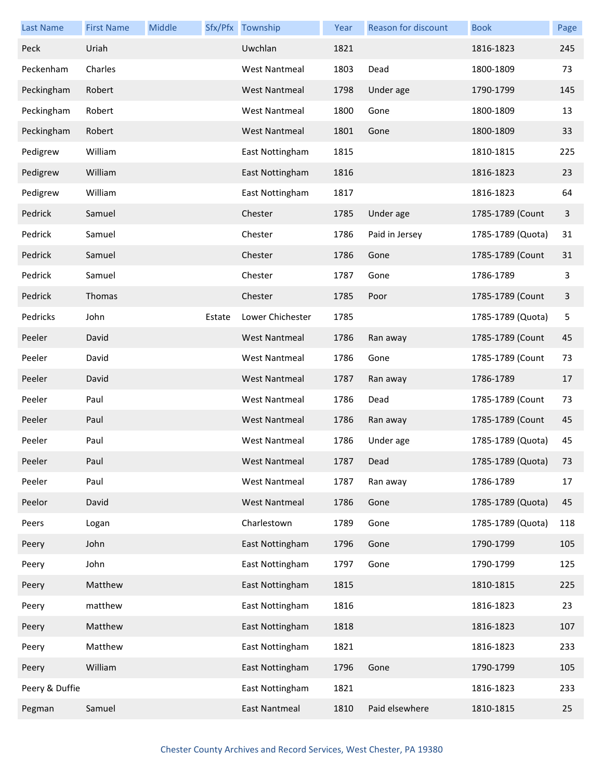| <b>Last Name</b> | <b>First Name</b> | Middle |        | Sfx/Pfx Township     | Year | <b>Reason for discount</b> | <b>Book</b>       | Page |
|------------------|-------------------|--------|--------|----------------------|------|----------------------------|-------------------|------|
| Peck             | Uriah             |        |        | Uwchlan              | 1821 |                            | 1816-1823         | 245  |
| Peckenham        | Charles           |        |        | <b>West Nantmeal</b> | 1803 | Dead                       | 1800-1809         | 73   |
| Peckingham       | Robert            |        |        | <b>West Nantmeal</b> | 1798 | Under age                  | 1790-1799         | 145  |
| Peckingham       | Robert            |        |        | <b>West Nantmeal</b> | 1800 | Gone                       | 1800-1809         | 13   |
| Peckingham       | Robert            |        |        | <b>West Nantmeal</b> | 1801 | Gone                       | 1800-1809         | 33   |
| Pedigrew         | William           |        |        | East Nottingham      | 1815 |                            | 1810-1815         | 225  |
| Pedigrew         | William           |        |        | East Nottingham      | 1816 |                            | 1816-1823         | 23   |
| Pedigrew         | William           |        |        | East Nottingham      | 1817 |                            | 1816-1823         | 64   |
| Pedrick          | Samuel            |        |        | Chester              | 1785 | Under age                  | 1785-1789 (Count  | 3    |
| Pedrick          | Samuel            |        |        | Chester              | 1786 | Paid in Jersey             | 1785-1789 (Quota) | 31   |
| Pedrick          | Samuel            |        |        | Chester              | 1786 | Gone                       | 1785-1789 (Count  | 31   |
| Pedrick          | Samuel            |        |        | Chester              | 1787 | Gone                       | 1786-1789         | 3    |
| Pedrick          | Thomas            |        |        | Chester              | 1785 | Poor                       | 1785-1789 (Count  | 3    |
| Pedricks         | John              |        | Estate | Lower Chichester     | 1785 |                            | 1785-1789 (Quota) | 5    |
| Peeler           | David             |        |        | <b>West Nantmeal</b> | 1786 | Ran away                   | 1785-1789 (Count  | 45   |
| Peeler           | David             |        |        | <b>West Nantmeal</b> | 1786 | Gone                       | 1785-1789 (Count  | 73   |
| Peeler           | David             |        |        | <b>West Nantmeal</b> | 1787 | Ran away                   | 1786-1789         | 17   |
| Peeler           | Paul              |        |        | <b>West Nantmeal</b> | 1786 | Dead                       | 1785-1789 (Count  | 73   |
| Peeler           | Paul              |        |        | <b>West Nantmeal</b> | 1786 | Ran away                   | 1785-1789 (Count  | 45   |
| Peeler           | Paul              |        |        | <b>West Nantmeal</b> | 1786 | Under age                  | 1785-1789 (Quota) | 45   |
| Peeler           | Paul              |        |        | West Nantmeal        | 1787 | Dead                       | 1785-1789 (Quota) | 73   |
| Peeler           | Paul              |        |        | <b>West Nantmeal</b> | 1787 | Ran away                   | 1786-1789         | 17   |
| Peelor           | David             |        |        | <b>West Nantmeal</b> | 1786 | Gone                       | 1785-1789 (Quota) | 45   |
| Peers            | Logan             |        |        | Charlestown          | 1789 | Gone                       | 1785-1789 (Quota) | 118  |
| Peery            | John              |        |        | East Nottingham      | 1796 | Gone                       | 1790-1799         | 105  |
| Peery            | John              |        |        | East Nottingham      | 1797 | Gone                       | 1790-1799         | 125  |
| Peery            | Matthew           |        |        | East Nottingham      | 1815 |                            | 1810-1815         | 225  |
| Peery            | matthew           |        |        | East Nottingham      | 1816 |                            | 1816-1823         | 23   |
| Peery            | Matthew           |        |        | East Nottingham      | 1818 |                            | 1816-1823         | 107  |
| Peery            | Matthew           |        |        | East Nottingham      | 1821 |                            | 1816-1823         | 233  |
| Peery            | William           |        |        | East Nottingham      | 1796 | Gone                       | 1790-1799         | 105  |
| Peery & Duffie   |                   |        |        | East Nottingham      | 1821 |                            | 1816-1823         | 233  |
| Pegman           | Samuel            |        |        | <b>East Nantmeal</b> | 1810 | Paid elsewhere             | 1810-1815         | 25   |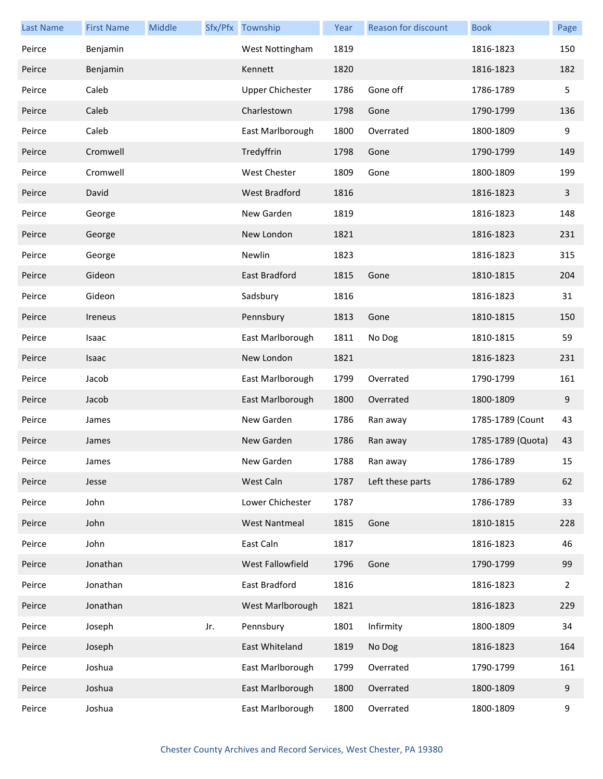| <b>Last Name</b> | <b>First Name</b> | Middle |     | Sfx/Pfx Township        | Year | Reason for discount | <b>Book</b>       | Page           |
|------------------|-------------------|--------|-----|-------------------------|------|---------------------|-------------------|----------------|
| Peirce           | Benjamin          |        |     | West Nottingham         | 1819 |                     | 1816-1823         | 150            |
| Peirce           | Benjamin          |        |     | Kennett                 | 1820 |                     | 1816-1823         | 182            |
| Peirce           | Caleb             |        |     | <b>Upper Chichester</b> | 1786 | Gone off            | 1786-1789         | 5              |
| Peirce           | Caleb             |        |     | Charlestown             | 1798 | Gone                | 1790-1799         | 136            |
| Peirce           | Caleb             |        |     | East Marlborough        | 1800 | Overrated           | 1800-1809         | 9              |
| Peirce           | Cromwell          |        |     | Tredyffrin              | 1798 | Gone                | 1790-1799         | 149            |
| Peirce           | Cromwell          |        |     | <b>West Chester</b>     | 1809 | Gone                | 1800-1809         | 199            |
| Peirce           | David             |        |     | West Bradford           | 1816 |                     | 1816-1823         | 3              |
| Peirce           | George            |        |     | New Garden              | 1819 |                     | 1816-1823         | 148            |
| Peirce           | George            |        |     | New London              | 1821 |                     | 1816-1823         | 231            |
| Peirce           | George            |        |     | Newlin                  | 1823 |                     | 1816-1823         | 315            |
| Peirce           | Gideon            |        |     | East Bradford           | 1815 | Gone                | 1810-1815         | 204            |
| Peirce           | Gideon            |        |     | Sadsbury                | 1816 |                     | 1816-1823         | 31             |
| Peirce           | Ireneus           |        |     | Pennsbury               | 1813 | Gone                | 1810-1815         | 150            |
| Peirce           | Isaac             |        |     | East Marlborough        | 1811 | No Dog              | 1810-1815         | 59             |
| Peirce           | Isaac             |        |     | New London              | 1821 |                     | 1816-1823         | 231            |
| Peirce           | Jacob             |        |     | East Marlborough        | 1799 | Overrated           | 1790-1799         | 161            |
| Peirce           | Jacob             |        |     | East Marlborough        | 1800 | Overrated           | 1800-1809         | 9              |
| Peirce           | James             |        |     | New Garden              | 1786 | Ran away            | 1785-1789 (Count  | 43             |
| Peirce           | James             |        |     | New Garden              | 1786 | Ran away            | 1785-1789 (Quota) | 43             |
| Peirce           | James             |        |     | New Garden              | 1788 | Ran away            | 1786-1789         | 15             |
| Peirce           | Jesse             |        |     | West Caln               | 1787 | Left these parts    | 1786-1789         | 62             |
| Peirce           | John              |        |     | Lower Chichester        | 1787 |                     | 1786-1789         | 33             |
| Peirce           | John              |        |     | <b>West Nantmeal</b>    | 1815 | Gone                | 1810-1815         | 228            |
| Peirce           | John              |        |     | East Caln               | 1817 |                     | 1816-1823         | 46             |
| Peirce           | Jonathan          |        |     | West Fallowfield        | 1796 | Gone                | 1790-1799         | 99             |
| Peirce           | Jonathan          |        |     | East Bradford           | 1816 |                     | 1816-1823         | $\overline{2}$ |
| Peirce           | Jonathan          |        |     | West Marlborough        | 1821 |                     | 1816-1823         | 229            |
| Peirce           | Joseph            |        | Jr. | Pennsbury               | 1801 | Infirmity           | 1800-1809         | 34             |
| Peirce           | Joseph            |        |     | East Whiteland          | 1819 | No Dog              | 1816-1823         | 164            |
| Peirce           | Joshua            |        |     | East Marlborough        | 1799 | Overrated           | 1790-1799         | 161            |
| Peirce           | Joshua            |        |     | East Marlborough        | 1800 | Overrated           | 1800-1809         | 9              |
| Peirce           | Joshua            |        |     | East Marlborough        | 1800 | Overrated           | 1800-1809         | 9              |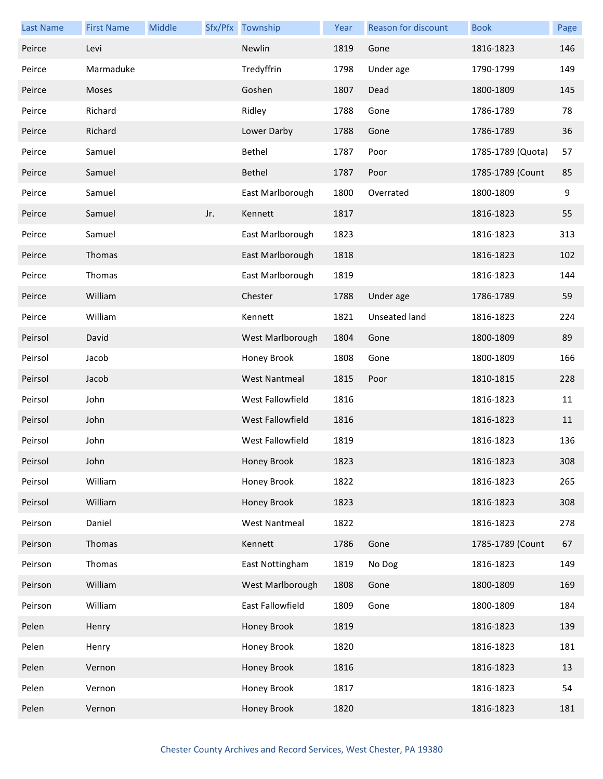| <b>Last Name</b> | <b>First Name</b> | Middle |     | Sfx/Pfx Township     | Year | <b>Reason for discount</b> | <b>Book</b>       | Page |
|------------------|-------------------|--------|-----|----------------------|------|----------------------------|-------------------|------|
| Peirce           | Levi              |        |     | Newlin               | 1819 | Gone                       | 1816-1823         | 146  |
| Peirce           | Marmaduke         |        |     | Tredyffrin           | 1798 | Under age                  | 1790-1799         | 149  |
| Peirce           | Moses             |        |     | Goshen               | 1807 | Dead                       | 1800-1809         | 145  |
| Peirce           | Richard           |        |     | Ridley               | 1788 | Gone                       | 1786-1789         | 78   |
| Peirce           | Richard           |        |     | Lower Darby          | 1788 | Gone                       | 1786-1789         | 36   |
| Peirce           | Samuel            |        |     | Bethel               | 1787 | Poor                       | 1785-1789 (Quota) | 57   |
| Peirce           | Samuel            |        |     | Bethel               | 1787 | Poor                       | 1785-1789 (Count  | 85   |
| Peirce           | Samuel            |        |     | East Marlborough     | 1800 | Overrated                  | 1800-1809         | 9    |
| Peirce           | Samuel            |        | Jr. | Kennett              | 1817 |                            | 1816-1823         | 55   |
| Peirce           | Samuel            |        |     | East Marlborough     | 1823 |                            | 1816-1823         | 313  |
| Peirce           | Thomas            |        |     | East Marlborough     | 1818 |                            | 1816-1823         | 102  |
| Peirce           | Thomas            |        |     | East Marlborough     | 1819 |                            | 1816-1823         | 144  |
| Peirce           | William           |        |     | Chester              | 1788 | Under age                  | 1786-1789         | 59   |
| Peirce           | William           |        |     | Kennett              | 1821 | Unseated land              | 1816-1823         | 224  |
| Peirsol          | David             |        |     | West Marlborough     | 1804 | Gone                       | 1800-1809         | 89   |
| Peirsol          | Jacob             |        |     | Honey Brook          | 1808 | Gone                       | 1800-1809         | 166  |
| Peirsol          | Jacob             |        |     | <b>West Nantmeal</b> | 1815 | Poor                       | 1810-1815         | 228  |
| Peirsol          | John              |        |     | West Fallowfield     | 1816 |                            | 1816-1823         | 11   |
| Peirsol          | John              |        |     | West Fallowfield     | 1816 |                            | 1816-1823         | 11   |
| Peirsol          | John              |        |     | West Fallowfield     | 1819 |                            | 1816-1823         | 136  |
| Peirsol          | John              |        |     | Honey Brook          | 1823 |                            | 1816-1823         | 308  |
| Peirsol          | William           |        |     | Honey Brook          | 1822 |                            | 1816-1823         | 265  |
| Peirsol          | William           |        |     | Honey Brook          | 1823 |                            | 1816-1823         | 308  |
| Peirson          | Daniel            |        |     | <b>West Nantmeal</b> | 1822 |                            | 1816-1823         | 278  |
| Peirson          | Thomas            |        |     | Kennett              | 1786 | Gone                       | 1785-1789 (Count  | 67   |
| Peirson          | Thomas            |        |     | East Nottingham      | 1819 | No Dog                     | 1816-1823         | 149  |
| Peirson          | William           |        |     | West Marlborough     | 1808 | Gone                       | 1800-1809         | 169  |
| Peirson          | William           |        |     | East Fallowfield     | 1809 | Gone                       | 1800-1809         | 184  |
| Pelen            | Henry             |        |     | Honey Brook          | 1819 |                            | 1816-1823         | 139  |
| Pelen            | Henry             |        |     | Honey Brook          | 1820 |                            | 1816-1823         | 181  |
| Pelen            | Vernon            |        |     | Honey Brook          | 1816 |                            | 1816-1823         | 13   |
| Pelen            | Vernon            |        |     | Honey Brook          | 1817 |                            | 1816-1823         | 54   |
| Pelen            | Vernon            |        |     | Honey Brook          | 1820 |                            | 1816-1823         | 181  |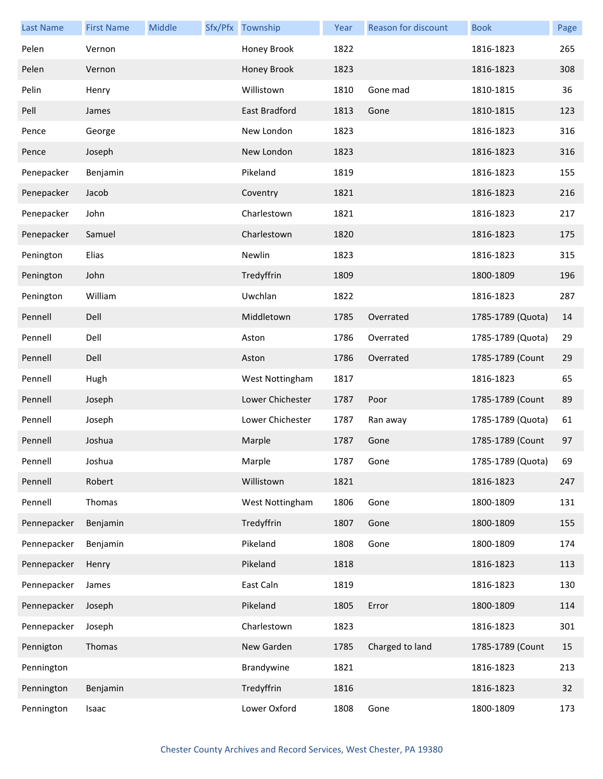| <b>Last Name</b> | <b>First Name</b> | Middle | Sfx/Pfx Township | Year | Reason for discount | <b>Book</b>       | Page |
|------------------|-------------------|--------|------------------|------|---------------------|-------------------|------|
| Pelen            | Vernon            |        | Honey Brook      | 1822 |                     | 1816-1823         | 265  |
| Pelen            | Vernon            |        | Honey Brook      | 1823 |                     | 1816-1823         | 308  |
| Pelin            | Henry             |        | Willistown       | 1810 | Gone mad            | 1810-1815         | 36   |
| Pell             | James             |        | East Bradford    | 1813 | Gone                | 1810-1815         | 123  |
| Pence            | George            |        | New London       | 1823 |                     | 1816-1823         | 316  |
| Pence            | Joseph            |        | New London       | 1823 |                     | 1816-1823         | 316  |
| Penepacker       | Benjamin          |        | Pikeland         | 1819 |                     | 1816-1823         | 155  |
| Penepacker       | Jacob             |        | Coventry         | 1821 |                     | 1816-1823         | 216  |
| Penepacker       | John              |        | Charlestown      | 1821 |                     | 1816-1823         | 217  |
| Penepacker       | Samuel            |        | Charlestown      | 1820 |                     | 1816-1823         | 175  |
| Penington        | Elias             |        | Newlin           | 1823 |                     | 1816-1823         | 315  |
| Penington        | John              |        | Tredyffrin       | 1809 |                     | 1800-1809         | 196  |
| Penington        | William           |        | Uwchlan          | 1822 |                     | 1816-1823         | 287  |
| Pennell          | Dell              |        | Middletown       | 1785 | Overrated           | 1785-1789 (Quota) | 14   |
| Pennell          | Dell              |        | Aston            | 1786 | Overrated           | 1785-1789 (Quota) | 29   |
| Pennell          | Dell              |        | Aston            | 1786 | Overrated           | 1785-1789 (Count  | 29   |
| Pennell          | Hugh              |        | West Nottingham  | 1817 |                     | 1816-1823         | 65   |
| Pennell          | Joseph            |        | Lower Chichester | 1787 | Poor                | 1785-1789 (Count  | 89   |
| Pennell          | Joseph            |        | Lower Chichester | 1787 | Ran away            | 1785-1789 (Quota) | 61   |
| Pennell          | Joshua            |        | Marple           | 1787 | Gone                | 1785-1789 (Count  | 97   |
| Pennell          | Joshua            |        | Marple           | 1787 | Gone                | 1785-1789 (Quota) | 69   |
| Pennell          | Robert            |        | Willistown       | 1821 |                     | 1816-1823         | 247  |
| Pennell          | Thomas            |        | West Nottingham  | 1806 | Gone                | 1800-1809         | 131  |
| Pennepacker      | Benjamin          |        | Tredyffrin       | 1807 | Gone                | 1800-1809         | 155  |
| Pennepacker      | Benjamin          |        | Pikeland         | 1808 | Gone                | 1800-1809         | 174  |
| Pennepacker      | Henry             |        | Pikeland         | 1818 |                     | 1816-1823         | 113  |
| Pennepacker      | James             |        | East Caln        | 1819 |                     | 1816-1823         | 130  |
| Pennepacker      | Joseph            |        | Pikeland         | 1805 | Error               | 1800-1809         | 114  |
| Pennepacker      | Joseph            |        | Charlestown      | 1823 |                     | 1816-1823         | 301  |
| Pennigton        | Thomas            |        | New Garden       | 1785 | Charged to land     | 1785-1789 (Count  | 15   |
| Pennington       |                   |        | Brandywine       | 1821 |                     | 1816-1823         | 213  |
| Pennington       | Benjamin          |        | Tredyffrin       | 1816 |                     | 1816-1823         | 32   |
| Pennington       | Isaac             |        | Lower Oxford     | 1808 | Gone                | 1800-1809         | 173  |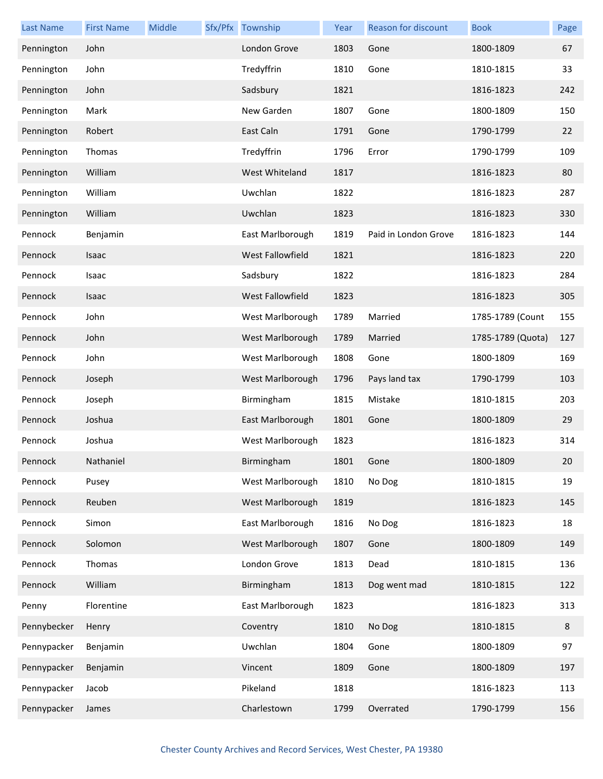| <b>Last Name</b> | <b>First Name</b> | Middle | Sfx/Pfx Township        | Year | Reason for discount  | <b>Book</b>       | Page |
|------------------|-------------------|--------|-------------------------|------|----------------------|-------------------|------|
| Pennington       | John              |        | London Grove            | 1803 | Gone                 | 1800-1809         | 67   |
| Pennington       | John              |        | Tredyffrin              | 1810 | Gone                 | 1810-1815         | 33   |
| Pennington       | John              |        | Sadsbury                | 1821 |                      | 1816-1823         | 242  |
| Pennington       | Mark              |        | New Garden              | 1807 | Gone                 | 1800-1809         | 150  |
| Pennington       | Robert            |        | East Caln               | 1791 | Gone                 | 1790-1799         | 22   |
| Pennington       | Thomas            |        | Tredyffrin              | 1796 | Error                | 1790-1799         | 109  |
| Pennington       | William           |        | West Whiteland          | 1817 |                      | 1816-1823         | 80   |
| Pennington       | William           |        | Uwchlan                 | 1822 |                      | 1816-1823         | 287  |
| Pennington       | William           |        | Uwchlan                 | 1823 |                      | 1816-1823         | 330  |
| Pennock          | Benjamin          |        | East Marlborough        | 1819 | Paid in London Grove | 1816-1823         | 144  |
| Pennock          | <b>Isaac</b>      |        | <b>West Fallowfield</b> | 1821 |                      | 1816-1823         | 220  |
| Pennock          | Isaac             |        | Sadsbury                | 1822 |                      | 1816-1823         | 284  |
| Pennock          | Isaac             |        | West Fallowfield        | 1823 |                      | 1816-1823         | 305  |
| Pennock          | John              |        | West Marlborough        | 1789 | Married              | 1785-1789 (Count  | 155  |
| Pennock          | John              |        | West Marlborough        | 1789 | Married              | 1785-1789 (Quota) | 127  |
| Pennock          | John              |        | West Marlborough        | 1808 | Gone                 | 1800-1809         | 169  |
| Pennock          | Joseph            |        | West Marlborough        | 1796 | Pays land tax        | 1790-1799         | 103  |
| Pennock          | Joseph            |        | Birmingham              | 1815 | Mistake              | 1810-1815         | 203  |
| Pennock          | Joshua            |        | East Marlborough        | 1801 | Gone                 | 1800-1809         | 29   |
| Pennock          | Joshua            |        | West Marlborough        | 1823 |                      | 1816-1823         | 314  |
| Pennock          | Nathaniel         |        | Birmingham              | 1801 | Gone                 | 1800-1809         | 20   |
| Pennock          | Pusey             |        | West Marlborough        | 1810 | No Dog               | 1810-1815         | 19   |
| Pennock          | Reuben            |        | West Marlborough        | 1819 |                      | 1816-1823         | 145  |
| Pennock          | Simon             |        | East Marlborough        | 1816 | No Dog               | 1816-1823         | 18   |
| Pennock          | Solomon           |        | West Marlborough        | 1807 | Gone                 | 1800-1809         | 149  |
| Pennock          | Thomas            |        | London Grove            | 1813 | Dead                 | 1810-1815         | 136  |
| Pennock          | William           |        | Birmingham              | 1813 | Dog went mad         | 1810-1815         | 122  |
| Penny            | Florentine        |        | East Marlborough        | 1823 |                      | 1816-1823         | 313  |
| Pennybecker      | Henry             |        | Coventry                | 1810 | No Dog               | 1810-1815         | 8    |
| Pennypacker      | Benjamin          |        | Uwchlan                 | 1804 | Gone                 | 1800-1809         | 97   |
| Pennypacker      | Benjamin          |        | Vincent                 | 1809 | Gone                 | 1800-1809         | 197  |
| Pennypacker      | Jacob             |        | Pikeland                | 1818 |                      | 1816-1823         | 113  |
| Pennypacker      | James             |        | Charlestown             | 1799 | Overrated            | 1790-1799         | 156  |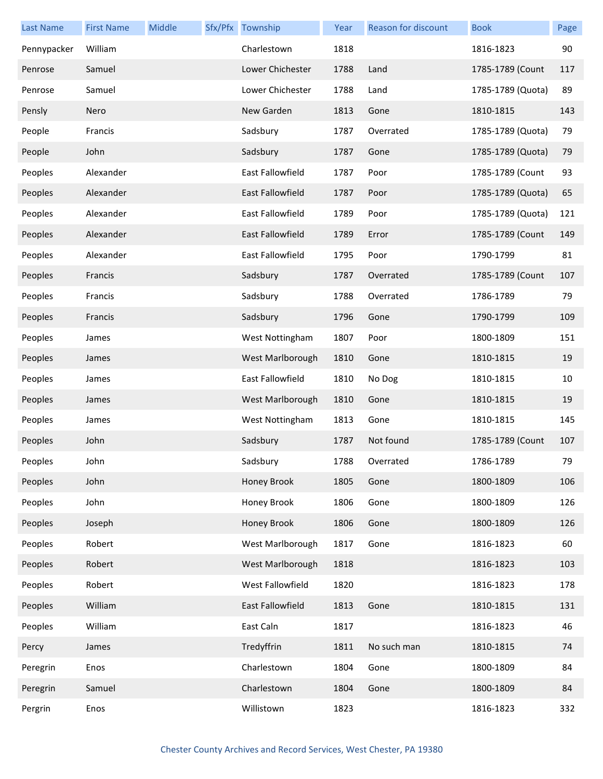| Last Name   | <b>First Name</b> | Middle | Sfx/Pfx Township        | Year | <b>Reason for discount</b> | <b>Book</b>       | Page |
|-------------|-------------------|--------|-------------------------|------|----------------------------|-------------------|------|
| Pennypacker | William           |        | Charlestown             | 1818 |                            | 1816-1823         | 90   |
| Penrose     | Samuel            |        | Lower Chichester        | 1788 | Land                       | 1785-1789 (Count  | 117  |
| Penrose     | Samuel            |        | Lower Chichester        | 1788 | Land                       | 1785-1789 (Quota) | 89   |
| Pensly      | Nero              |        | New Garden              | 1813 | Gone                       | 1810-1815         | 143  |
| People      | Francis           |        | Sadsbury                | 1787 | Overrated                  | 1785-1789 (Quota) | 79   |
| People      | John              |        | Sadsbury                | 1787 | Gone                       | 1785-1789 (Quota) | 79   |
| Peoples     | Alexander         |        | East Fallowfield        | 1787 | Poor                       | 1785-1789 (Count  | 93   |
| Peoples     | Alexander         |        | <b>East Fallowfield</b> | 1787 | Poor                       | 1785-1789 (Quota) | 65   |
| Peoples     | Alexander         |        | <b>East Fallowfield</b> | 1789 | Poor                       | 1785-1789 (Quota) | 121  |
| Peoples     | Alexander         |        | <b>East Fallowfield</b> | 1789 | Error                      | 1785-1789 (Count  | 149  |
| Peoples     | Alexander         |        | East Fallowfield        | 1795 | Poor                       | 1790-1799         | 81   |
| Peoples     | Francis           |        | Sadsbury                | 1787 | Overrated                  | 1785-1789 (Count  | 107  |
| Peoples     | Francis           |        | Sadsbury                | 1788 | Overrated                  | 1786-1789         | 79   |
| Peoples     | Francis           |        | Sadsbury                | 1796 | Gone                       | 1790-1799         | 109  |
| Peoples     | James             |        | West Nottingham         | 1807 | Poor                       | 1800-1809         | 151  |
| Peoples     | James             |        | West Marlborough        | 1810 | Gone                       | 1810-1815         | 19   |
| Peoples     | James             |        | East Fallowfield        | 1810 | No Dog                     | 1810-1815         | 10   |
| Peoples     | James             |        | West Marlborough        | 1810 | Gone                       | 1810-1815         | 19   |
| Peoples     | James             |        | West Nottingham         | 1813 | Gone                       | 1810-1815         | 145  |
| Peoples     | John              |        | Sadsbury                | 1787 | Not found                  | 1785-1789 (Count  | 107  |
| Peoples     | John              |        | Sadsbury                | 1788 | Overrated                  | 1786-1789         | 79   |
| Peoples     | John              |        | Honey Brook             | 1805 | Gone                       | 1800-1809         | 106  |
| Peoples     | John              |        | Honey Brook             | 1806 | Gone                       | 1800-1809         | 126  |
| Peoples     | Joseph            |        | Honey Brook             | 1806 | Gone                       | 1800-1809         | 126  |
| Peoples     | Robert            |        | West Marlborough        | 1817 | Gone                       | 1816-1823         | 60   |
| Peoples     | Robert            |        | West Marlborough        | 1818 |                            | 1816-1823         | 103  |
| Peoples     | Robert            |        | West Fallowfield        | 1820 |                            | 1816-1823         | 178  |
| Peoples     | William           |        | East Fallowfield        | 1813 | Gone                       | 1810-1815         | 131  |
| Peoples     | William           |        | East Caln               | 1817 |                            | 1816-1823         | 46   |
| Percy       | James             |        | Tredyffrin              | 1811 | No such man                | 1810-1815         | 74   |
| Peregrin    | Enos              |        | Charlestown             | 1804 | Gone                       | 1800-1809         | 84   |
| Peregrin    | Samuel            |        | Charlestown             | 1804 | Gone                       | 1800-1809         | 84   |
| Pergrin     | Enos              |        | Willistown              | 1823 |                            | 1816-1823         | 332  |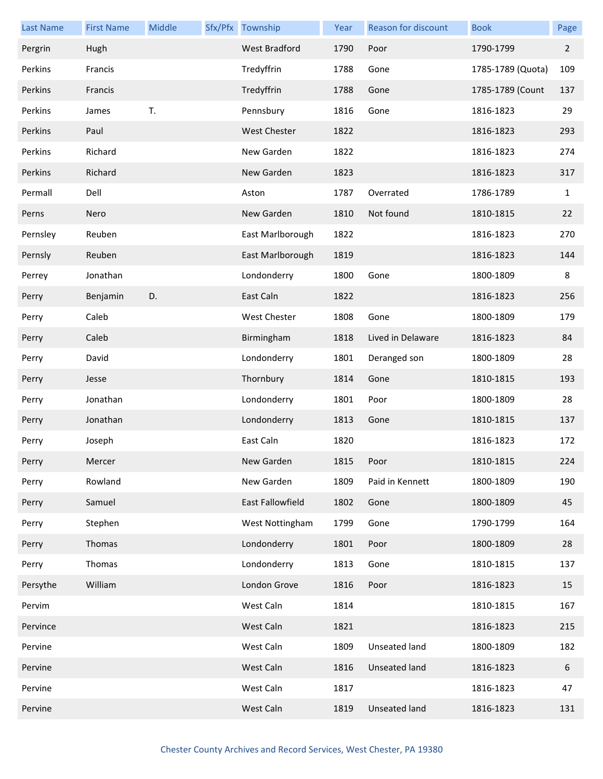| <b>Last Name</b> | <b>First Name</b> | Middle | Sfx/Pfx Township     | Year | Reason for discount  | <b>Book</b>       | Page         |
|------------------|-------------------|--------|----------------------|------|----------------------|-------------------|--------------|
| Pergrin          | Hugh              |        | <b>West Bradford</b> | 1790 | Poor                 | 1790-1799         | $2^{\circ}$  |
| Perkins          | Francis           |        | Tredyffrin           | 1788 | Gone                 | 1785-1789 (Quota) | 109          |
| Perkins          | Francis           |        | Tredyffrin           | 1788 | Gone                 | 1785-1789 (Count  | 137          |
| Perkins          | James             | T.     | Pennsbury            | 1816 | Gone                 | 1816-1823         | 29           |
| Perkins          | Paul              |        | West Chester         | 1822 |                      | 1816-1823         | 293          |
| Perkins          | Richard           |        | New Garden           | 1822 |                      | 1816-1823         | 274          |
| Perkins          | Richard           |        | New Garden           | 1823 |                      | 1816-1823         | 317          |
| Permall          | Dell              |        | Aston                | 1787 | Overrated            | 1786-1789         | $\mathbf{1}$ |
| Perns            | Nero              |        | New Garden           | 1810 | Not found            | 1810-1815         | 22           |
| Pernsley         | Reuben            |        | East Marlborough     | 1822 |                      | 1816-1823         | 270          |
| Pernsly          | Reuben            |        | East Marlborough     | 1819 |                      | 1816-1823         | 144          |
| Perrey           | Jonathan          |        | Londonderry          | 1800 | Gone                 | 1800-1809         | 8            |
| Perry            | Benjamin          | D.     | East Caln            | 1822 |                      | 1816-1823         | 256          |
| Perry            | Caleb             |        | West Chester         | 1808 | Gone                 | 1800-1809         | 179          |
| Perry            | Caleb             |        | Birmingham           | 1818 | Lived in Delaware    | 1816-1823         | 84           |
| Perry            | David             |        | Londonderry          | 1801 | Deranged son         | 1800-1809         | 28           |
| Perry            | Jesse             |        | Thornbury            | 1814 | Gone                 | 1810-1815         | 193          |
| Perry            | Jonathan          |        | Londonderry          | 1801 | Poor                 | 1800-1809         | 28           |
| Perry            | Jonathan          |        | Londonderry          | 1813 | Gone                 | 1810-1815         | 137          |
| Perry            | Joseph            |        | East Caln            | 1820 |                      | 1816-1823         | 172          |
| Perry            | Mercer            |        | New Garden           | 1815 | Poor                 | 1810-1815         | 224          |
| Perry            | Rowland           |        | New Garden           | 1809 | Paid in Kennett      | 1800-1809         | 190          |
| Perry            | Samuel            |        | East Fallowfield     | 1802 | Gone                 | 1800-1809         | 45           |
| Perry            | Stephen           |        | West Nottingham      | 1799 | Gone                 | 1790-1799         | 164          |
| Perry            | Thomas            |        | Londonderry          | 1801 | Poor                 | 1800-1809         | 28           |
| Perry            | Thomas            |        | Londonderry          | 1813 | Gone                 | 1810-1815         | 137          |
| Persythe         | William           |        | London Grove         | 1816 | Poor                 | 1816-1823         | 15           |
| Pervim           |                   |        | West Caln            | 1814 |                      | 1810-1815         | 167          |
| Pervince         |                   |        | West Caln            | 1821 |                      | 1816-1823         | 215          |
| Pervine          |                   |        | West Caln            | 1809 | Unseated land        | 1800-1809         | 182          |
| Pervine          |                   |        | West Caln            | 1816 | Unseated land        | 1816-1823         | 6            |
| Pervine          |                   |        | West Caln            | 1817 |                      | 1816-1823         | 47           |
| Pervine          |                   |        | West Caln            | 1819 | <b>Unseated land</b> | 1816-1823         | 131          |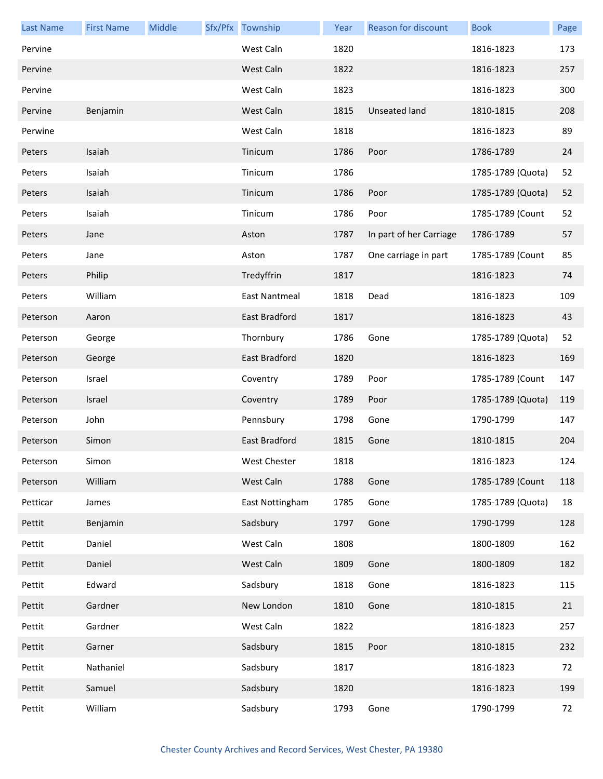| <b>Last Name</b> | <b>First Name</b> | Middle | Sfx/Pfx Township     | Year | Reason for discount     | <b>Book</b>       | Page |
|------------------|-------------------|--------|----------------------|------|-------------------------|-------------------|------|
| Pervine          |                   |        | West Caln            | 1820 |                         | 1816-1823         | 173  |
| Pervine          |                   |        | West Caln            | 1822 |                         | 1816-1823         | 257  |
| Pervine          |                   |        | West Caln            | 1823 |                         | 1816-1823         | 300  |
| Pervine          | Benjamin          |        | West Caln            | 1815 | <b>Unseated land</b>    | 1810-1815         | 208  |
| Perwine          |                   |        | West Caln            | 1818 |                         | 1816-1823         | 89   |
| Peters           | Isaiah            |        | Tinicum              | 1786 | Poor                    | 1786-1789         | 24   |
| Peters           | Isaiah            |        | Tinicum              | 1786 |                         | 1785-1789 (Quota) | 52   |
| Peters           | Isaiah            |        | Tinicum              | 1786 | Poor                    | 1785-1789 (Quota) | 52   |
| Peters           | Isaiah            |        | Tinicum              | 1786 | Poor                    | 1785-1789 (Count  | 52   |
| Peters           | Jane              |        | Aston                | 1787 | In part of her Carriage | 1786-1789         | 57   |
| Peters           | Jane              |        | Aston                | 1787 | One carriage in part    | 1785-1789 (Count  | 85   |
| Peters           | Philip            |        | Tredyffrin           | 1817 |                         | 1816-1823         | 74   |
| Peters           | William           |        | <b>East Nantmeal</b> | 1818 | Dead                    | 1816-1823         | 109  |
| Peterson         | Aaron             |        | East Bradford        | 1817 |                         | 1816-1823         | 43   |
| Peterson         | George            |        | Thornbury            | 1786 | Gone                    | 1785-1789 (Quota) | 52   |
| Peterson         | George            |        | East Bradford        | 1820 |                         | 1816-1823         | 169  |
| Peterson         | Israel            |        | Coventry             | 1789 | Poor                    | 1785-1789 (Count  | 147  |
| Peterson         | Israel            |        | Coventry             | 1789 | Poor                    | 1785-1789 (Quota) | 119  |
| Peterson         | John              |        | Pennsbury            | 1798 | Gone                    | 1790-1799         | 147  |
| Peterson         | Simon             |        | East Bradford        | 1815 | Gone                    | 1810-1815         | 204  |
| Peterson         | Simon             |        | West Chester         | 1818 |                         | 1816-1823         | 124  |
| Peterson         | William           |        | West Caln            | 1788 | Gone                    | 1785-1789 (Count  | 118  |
| Petticar         | James             |        | East Nottingham      | 1785 | Gone                    | 1785-1789 (Quota) | 18   |
| Pettit           | Benjamin          |        | Sadsbury             | 1797 | Gone                    | 1790-1799         | 128  |
| Pettit           | Daniel            |        | West Caln            | 1808 |                         | 1800-1809         | 162  |
| Pettit           | Daniel            |        | West Caln            | 1809 | Gone                    | 1800-1809         | 182  |
| Pettit           | Edward            |        | Sadsbury             | 1818 | Gone                    | 1816-1823         | 115  |
| Pettit           | Gardner           |        | New London           | 1810 | Gone                    | 1810-1815         | 21   |
| Pettit           | Gardner           |        | West Caln            | 1822 |                         | 1816-1823         | 257  |
| Pettit           | Garner            |        | Sadsbury             | 1815 | Poor                    | 1810-1815         | 232  |
| Pettit           | Nathaniel         |        | Sadsbury             | 1817 |                         | 1816-1823         | 72   |
| Pettit           | Samuel            |        | Sadsbury             | 1820 |                         | 1816-1823         | 199  |
| Pettit           | William           |        | Sadsbury             | 1793 | Gone                    | 1790-1799         | 72   |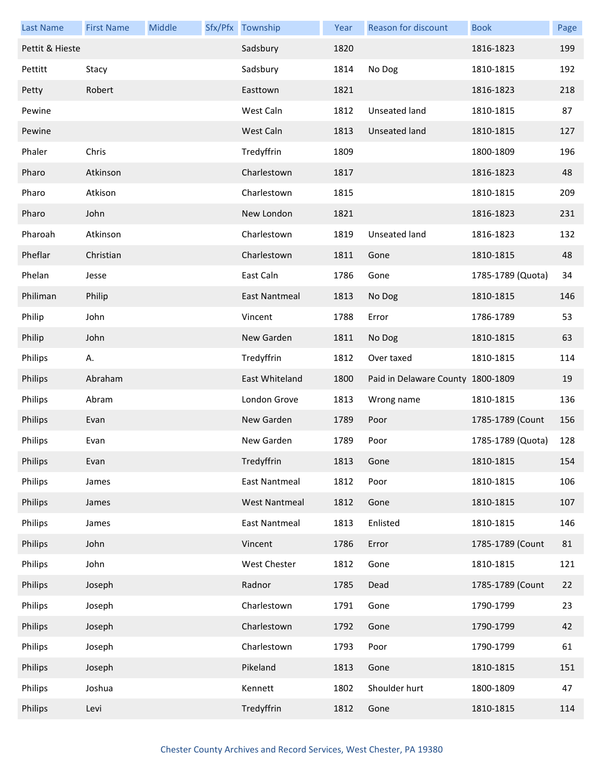| <b>Last Name</b> | <b>First Name</b> | Middle | Sfx/Pfx Township     | Year | <b>Reason for discount</b>        | <b>Book</b>       | Page |
|------------------|-------------------|--------|----------------------|------|-----------------------------------|-------------------|------|
| Pettit & Hieste  |                   |        | Sadsbury             | 1820 |                                   | 1816-1823         | 199  |
| Pettitt          | Stacy             |        | Sadsbury             | 1814 | No Dog                            | 1810-1815         | 192  |
| Petty            | Robert            |        | Easttown             | 1821 |                                   | 1816-1823         | 218  |
| Pewine           |                   |        | West Caln            | 1812 | Unseated land                     | 1810-1815         | 87   |
| Pewine           |                   |        | West Caln            | 1813 | Unseated land                     | 1810-1815         | 127  |
| Phaler           | Chris             |        | Tredyffrin           | 1809 |                                   | 1800-1809         | 196  |
| Pharo            | Atkinson          |        | Charlestown          | 1817 |                                   | 1816-1823         | 48   |
| Pharo            | Atkison           |        | Charlestown          | 1815 |                                   | 1810-1815         | 209  |
| Pharo            | John              |        | New London           | 1821 |                                   | 1816-1823         | 231  |
| Pharoah          | Atkinson          |        | Charlestown          | 1819 | Unseated land                     | 1816-1823         | 132  |
| Pheflar          | Christian         |        | Charlestown          | 1811 | Gone                              | 1810-1815         | 48   |
| Phelan           | Jesse             |        | East Caln            | 1786 | Gone                              | 1785-1789 (Quota) | 34   |
| Philiman         | Philip            |        | East Nantmeal        | 1813 | No Dog                            | 1810-1815         | 146  |
| Philip           | John              |        | Vincent              | 1788 | Error                             | 1786-1789         | 53   |
| Philip           | John              |        | New Garden           | 1811 | No Dog                            | 1810-1815         | 63   |
| Philips          | Α.                |        | Tredyffrin           | 1812 | Over taxed                        | 1810-1815         | 114  |
| Philips          | Abraham           |        | East Whiteland       | 1800 | Paid in Delaware County 1800-1809 |                   | 19   |
| Philips          | Abram             |        | London Grove         | 1813 | Wrong name                        | 1810-1815         | 136  |
| Philips          | Evan              |        | New Garden           | 1789 | Poor                              | 1785-1789 (Count  | 156  |
| Philips          | Evan              |        | New Garden           | 1789 | Poor                              | 1785-1789 (Quota) | 128  |
| Philips          | Evan              |        | Tredyffrin           | 1813 | Gone                              | 1810-1815         | 154  |
| Philips          | James             |        | <b>East Nantmeal</b> | 1812 | Poor                              | 1810-1815         | 106  |
| Philips          | James             |        | <b>West Nantmeal</b> | 1812 | Gone                              | 1810-1815         | 107  |
| Philips          | James             |        | East Nantmeal        | 1813 | Enlisted                          | 1810-1815         | 146  |
| Philips          | John              |        | Vincent              | 1786 | Error                             | 1785-1789 (Count  | 81   |
| Philips          | John              |        | West Chester         | 1812 | Gone                              | 1810-1815         | 121  |
| Philips          | Joseph            |        | Radnor               | 1785 | Dead                              | 1785-1789 (Count  | 22   |
| Philips          | Joseph            |        | Charlestown          | 1791 | Gone                              | 1790-1799         | 23   |
| Philips          | Joseph            |        | Charlestown          | 1792 | Gone                              | 1790-1799         | 42   |
| Philips          | Joseph            |        | Charlestown          | 1793 | Poor                              | 1790-1799         | 61   |
| Philips          | Joseph            |        | Pikeland             | 1813 | Gone                              | 1810-1815         | 151  |
| Philips          | Joshua            |        | Kennett              | 1802 | Shoulder hurt                     | 1800-1809         | 47   |
| Philips          | Levi              |        | Tredyffrin           | 1812 | Gone                              | 1810-1815         | 114  |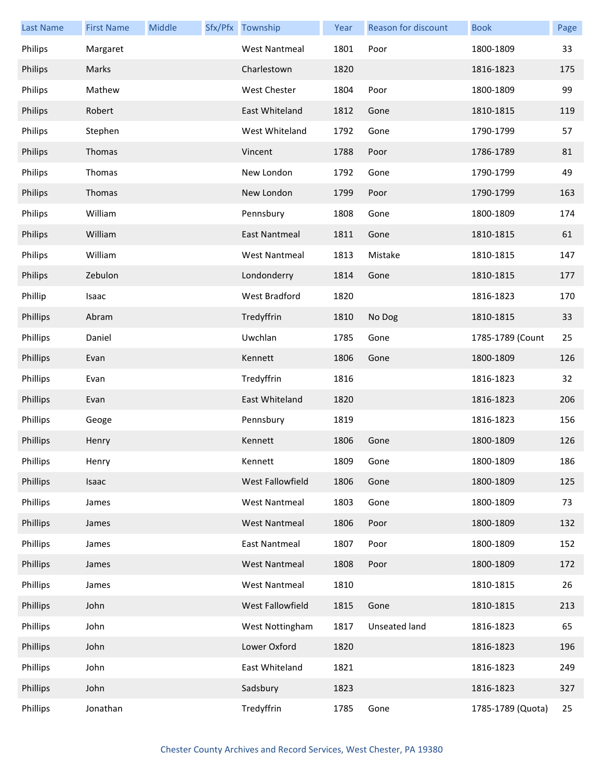| <b>Last Name</b> | <b>First Name</b> | Middle | Sfx/Pfx Township     | Year | Reason for discount | <b>Book</b>       | Page |
|------------------|-------------------|--------|----------------------|------|---------------------|-------------------|------|
| Philips          | Margaret          |        | <b>West Nantmeal</b> | 1801 | Poor                | 1800-1809         | 33   |
| Philips          | Marks             |        | Charlestown          | 1820 |                     | 1816-1823         | 175  |
| Philips          | Mathew            |        | West Chester         | 1804 | Poor                | 1800-1809         | 99   |
| Philips          | Robert            |        | East Whiteland       | 1812 | Gone                | 1810-1815         | 119  |
| Philips          | Stephen           |        | West Whiteland       | 1792 | Gone                | 1790-1799         | 57   |
| Philips          | Thomas            |        | Vincent              | 1788 | Poor                | 1786-1789         | 81   |
| Philips          | Thomas            |        | New London           | 1792 | Gone                | 1790-1799         | 49   |
| Philips          | Thomas            |        | New London           | 1799 | Poor                | 1790-1799         | 163  |
| Philips          | William           |        | Pennsbury            | 1808 | Gone                | 1800-1809         | 174  |
| Philips          | William           |        | East Nantmeal        | 1811 | Gone                | 1810-1815         | 61   |
| Philips          | William           |        | <b>West Nantmeal</b> | 1813 | Mistake             | 1810-1815         | 147  |
| Philips          | Zebulon           |        | Londonderry          | 1814 | Gone                | 1810-1815         | 177  |
| Phillip          | Isaac             |        | West Bradford        | 1820 |                     | 1816-1823         | 170  |
| Phillips         | Abram             |        | Tredyffrin           | 1810 | No Dog              | 1810-1815         | 33   |
| Phillips         | Daniel            |        | Uwchlan              | 1785 | Gone                | 1785-1789 (Count  | 25   |
| Phillips         | Evan              |        | Kennett              | 1806 | Gone                | 1800-1809         | 126  |
| Phillips         | Evan              |        | Tredyffrin           | 1816 |                     | 1816-1823         | 32   |
| Phillips         | Evan              |        | East Whiteland       | 1820 |                     | 1816-1823         | 206  |
| Phillips         | Geoge             |        | Pennsbury            | 1819 |                     | 1816-1823         | 156  |
| Phillips         | Henry             |        | Kennett              | 1806 | Gone                | 1800-1809         | 126  |
| Phillips         | Henry             |        | Kennett              | 1809 | Gone                | 1800-1809         | 186  |
| Phillips         | Isaac             |        | West Fallowfield     | 1806 | Gone                | 1800-1809         | 125  |
| Phillips         | James             |        | <b>West Nantmeal</b> | 1803 | Gone                | 1800-1809         | 73   |
| Phillips         | James             |        | <b>West Nantmeal</b> | 1806 | Poor                | 1800-1809         | 132  |
| Phillips         | James             |        | <b>East Nantmeal</b> | 1807 | Poor                | 1800-1809         | 152  |
| Phillips         | James             |        | <b>West Nantmeal</b> | 1808 | Poor                | 1800-1809         | 172  |
| Phillips         | James             |        | <b>West Nantmeal</b> | 1810 |                     | 1810-1815         | 26   |
| Phillips         | John              |        | West Fallowfield     | 1815 | Gone                | 1810-1815         | 213  |
| Phillips         | John              |        | West Nottingham      | 1817 | Unseated land       | 1816-1823         | 65   |
| Phillips         | John              |        | Lower Oxford         | 1820 |                     | 1816-1823         | 196  |
| Phillips         | John              |        | East Whiteland       | 1821 |                     | 1816-1823         | 249  |
| Phillips         | John              |        | Sadsbury             | 1823 |                     | 1816-1823         | 327  |
| Phillips         | Jonathan          |        | Tredyffrin           | 1785 | Gone                | 1785-1789 (Quota) | 25   |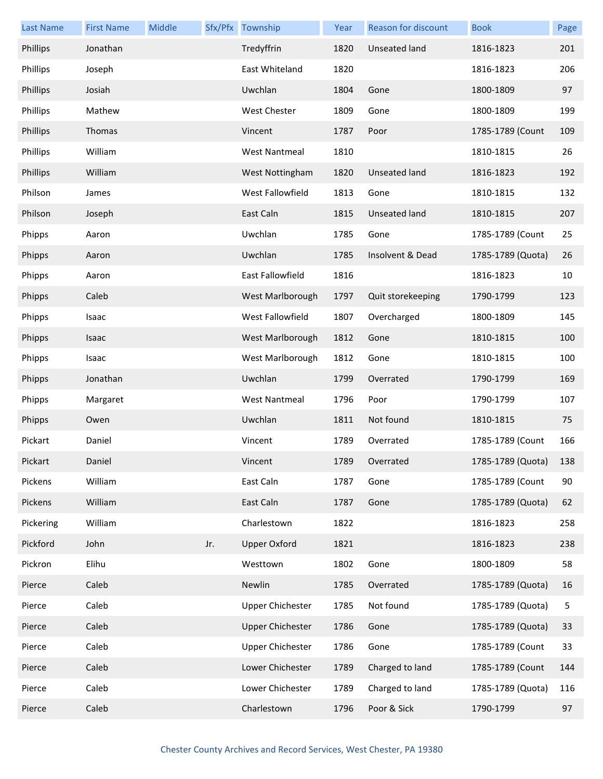| <b>Last Name</b> | <b>First Name</b> | Middle |     | Sfx/Pfx Township        | Year | <b>Reason for discount</b> | <b>Book</b>       | Page |
|------------------|-------------------|--------|-----|-------------------------|------|----------------------------|-------------------|------|
| Phillips         | Jonathan          |        |     | Tredyffrin              | 1820 | Unseated land              | 1816-1823         | 201  |
| Phillips         | Joseph            |        |     | East Whiteland          | 1820 |                            | 1816-1823         | 206  |
| Phillips         | Josiah            |        |     | Uwchlan                 | 1804 | Gone                       | 1800-1809         | 97   |
| Phillips         | Mathew            |        |     | West Chester            | 1809 | Gone                       | 1800-1809         | 199  |
| Phillips         | Thomas            |        |     | Vincent                 | 1787 | Poor                       | 1785-1789 (Count  | 109  |
| Phillips         | William           |        |     | <b>West Nantmeal</b>    | 1810 |                            | 1810-1815         | 26   |
| Phillips         | William           |        |     | West Nottingham         | 1820 | Unseated land              | 1816-1823         | 192  |
| Philson          | James             |        |     | West Fallowfield        | 1813 | Gone                       | 1810-1815         | 132  |
| Philson          | Joseph            |        |     | East Caln               | 1815 | Unseated land              | 1810-1815         | 207  |
| Phipps           | Aaron             |        |     | Uwchlan                 | 1785 | Gone                       | 1785-1789 (Count  | 25   |
| Phipps           | Aaron             |        |     | Uwchlan                 | 1785 | Insolvent & Dead           | 1785-1789 (Quota) | 26   |
| Phipps           | Aaron             |        |     | East Fallowfield        | 1816 |                            | 1816-1823         | 10   |
| Phipps           | Caleb             |        |     | West Marlborough        | 1797 | Quit storekeeping          | 1790-1799         | 123  |
| Phipps           | Isaac             |        |     | West Fallowfield        | 1807 | Overcharged                | 1800-1809         | 145  |
| Phipps           | Isaac             |        |     | West Marlborough        | 1812 | Gone                       | 1810-1815         | 100  |
| Phipps           | Isaac             |        |     | West Marlborough        | 1812 | Gone                       | 1810-1815         | 100  |
| Phipps           | Jonathan          |        |     | Uwchlan                 | 1799 | Overrated                  | 1790-1799         | 169  |
| Phipps           | Margaret          |        |     | <b>West Nantmeal</b>    | 1796 | Poor                       | 1790-1799         | 107  |
| Phipps           | Owen              |        |     | Uwchlan                 | 1811 | Not found                  | 1810-1815         | 75   |
| Pickart          | Daniel            |        |     | Vincent                 | 1789 | Overrated                  | 1785-1789 (Count  | 166  |
| Pickart          | Daniel            |        |     | Vincent                 | 1789 | Overrated                  | 1785-1789 (Quota) | 138  |
| Pickens          | William           |        |     | East Caln               | 1787 | Gone                       | 1785-1789 (Count  | 90   |
| Pickens          | William           |        |     | East Caln               | 1787 | Gone                       | 1785-1789 (Quota) | 62   |
| Pickering        | William           |        |     | Charlestown             | 1822 |                            | 1816-1823         | 258  |
| Pickford         | John              |        | Jr. | <b>Upper Oxford</b>     | 1821 |                            | 1816-1823         | 238  |
| Pickron          | Elihu             |        |     | Westtown                | 1802 | Gone                       | 1800-1809         | 58   |
| Pierce           | Caleb             |        |     | Newlin                  | 1785 | Overrated                  | 1785-1789 (Quota) | 16   |
| Pierce           | Caleb             |        |     | <b>Upper Chichester</b> | 1785 | Not found                  | 1785-1789 (Quota) | 5    |
| Pierce           | Caleb             |        |     | <b>Upper Chichester</b> | 1786 | Gone                       | 1785-1789 (Quota) | 33   |
| Pierce           | Caleb             |        |     | <b>Upper Chichester</b> | 1786 | Gone                       | 1785-1789 (Count  | 33   |
| Pierce           | Caleb             |        |     | Lower Chichester        | 1789 | Charged to land            | 1785-1789 (Count  | 144  |
| Pierce           | Caleb             |        |     | Lower Chichester        | 1789 | Charged to land            | 1785-1789 (Quota) | 116  |
| Pierce           | Caleb             |        |     | Charlestown             | 1796 | Poor & Sick                | 1790-1799         | 97   |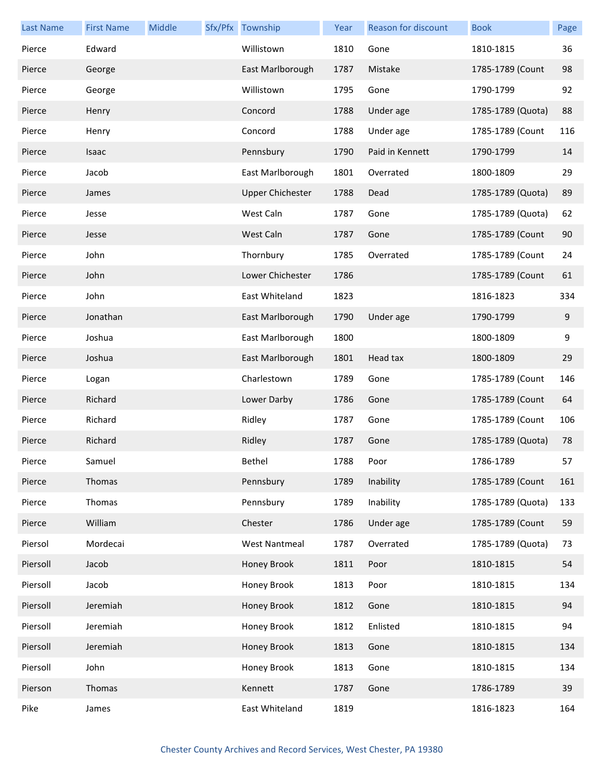| <b>Last Name</b> | <b>First Name</b> | Middle | Sfx/Pfx Township        | Year | <b>Reason for discount</b> | <b>Book</b>       | Page |
|------------------|-------------------|--------|-------------------------|------|----------------------------|-------------------|------|
| Pierce           | Edward            |        | Willistown              | 1810 | Gone                       | 1810-1815         | 36   |
| Pierce           | George            |        | East Marlborough        | 1787 | Mistake                    | 1785-1789 (Count  | 98   |
| Pierce           | George            |        | Willistown              | 1795 | Gone                       | 1790-1799         | 92   |
| Pierce           | Henry             |        | Concord                 | 1788 | Under age                  | 1785-1789 (Quota) | 88   |
| Pierce           | Henry             |        | Concord                 | 1788 | Under age                  | 1785-1789 (Count  | 116  |
| Pierce           | Isaac             |        | Pennsbury               | 1790 | Paid in Kennett            | 1790-1799         | 14   |
| Pierce           | Jacob             |        | East Marlborough        | 1801 | Overrated                  | 1800-1809         | 29   |
| Pierce           | James             |        | <b>Upper Chichester</b> | 1788 | Dead                       | 1785-1789 (Quota) | 89   |
| Pierce           | Jesse             |        | West Caln               | 1787 | Gone                       | 1785-1789 (Quota) | 62   |
| Pierce           | Jesse             |        | West Caln               | 1787 | Gone                       | 1785-1789 (Count  | 90   |
| Pierce           | John              |        | Thornbury               | 1785 | Overrated                  | 1785-1789 (Count  | 24   |
| Pierce           | John              |        | Lower Chichester        | 1786 |                            | 1785-1789 (Count  | 61   |
| Pierce           | John              |        | East Whiteland          | 1823 |                            | 1816-1823         | 334  |
| Pierce           | Jonathan          |        | East Marlborough        | 1790 | Under age                  | 1790-1799         | 9    |
| Pierce           | Joshua            |        | East Marlborough        | 1800 |                            | 1800-1809         | 9    |
| Pierce           | Joshua            |        | East Marlborough        | 1801 | Head tax                   | 1800-1809         | 29   |
| Pierce           | Logan             |        | Charlestown             | 1789 | Gone                       | 1785-1789 (Count  | 146  |
| Pierce           | Richard           |        | Lower Darby             | 1786 | Gone                       | 1785-1789 (Count  | 64   |
| Pierce           | Richard           |        | Ridley                  | 1787 | Gone                       | 1785-1789 (Count  | 106  |
| Pierce           | Richard           |        | Ridley                  | 1787 | Gone                       | 1785-1789 (Quota) | 78   |
| Pierce           | Samuel            |        | Bethel                  | 1788 | Poor                       | 1786-1789         | 57   |
| Pierce           | Thomas            |        | Pennsbury               | 1789 | Inability                  | 1785-1789 (Count  | 161  |
| Pierce           | Thomas            |        | Pennsbury               | 1789 | Inability                  | 1785-1789 (Quota) | 133  |
| Pierce           | William           |        | Chester                 | 1786 | Under age                  | 1785-1789 (Count  | 59   |
| Piersol          | Mordecai          |        | <b>West Nantmeal</b>    | 1787 | Overrated                  | 1785-1789 (Quota) | 73   |
| Piersoll         | Jacob             |        | Honey Brook             | 1811 | Poor                       | 1810-1815         | 54   |
| Piersoll         | Jacob             |        | Honey Brook             | 1813 | Poor                       | 1810-1815         | 134  |
| Piersoll         | Jeremiah          |        | Honey Brook             | 1812 | Gone                       | 1810-1815         | 94   |
| Piersoll         | Jeremiah          |        | Honey Brook             | 1812 | Enlisted                   | 1810-1815         | 94   |
| Piersoll         | Jeremiah          |        | Honey Brook             | 1813 | Gone                       | 1810-1815         | 134  |
| Piersoll         | John              |        | Honey Brook             | 1813 | Gone                       | 1810-1815         | 134  |
| Pierson          | Thomas            |        | Kennett                 | 1787 | Gone                       | 1786-1789         | 39   |
| Pike             | James             |        | East Whiteland          | 1819 |                            | 1816-1823         | 164  |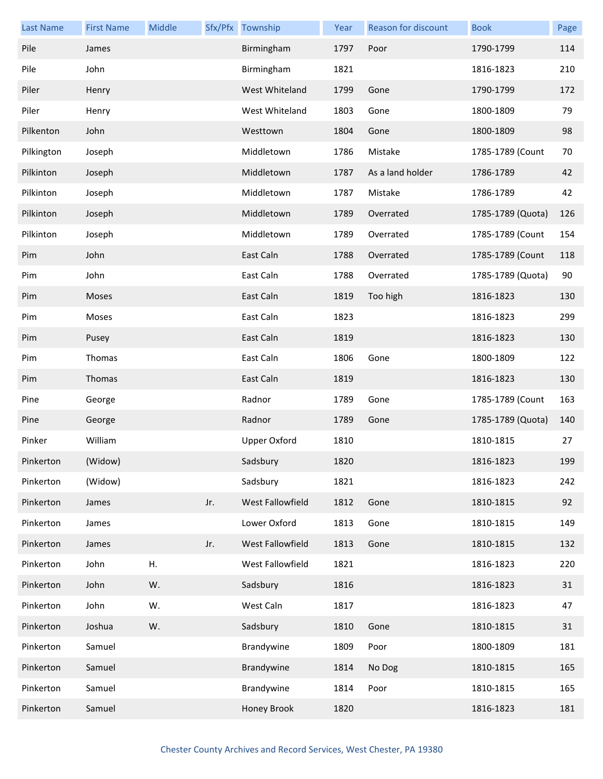| <b>Last Name</b> | <b>First Name</b> | Middle |     | Sfx/Pfx Township    | Year | <b>Reason for discount</b> | <b>Book</b>       | Page |
|------------------|-------------------|--------|-----|---------------------|------|----------------------------|-------------------|------|
| Pile             | James             |        |     | Birmingham          | 1797 | Poor                       | 1790-1799         | 114  |
| Pile             | John              |        |     | Birmingham          | 1821 |                            | 1816-1823         | 210  |
| Piler            | Henry             |        |     | West Whiteland      | 1799 | Gone                       | 1790-1799         | 172  |
| Piler            | Henry             |        |     | West Whiteland      | 1803 | Gone                       | 1800-1809         | 79   |
| Pilkenton        | John              |        |     | Westtown            | 1804 | Gone                       | 1800-1809         | 98   |
| Pilkington       | Joseph            |        |     | Middletown          | 1786 | Mistake                    | 1785-1789 (Count  | 70   |
| Pilkinton        | Joseph            |        |     | Middletown          | 1787 | As a land holder           | 1786-1789         | 42   |
| Pilkinton        | Joseph            |        |     | Middletown          | 1787 | Mistake                    | 1786-1789         | 42   |
| Pilkinton        | Joseph            |        |     | Middletown          | 1789 | Overrated                  | 1785-1789 (Quota) | 126  |
| Pilkinton        | Joseph            |        |     | Middletown          | 1789 | Overrated                  | 1785-1789 (Count  | 154  |
| Pim              | John              |        |     | East Caln           | 1788 | Overrated                  | 1785-1789 (Count  | 118  |
| Pim              | John              |        |     | East Caln           | 1788 | Overrated                  | 1785-1789 (Quota) | 90   |
| Pim              | Moses             |        |     | East Caln           | 1819 | Too high                   | 1816-1823         | 130  |
| Pim              | Moses             |        |     | East Caln           | 1823 |                            | 1816-1823         | 299  |
| Pim              | Pusey             |        |     | East Caln           | 1819 |                            | 1816-1823         | 130  |
| Pim              | Thomas            |        |     | East Caln           | 1806 | Gone                       | 1800-1809         | 122  |
| Pim              | Thomas            |        |     | East Caln           | 1819 |                            | 1816-1823         | 130  |
| Pine             | George            |        |     | Radnor              | 1789 | Gone                       | 1785-1789 (Count  | 163  |
| Pine             | George            |        |     | Radnor              | 1789 | Gone                       | 1785-1789 (Quota) | 140  |
| Pinker           | William           |        |     | <b>Upper Oxford</b> | 1810 |                            | 1810-1815         | 27   |
| Pinkerton        | (Widow)           |        |     | Sadsbury            | 1820 |                            | 1816-1823         | 199  |
| Pinkerton        | (Widow)           |        |     | Sadsbury            | 1821 |                            | 1816-1823         | 242  |
| Pinkerton        | James             |        | Jr. | West Fallowfield    | 1812 | Gone                       | 1810-1815         | 92   |
| Pinkerton        | James             |        |     | Lower Oxford        | 1813 | Gone                       | 1810-1815         | 149  |
| Pinkerton        | James             |        | Jr. | West Fallowfield    | 1813 | Gone                       | 1810-1815         | 132  |
| Pinkerton        | John              | Η.     |     | West Fallowfield    | 1821 |                            | 1816-1823         | 220  |
| Pinkerton        | John              | W.     |     | Sadsbury            | 1816 |                            | 1816-1823         | 31   |
| Pinkerton        | John              | W.     |     | West Caln           | 1817 |                            | 1816-1823         | 47   |
| Pinkerton        | Joshua            | W.     |     | Sadsbury            | 1810 | Gone                       | 1810-1815         | 31   |
| Pinkerton        | Samuel            |        |     | Brandywine          | 1809 | Poor                       | 1800-1809         | 181  |
| Pinkerton        | Samuel            |        |     | Brandywine          | 1814 | No Dog                     | 1810-1815         | 165  |
| Pinkerton        | Samuel            |        |     | Brandywine          | 1814 | Poor                       | 1810-1815         | 165  |
| Pinkerton        | Samuel            |        |     | Honey Brook         | 1820 |                            | 1816-1823         | 181  |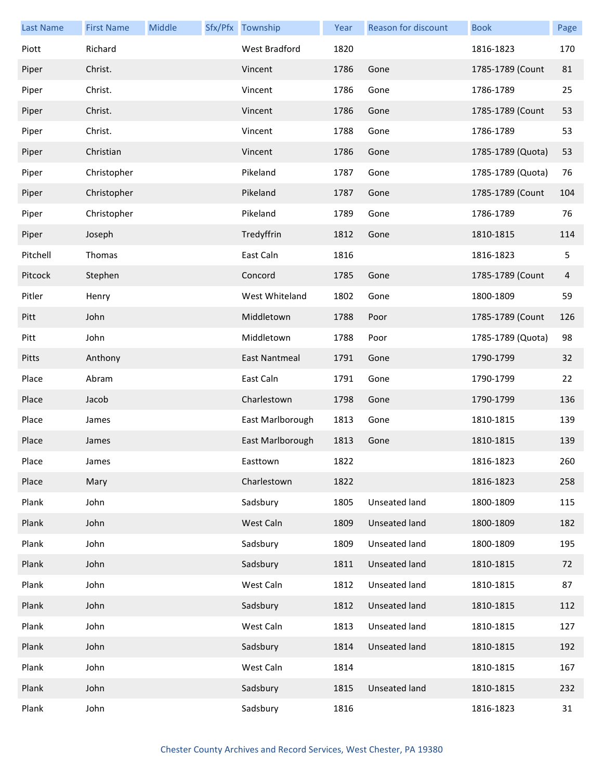| <b>Last Name</b> | <b>First Name</b> | Middle | Sfx/Pfx Township | Year | Reason for discount  | <b>Book</b>       | Page |
|------------------|-------------------|--------|------------------|------|----------------------|-------------------|------|
| Piott            | Richard           |        | West Bradford    | 1820 |                      | 1816-1823         | 170  |
| Piper            | Christ.           |        | Vincent          | 1786 | Gone                 | 1785-1789 (Count  | 81   |
| Piper            | Christ.           |        | Vincent          | 1786 | Gone                 | 1786-1789         | 25   |
| Piper            | Christ.           |        | Vincent          | 1786 | Gone                 | 1785-1789 (Count  | 53   |
| Piper            | Christ.           |        | Vincent          | 1788 | Gone                 | 1786-1789         | 53   |
| Piper            | Christian         |        | Vincent          | 1786 | Gone                 | 1785-1789 (Quota) | 53   |
| Piper            | Christopher       |        | Pikeland         | 1787 | Gone                 | 1785-1789 (Quota) | 76   |
| Piper            | Christopher       |        | Pikeland         | 1787 | Gone                 | 1785-1789 (Count  | 104  |
| Piper            | Christopher       |        | Pikeland         | 1789 | Gone                 | 1786-1789         | 76   |
| Piper            | Joseph            |        | Tredyffrin       | 1812 | Gone                 | 1810-1815         | 114  |
| Pitchell         | Thomas            |        | East Caln        | 1816 |                      | 1816-1823         | 5    |
| Pitcock          | Stephen           |        | Concord          | 1785 | Gone                 | 1785-1789 (Count  | 4    |
| Pitler           | Henry             |        | West Whiteland   | 1802 | Gone                 | 1800-1809         | 59   |
| Pitt             | John              |        | Middletown       | 1788 | Poor                 | 1785-1789 (Count  | 126  |
| Pitt             | John              |        | Middletown       | 1788 | Poor                 | 1785-1789 (Quota) | 98   |
| Pitts            | Anthony           |        | East Nantmeal    | 1791 | Gone                 | 1790-1799         | 32   |
| Place            | Abram             |        | East Caln        | 1791 | Gone                 | 1790-1799         | 22   |
| Place            | Jacob             |        | Charlestown      | 1798 | Gone                 | 1790-1799         | 136  |
| Place            | James             |        | East Marlborough | 1813 | Gone                 | 1810-1815         | 139  |
| Place            | James             |        | East Marlborough | 1813 | Gone                 | 1810-1815         | 139  |
| Place            | James             |        | Easttown         | 1822 |                      | 1816-1823         | 260  |
| Place            | Mary              |        | Charlestown      | 1822 |                      | 1816-1823         | 258  |
| Plank            | John              |        | Sadsbury         | 1805 | Unseated land        | 1800-1809         | 115  |
| Plank            | John              |        | West Caln        | 1809 | Unseated land        | 1800-1809         | 182  |
| Plank            | John              |        | Sadsbury         | 1809 | Unseated land        | 1800-1809         | 195  |
| Plank            | John              |        | Sadsbury         | 1811 | Unseated land        | 1810-1815         | 72   |
| Plank            | John              |        | West Caln        | 1812 | Unseated land        | 1810-1815         | 87   |
| Plank            | John              |        | Sadsbury         | 1812 | Unseated land        | 1810-1815         | 112  |
| Plank            | John              |        | West Caln        | 1813 | Unseated land        | 1810-1815         | 127  |
| Plank            | John              |        | Sadsbury         | 1814 | Unseated land        | 1810-1815         | 192  |
| Plank            | John              |        | West Caln        | 1814 |                      | 1810-1815         | 167  |
| Plank            | John              |        | Sadsbury         | 1815 | <b>Unseated land</b> | 1810-1815         | 232  |
| Plank            | John              |        | Sadsbury         | 1816 |                      | 1816-1823         | 31   |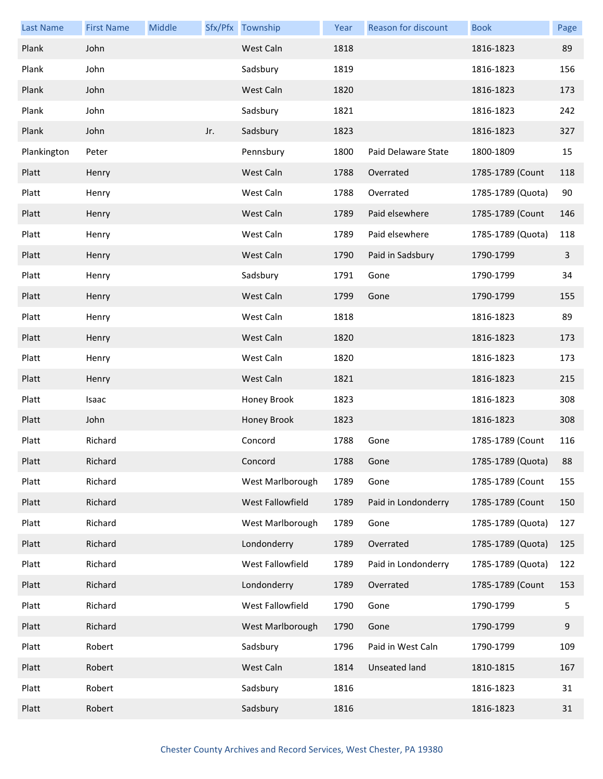| <b>Last Name</b> | <b>First Name</b> | Middle |     | Sfx/Pfx Township | Year | Reason for discount | <b>Book</b>       | Page           |
|------------------|-------------------|--------|-----|------------------|------|---------------------|-------------------|----------------|
| Plank            | John              |        |     | West Caln        | 1818 |                     | 1816-1823         | 89             |
| Plank            | John              |        |     | Sadsbury         | 1819 |                     | 1816-1823         | 156            |
| Plank            | John              |        |     | West Caln        | 1820 |                     | 1816-1823         | 173            |
| Plank            | John              |        |     | Sadsbury         | 1821 |                     | 1816-1823         | 242            |
| Plank            | John              |        | Jr. | Sadsbury         | 1823 |                     | 1816-1823         | 327            |
| Plankington      | Peter             |        |     | Pennsbury        | 1800 | Paid Delaware State | 1800-1809         | 15             |
| Platt            | Henry             |        |     | West Caln        | 1788 | Overrated           | 1785-1789 (Count  | 118            |
| Platt            | Henry             |        |     | West Caln        | 1788 | Overrated           | 1785-1789 (Quota) | 90             |
| Platt            | Henry             |        |     | West Caln        | 1789 | Paid elsewhere      | 1785-1789 (Count  | 146            |
| Platt            | Henry             |        |     | West Caln        | 1789 | Paid elsewhere      | 1785-1789 (Quota) | 118            |
| Platt            | Henry             |        |     | West Caln        | 1790 | Paid in Sadsbury    | 1790-1799         | $\overline{3}$ |
| Platt            | Henry             |        |     | Sadsbury         | 1791 | Gone                | 1790-1799         | 34             |
| Platt            | Henry             |        |     | West Caln        | 1799 | Gone                | 1790-1799         | 155            |
| Platt            | Henry             |        |     | West Caln        | 1818 |                     | 1816-1823         | 89             |
| Platt            | Henry             |        |     | West Caln        | 1820 |                     | 1816-1823         | 173            |
| Platt            | Henry             |        |     | West Caln        | 1820 |                     | 1816-1823         | 173            |
| Platt            | Henry             |        |     | West Caln        | 1821 |                     | 1816-1823         | 215            |
| Platt            | Isaac             |        |     | Honey Brook      | 1823 |                     | 1816-1823         | 308            |
| Platt            | John              |        |     | Honey Brook      | 1823 |                     | 1816-1823         | 308            |
| Platt            | Richard           |        |     | Concord          | 1788 | Gone                | 1785-1789 (Count  | 116            |
| Platt            | Richard           |        |     | Concord          | 1788 | Gone                | 1785-1789 (Quota) | 88             |
| Platt            | Richard           |        |     | West Marlborough | 1789 | Gone                | 1785-1789 (Count  | 155            |
| Platt            | Richard           |        |     | West Fallowfield | 1789 | Paid in Londonderry | 1785-1789 (Count  | 150            |
| Platt            | Richard           |        |     | West Marlborough | 1789 | Gone                | 1785-1789 (Quota) | 127            |
| Platt            | Richard           |        |     | Londonderry      | 1789 | Overrated           | 1785-1789 (Quota) | 125            |
| Platt            | Richard           |        |     | West Fallowfield | 1789 | Paid in Londonderry | 1785-1789 (Quota) | 122            |
| Platt            | Richard           |        |     | Londonderry      | 1789 | Overrated           | 1785-1789 (Count  | 153            |
| Platt            | Richard           |        |     | West Fallowfield | 1790 | Gone                | 1790-1799         | 5              |
| Platt            | Richard           |        |     | West Marlborough | 1790 | Gone                | 1790-1799         | 9              |
| Platt            | Robert            |        |     | Sadsbury         | 1796 | Paid in West Caln   | 1790-1799         | 109            |
| Platt            | Robert            |        |     | West Caln        | 1814 | Unseated land       | 1810-1815         | 167            |
| Platt            | Robert            |        |     | Sadsbury         | 1816 |                     | 1816-1823         | 31             |
| Platt            | Robert            |        |     | Sadsbury         | 1816 |                     | 1816-1823         | 31             |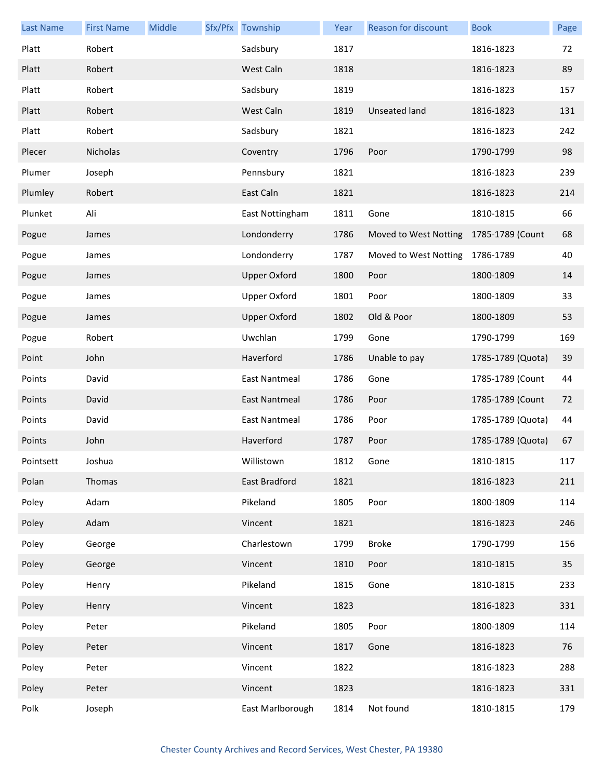| <b>Last Name</b> | <b>First Name</b> | Middle | Sfx/Pfx Township     | Year | Reason for discount                    | <b>Book</b>       | Page |
|------------------|-------------------|--------|----------------------|------|----------------------------------------|-------------------|------|
| Platt            | Robert            |        | Sadsbury             | 1817 |                                        | 1816-1823         | 72   |
| Platt            | Robert            |        | West Caln            | 1818 |                                        | 1816-1823         | 89   |
| Platt            | Robert            |        | Sadsbury             | 1819 |                                        | 1816-1823         | 157  |
| Platt            | Robert            |        | West Caln            | 1819 | <b>Unseated land</b>                   | 1816-1823         | 131  |
| Platt            | Robert            |        | Sadsbury             | 1821 |                                        | 1816-1823         | 242  |
| Plecer           | Nicholas          |        | Coventry             | 1796 | Poor                                   | 1790-1799         | 98   |
| Plumer           | Joseph            |        | Pennsbury            | 1821 |                                        | 1816-1823         | 239  |
| Plumley          | Robert            |        | East Caln            | 1821 |                                        | 1816-1823         | 214  |
| Plunket          | Ali               |        | East Nottingham      | 1811 | Gone                                   | 1810-1815         | 66   |
| Pogue            | James             |        | Londonderry          | 1786 | Moved to West Notting 1785-1789 (Count |                   | 68   |
| Pogue            | James             |        | Londonderry          | 1787 | Moved to West Notting                  | 1786-1789         | 40   |
| Pogue            | James             |        | <b>Upper Oxford</b>  | 1800 | Poor                                   | 1800-1809         | 14   |
| Pogue            | James             |        | <b>Upper Oxford</b>  | 1801 | Poor                                   | 1800-1809         | 33   |
| Pogue            | James             |        | <b>Upper Oxford</b>  | 1802 | Old & Poor                             | 1800-1809         | 53   |
| Pogue            | Robert            |        | Uwchlan              | 1799 | Gone                                   | 1790-1799         | 169  |
| Point            | John              |        | Haverford            | 1786 | Unable to pay                          | 1785-1789 (Quota) | 39   |
| Points           | David             |        | East Nantmeal        | 1786 | Gone                                   | 1785-1789 (Count  | 44   |
| Points           | David             |        | <b>East Nantmeal</b> | 1786 | Poor                                   | 1785-1789 (Count  | 72   |
| Points           | David             |        | <b>East Nantmeal</b> | 1786 | Poor                                   | 1785-1789 (Quota) | 44   |
| Points           | John              |        | Haverford            | 1787 | Poor                                   | 1785-1789 (Quota) | 67   |
| Pointsett        | Joshua            |        | Willistown           | 1812 | Gone                                   | 1810-1815         | 117  |
| Polan            | Thomas            |        | East Bradford        | 1821 |                                        | 1816-1823         | 211  |
| Poley            | Adam              |        | Pikeland             | 1805 | Poor                                   | 1800-1809         | 114  |
| Poley            | Adam              |        | Vincent              | 1821 |                                        | 1816-1823         | 246  |
| Poley            | George            |        | Charlestown          | 1799 | <b>Broke</b>                           | 1790-1799         | 156  |
| Poley            | George            |        | Vincent              | 1810 | Poor                                   | 1810-1815         | 35   |
| Poley            | Henry             |        | Pikeland             | 1815 | Gone                                   | 1810-1815         | 233  |
| Poley            | Henry             |        | Vincent              | 1823 |                                        | 1816-1823         | 331  |
| Poley            | Peter             |        | Pikeland             | 1805 | Poor                                   | 1800-1809         | 114  |
| Poley            | Peter             |        | Vincent              | 1817 | Gone                                   | 1816-1823         | 76   |
| Poley            | Peter             |        | Vincent              | 1822 |                                        | 1816-1823         | 288  |
| Poley            | Peter             |        | Vincent              | 1823 |                                        | 1816-1823         | 331  |
| Polk             | Joseph            |        | East Marlborough     | 1814 | Not found                              | 1810-1815         | 179  |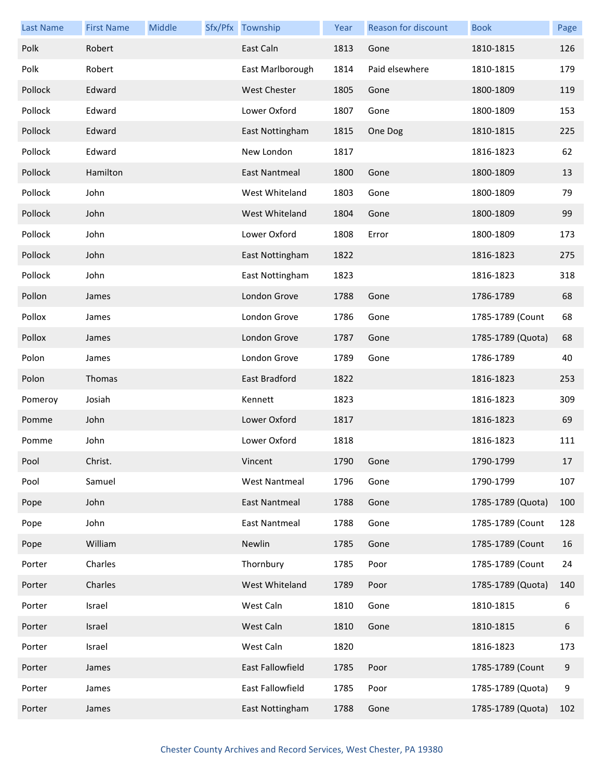| <b>Last Name</b> | <b>First Name</b> | Middle | Sfx/Pfx Township     | Year | Reason for discount | <b>Book</b>       | Page             |
|------------------|-------------------|--------|----------------------|------|---------------------|-------------------|------------------|
| Polk             | Robert            |        | East Caln            | 1813 | Gone                | 1810-1815         | 126              |
| Polk             | Robert            |        | East Marlborough     | 1814 | Paid elsewhere      | 1810-1815         | 179              |
| Pollock          | Edward            |        | West Chester         | 1805 | Gone                | 1800-1809         | 119              |
| Pollock          | Edward            |        | Lower Oxford         | 1807 | Gone                | 1800-1809         | 153              |
| Pollock          | Edward            |        | East Nottingham      | 1815 | One Dog             | 1810-1815         | 225              |
| Pollock          | Edward            |        | New London           | 1817 |                     | 1816-1823         | 62               |
| Pollock          | Hamilton          |        | East Nantmeal        | 1800 | Gone                | 1800-1809         | 13               |
| Pollock          | John              |        | West Whiteland       | 1803 | Gone                | 1800-1809         | 79               |
| Pollock          | John              |        | West Whiteland       | 1804 | Gone                | 1800-1809         | 99               |
| Pollock          | John              |        | Lower Oxford         | 1808 | Error               | 1800-1809         | 173              |
| Pollock          | John              |        | East Nottingham      | 1822 |                     | 1816-1823         | 275              |
| Pollock          | John              |        | East Nottingham      | 1823 |                     | 1816-1823         | 318              |
| Pollon           | James             |        | London Grove         | 1788 | Gone                | 1786-1789         | 68               |
| Pollox           | James             |        | London Grove         | 1786 | Gone                | 1785-1789 (Count  | 68               |
| Pollox           | James             |        | London Grove         | 1787 | Gone                | 1785-1789 (Quota) | 68               |
| Polon            | James             |        | London Grove         | 1789 | Gone                | 1786-1789         | 40               |
| Polon            | Thomas            |        | East Bradford        | 1822 |                     | 1816-1823         | 253              |
| Pomeroy          | Josiah            |        | Kennett              | 1823 |                     | 1816-1823         | 309              |
| Pomme            | John              |        | Lower Oxford         | 1817 |                     | 1816-1823         | 69               |
| Pomme            | John              |        | Lower Oxford         | 1818 |                     | 1816-1823         | 111              |
| Pool             | Christ.           |        | Vincent              | 1790 | Gone                | 1790-1799         | 17               |
| Pool             | Samuel            |        | <b>West Nantmeal</b> | 1796 | Gone                | 1790-1799         | 107              |
| Pope             | John              |        | East Nantmeal        | 1788 | Gone                | 1785-1789 (Quota) | 100              |
| Pope             | John              |        | East Nantmeal        | 1788 | Gone                | 1785-1789 (Count  | 128              |
| Pope             | William           |        | Newlin               | 1785 | Gone                | 1785-1789 (Count  | $16\,$           |
| Porter           | Charles           |        | Thornbury            | 1785 | Poor                | 1785-1789 (Count  | 24               |
| Porter           | Charles           |        | West Whiteland       | 1789 | Poor                | 1785-1789 (Quota) | 140              |
| Porter           | Israel            |        | West Caln            | 1810 | Gone                | 1810-1815         | 6                |
| Porter           | Israel            |        | West Caln            | 1810 | Gone                | 1810-1815         | 6                |
| Porter           | Israel            |        | West Caln            | 1820 |                     | 1816-1823         | 173              |
| Porter           | James             |        | East Fallowfield     | 1785 | Poor                | 1785-1789 (Count  | $\boldsymbol{9}$ |
| Porter           | James             |        | East Fallowfield     | 1785 | Poor                | 1785-1789 (Quota) | 9                |
| Porter           | James             |        | East Nottingham      | 1788 | Gone                | 1785-1789 (Quota) | 102              |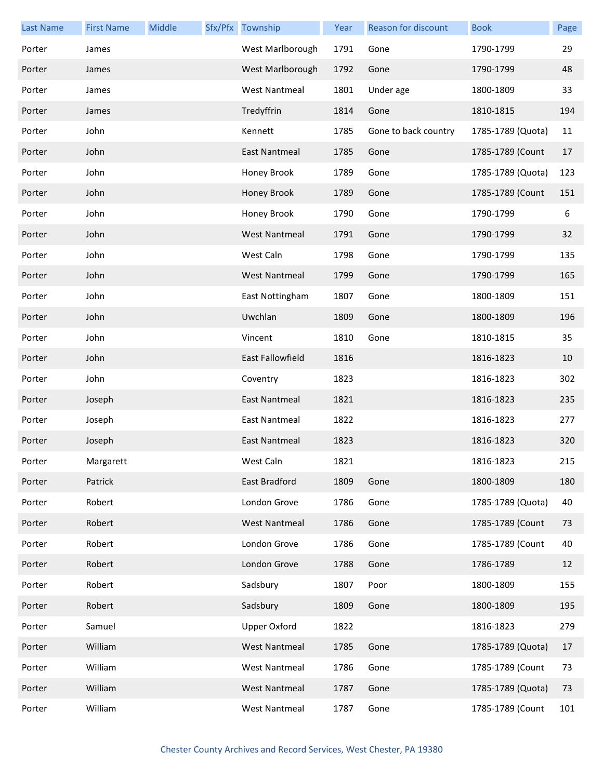| <b>Last Name</b> | <b>First Name</b> | Middle | Sfx/Pfx Township        | Year | Reason for discount  | <b>Book</b>       | Page |
|------------------|-------------------|--------|-------------------------|------|----------------------|-------------------|------|
| Porter           | James             |        | West Marlborough        | 1791 | Gone                 | 1790-1799         | 29   |
| Porter           | James             |        | West Marlborough        | 1792 | Gone                 | 1790-1799         | 48   |
| Porter           | James             |        | <b>West Nantmeal</b>    | 1801 | Under age            | 1800-1809         | 33   |
| Porter           | James             |        | Tredyffrin              | 1814 | Gone                 | 1810-1815         | 194  |
| Porter           | John              |        | Kennett                 | 1785 | Gone to back country | 1785-1789 (Quota) | 11   |
| Porter           | John              |        | East Nantmeal           | 1785 | Gone                 | 1785-1789 (Count  | 17   |
| Porter           | John              |        | Honey Brook             | 1789 | Gone                 | 1785-1789 (Quota) | 123  |
| Porter           | John              |        | Honey Brook             | 1789 | Gone                 | 1785-1789 (Count  | 151  |
| Porter           | John              |        | Honey Brook             | 1790 | Gone                 | 1790-1799         | 6    |
| Porter           | John              |        | <b>West Nantmeal</b>    | 1791 | Gone                 | 1790-1799         | 32   |
| Porter           | John              |        | West Caln               | 1798 | Gone                 | 1790-1799         | 135  |
| Porter           | John              |        | <b>West Nantmeal</b>    | 1799 | Gone                 | 1790-1799         | 165  |
| Porter           | John              |        | East Nottingham         | 1807 | Gone                 | 1800-1809         | 151  |
| Porter           | John              |        | Uwchlan                 | 1809 | Gone                 | 1800-1809         | 196  |
| Porter           | John              |        | Vincent                 | 1810 | Gone                 | 1810-1815         | 35   |
| Porter           | John              |        | <b>East Fallowfield</b> | 1816 |                      | 1816-1823         | 10   |
| Porter           | John              |        | Coventry                | 1823 |                      | 1816-1823         | 302  |
| Porter           | Joseph            |        | East Nantmeal           | 1821 |                      | 1816-1823         | 235  |
| Porter           | Joseph            |        | <b>East Nantmeal</b>    | 1822 |                      | 1816-1823         | 277  |
| Porter           | Joseph            |        | East Nantmeal           | 1823 |                      | 1816-1823         | 320  |
| Porter           | Margarett         |        | West Caln               | 1821 |                      | 1816-1823         | 215  |
| Porter           | Patrick           |        | East Bradford           | 1809 | Gone                 | 1800-1809         | 180  |
| Porter           | Robert            |        | London Grove            | 1786 | Gone                 | 1785-1789 (Quota) | 40   |
| Porter           | Robert            |        | <b>West Nantmeal</b>    | 1786 | Gone                 | 1785-1789 (Count  | 73   |
| Porter           | Robert            |        | London Grove            | 1786 | Gone                 | 1785-1789 (Count  | 40   |
| Porter           | Robert            |        | London Grove            | 1788 | Gone                 | 1786-1789         | 12   |
| Porter           | Robert            |        | Sadsbury                | 1807 | Poor                 | 1800-1809         | 155  |
| Porter           | Robert            |        | Sadsbury                | 1809 | Gone                 | 1800-1809         | 195  |
| Porter           | Samuel            |        | <b>Upper Oxford</b>     | 1822 |                      | 1816-1823         | 279  |
| Porter           | William           |        | <b>West Nantmeal</b>    | 1785 | Gone                 | 1785-1789 (Quota) | 17   |
| Porter           | William           |        | <b>West Nantmeal</b>    | 1786 | Gone                 | 1785-1789 (Count  | 73   |
| Porter           | William           |        | <b>West Nantmeal</b>    | 1787 | Gone                 | 1785-1789 (Quota) | 73   |
| Porter           | William           |        | <b>West Nantmeal</b>    | 1787 | Gone                 | 1785-1789 (Count  | 101  |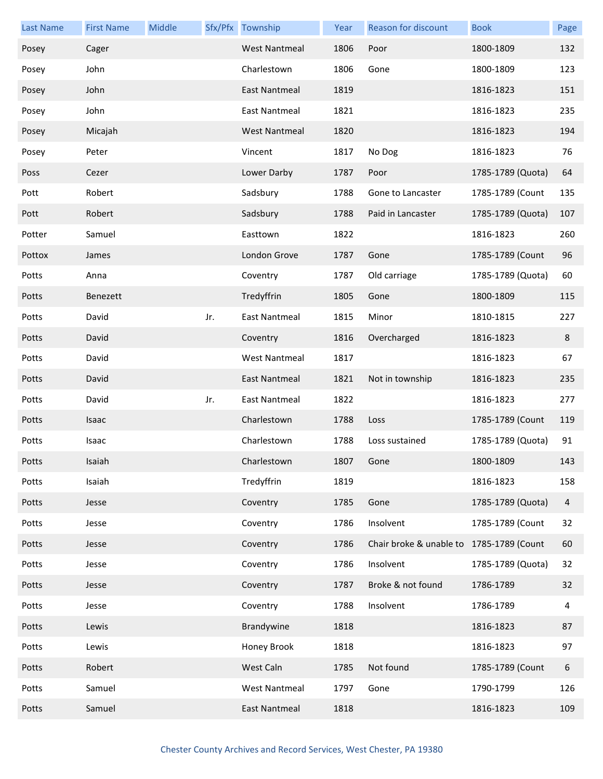| <b>Last Name</b> | <b>First Name</b> | Middle |     | Sfx/Pfx Township     | Year | Reason for discount                      | <b>Book</b>       | Page |
|------------------|-------------------|--------|-----|----------------------|------|------------------------------------------|-------------------|------|
| Posey            | Cager             |        |     | <b>West Nantmeal</b> | 1806 | Poor                                     | 1800-1809         | 132  |
| Posey            | John              |        |     | Charlestown          | 1806 | Gone                                     | 1800-1809         | 123  |
| Posey            | John              |        |     | East Nantmeal        | 1819 |                                          | 1816-1823         | 151  |
| Posey            | John              |        |     | East Nantmeal        | 1821 |                                          | 1816-1823         | 235  |
| Posey            | Micajah           |        |     | <b>West Nantmeal</b> | 1820 |                                          | 1816-1823         | 194  |
| Posey            | Peter             |        |     | Vincent              | 1817 | No Dog                                   | 1816-1823         | 76   |
| Poss             | Cezer             |        |     | Lower Darby          | 1787 | Poor                                     | 1785-1789 (Quota) | 64   |
| Pott             | Robert            |        |     | Sadsbury             | 1788 | Gone to Lancaster                        | 1785-1789 (Count  | 135  |
| Pott             | Robert            |        |     | Sadsbury             | 1788 | Paid in Lancaster                        | 1785-1789 (Quota) | 107  |
| Potter           | Samuel            |        |     | Easttown             | 1822 |                                          | 1816-1823         | 260  |
| Pottox           | James             |        |     | London Grove         | 1787 | Gone                                     | 1785-1789 (Count  | 96   |
| Potts            | Anna              |        |     | Coventry             | 1787 | Old carriage                             | 1785-1789 (Quota) | 60   |
| Potts            | Benezett          |        |     | Tredyffrin           | 1805 | Gone                                     | 1800-1809         | 115  |
| Potts            | David             |        | Jr. | <b>East Nantmeal</b> | 1815 | Minor                                    | 1810-1815         | 227  |
| Potts            | David             |        |     | Coventry             | 1816 | Overcharged                              | 1816-1823         | 8    |
| Potts            | David             |        |     | <b>West Nantmeal</b> | 1817 |                                          | 1816-1823         | 67   |
| Potts            | David             |        |     | East Nantmeal        | 1821 | Not in township                          | 1816-1823         | 235  |
| Potts            | David             |        | Jr. | <b>East Nantmeal</b> | 1822 |                                          | 1816-1823         | 277  |
| Potts            | Isaac             |        |     | Charlestown          | 1788 | Loss                                     | 1785-1789 (Count  | 119  |
| Potts            | Isaac             |        |     | Charlestown          | 1788 | Loss sustained                           | 1785-1789 (Quota) | 91   |
| Potts            | Isaiah            |        |     | Charlestown          | 1807 | Gone                                     | 1800-1809         | 143  |
| Potts            | Isaiah            |        |     | Tredyffrin           | 1819 |                                          | 1816-1823         | 158  |
| Potts            | Jesse             |        |     | Coventry             | 1785 | Gone                                     | 1785-1789 (Quota) | 4    |
| Potts            | Jesse             |        |     | Coventry             | 1786 | Insolvent                                | 1785-1789 (Count  | 32   |
| Potts            | Jesse             |        |     | Coventry             | 1786 | Chair broke & unable to 1785-1789 (Count |                   | 60   |
| Potts            | Jesse             |        |     | Coventry             | 1786 | Insolvent                                | 1785-1789 (Quota) | 32   |
| Potts            | Jesse             |        |     | Coventry             | 1787 | Broke & not found                        | 1786-1789         | 32   |
| Potts            | Jesse             |        |     | Coventry             | 1788 | Insolvent                                | 1786-1789         | 4    |
| Potts            | Lewis             |        |     | Brandywine           | 1818 |                                          | 1816-1823         | 87   |
| Potts            | Lewis             |        |     | Honey Brook          | 1818 |                                          | 1816-1823         | 97   |
| Potts            | Robert            |        |     | West Caln            | 1785 | Not found                                | 1785-1789 (Count  | 6    |
| Potts            | Samuel            |        |     | <b>West Nantmeal</b> | 1797 | Gone                                     | 1790-1799         | 126  |
| Potts            | Samuel            |        |     | <b>East Nantmeal</b> | 1818 |                                          | 1816-1823         | 109  |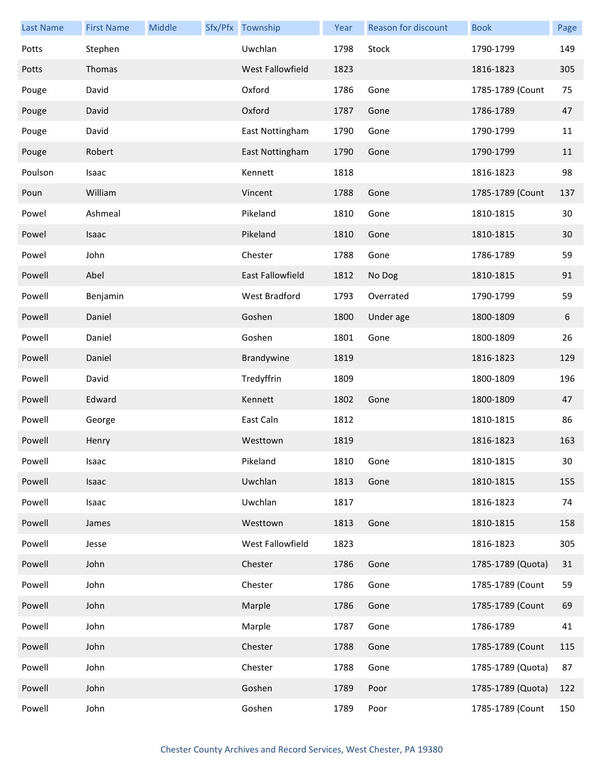| <b>Last Name</b> | <b>First Name</b> | Middle | Sfx/Pfx Township | Year | <b>Reason for discount</b> | <b>Book</b>       | Page |
|------------------|-------------------|--------|------------------|------|----------------------------|-------------------|------|
| Potts            | Stephen           |        | Uwchlan          | 1798 | Stock                      | 1790-1799         | 149  |
| Potts            | Thomas            |        | West Fallowfield | 1823 |                            | 1816-1823         | 305  |
| Pouge            | David             |        | Oxford           | 1786 | Gone                       | 1785-1789 (Count  | 75   |
| Pouge            | David             |        | Oxford           | 1787 | Gone                       | 1786-1789         | 47   |
| Pouge            | David             |        | East Nottingham  | 1790 | Gone                       | 1790-1799         | 11   |
| Pouge            | Robert            |        | East Nottingham  | 1790 | Gone                       | 1790-1799         | 11   |
| Poulson          | Isaac             |        | Kennett          | 1818 |                            | 1816-1823         | 98   |
| Poun             | William           |        | Vincent          | 1788 | Gone                       | 1785-1789 (Count  | 137  |
| Powel            | Ashmeal           |        | Pikeland         | 1810 | Gone                       | 1810-1815         | 30   |
| Powel            | Isaac             |        | Pikeland         | 1810 | Gone                       | 1810-1815         | 30   |
| Powel            | John              |        | Chester          | 1788 | Gone                       | 1786-1789         | 59   |
| Powell           | Abel              |        | East Fallowfield | 1812 | No Dog                     | 1810-1815         | 91   |
| Powell           | Benjamin          |        | West Bradford    | 1793 | Overrated                  | 1790-1799         | 59   |
| Powell           | Daniel            |        | Goshen           | 1800 | Under age                  | 1800-1809         | 6    |
| Powell           | Daniel            |        | Goshen           | 1801 | Gone                       | 1800-1809         | 26   |
| Powell           | Daniel            |        | Brandywine       | 1819 |                            | 1816-1823         | 129  |
| Powell           | David             |        | Tredyffrin       | 1809 |                            | 1800-1809         | 196  |
| Powell           | Edward            |        | Kennett          | 1802 | Gone                       | 1800-1809         | 47   |
| Powell           | George            |        | East Caln        | 1812 |                            | 1810-1815         | 86   |
| Powell           | Henry             |        | Westtown         | 1819 |                            | 1816-1823         | 163  |
| Powell           | Isaac             |        | Pikeland         | 1810 | Gone                       | 1810-1815         | 30   |
| Powell           | Isaac             |        | Uwchlan          | 1813 | Gone                       | 1810-1815         | 155  |
| Powell           | Isaac             |        | Uwchlan          | 1817 |                            | 1816-1823         | 74   |
| Powell           | James             |        | Westtown         | 1813 | Gone                       | 1810-1815         | 158  |
| Powell           | Jesse             |        | West Fallowfield | 1823 |                            | 1816-1823         | 305  |
| Powell           | John              |        | Chester          | 1786 | Gone                       | 1785-1789 (Quota) | 31   |
| Powell           | John              |        | Chester          | 1786 | Gone                       | 1785-1789 (Count  | 59   |
| Powell           | John              |        | Marple           | 1786 | Gone                       | 1785-1789 (Count  | 69   |
| Powell           | John              |        | Marple           | 1787 | Gone                       | 1786-1789         | 41   |
| Powell           | John              |        | Chester          | 1788 | Gone                       | 1785-1789 (Count  | 115  |
| Powell           | John              |        | Chester          | 1788 | Gone                       | 1785-1789 (Quota) | 87   |
| Powell           | John              |        | Goshen           | 1789 | Poor                       | 1785-1789 (Quota) | 122  |
| Powell           | John              |        | Goshen           | 1789 | Poor                       | 1785-1789 (Count  | 150  |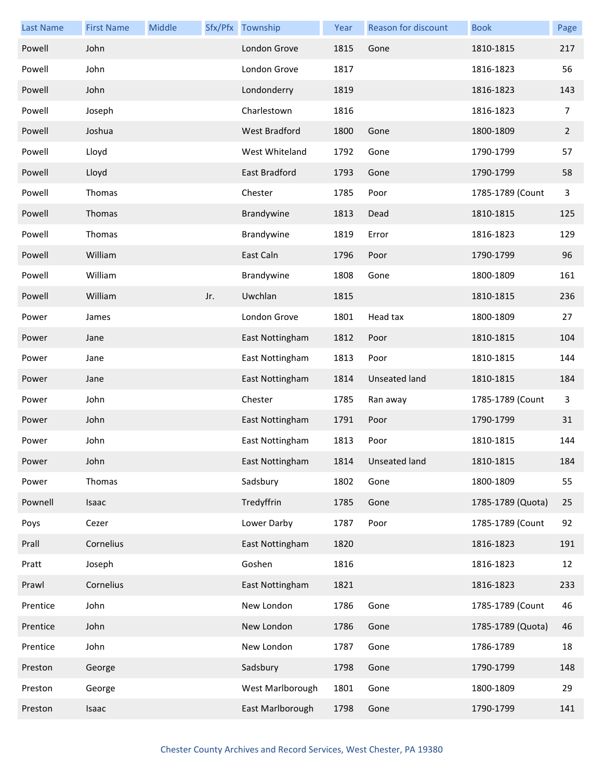| <b>Last Name</b> | <b>First Name</b> | Middle |     | Sfx/Pfx Township     | Year | Reason for discount  | <b>Book</b>       | Page           |
|------------------|-------------------|--------|-----|----------------------|------|----------------------|-------------------|----------------|
| Powell           | John              |        |     | London Grove         | 1815 | Gone                 | 1810-1815         | 217            |
| Powell           | John              |        |     | London Grove         | 1817 |                      | 1816-1823         | 56             |
| Powell           | John              |        |     | Londonderry          | 1819 |                      | 1816-1823         | 143            |
| Powell           | Joseph            |        |     | Charlestown          | 1816 |                      | 1816-1823         | 7              |
| Powell           | Joshua            |        |     | <b>West Bradford</b> | 1800 | Gone                 | 1800-1809         | $\overline{2}$ |
| Powell           | Lloyd             |        |     | West Whiteland       | 1792 | Gone                 | 1790-1799         | 57             |
| Powell           | Lloyd             |        |     | East Bradford        | 1793 | Gone                 | 1790-1799         | 58             |
| Powell           | Thomas            |        |     | Chester              | 1785 | Poor                 | 1785-1789 (Count  | 3              |
| Powell           | Thomas            |        |     | Brandywine           | 1813 | Dead                 | 1810-1815         | 125            |
| Powell           | Thomas            |        |     | Brandywine           | 1819 | Error                | 1816-1823         | 129            |
| Powell           | William           |        |     | East Caln            | 1796 | Poor                 | 1790-1799         | 96             |
| Powell           | William           |        |     | Brandywine           | 1808 | Gone                 | 1800-1809         | 161            |
| Powell           | William           |        | Jr. | Uwchlan              | 1815 |                      | 1810-1815         | 236            |
| Power            | James             |        |     | London Grove         | 1801 | Head tax             | 1800-1809         | 27             |
| Power            | Jane              |        |     | East Nottingham      | 1812 | Poor                 | 1810-1815         | 104            |
| Power            | Jane              |        |     | East Nottingham      | 1813 | Poor                 | 1810-1815         | 144            |
| Power            | Jane              |        |     | East Nottingham      | 1814 | <b>Unseated land</b> | 1810-1815         | 184            |
| Power            | John              |        |     | Chester              | 1785 | Ran away             | 1785-1789 (Count  | $\mathbf{3}$   |
| Power            | John              |        |     | East Nottingham      | 1791 | Poor                 | 1790-1799         | 31             |
| Power            | John              |        |     | East Nottingham      | 1813 | Poor                 | 1810-1815         | 144            |
| Power            | John              |        |     | East Nottingham      |      | 1814 Unseated land   | 1810-1815         | 184            |
| Power            | Thomas            |        |     | Sadsbury             | 1802 | Gone                 | 1800-1809         | 55             |
| Pownell          | Isaac             |        |     | Tredyffrin           | 1785 | Gone                 | 1785-1789 (Quota) | 25             |
| Poys             | Cezer             |        |     | Lower Darby          | 1787 | Poor                 | 1785-1789 (Count  | 92             |
| Prall            | Cornelius         |        |     | East Nottingham      | 1820 |                      | 1816-1823         | 191            |
| Pratt            | Joseph            |        |     | Goshen               | 1816 |                      | 1816-1823         | 12             |
| Prawl            | Cornelius         |        |     | East Nottingham      | 1821 |                      | 1816-1823         | 233            |
| Prentice         | John              |        |     | New London           | 1786 | Gone                 | 1785-1789 (Count  | 46             |
| Prentice         | John              |        |     | New London           | 1786 | Gone                 | 1785-1789 (Quota) | 46             |
| Prentice         | John              |        |     | New London           | 1787 | Gone                 | 1786-1789         | 18             |
| Preston          | George            |        |     | Sadsbury             | 1798 | Gone                 | 1790-1799         | 148            |
| Preston          | George            |        |     | West Marlborough     | 1801 | Gone                 | 1800-1809         | 29             |
| Preston          | Isaac             |        |     | East Marlborough     | 1798 | Gone                 | 1790-1799         | 141            |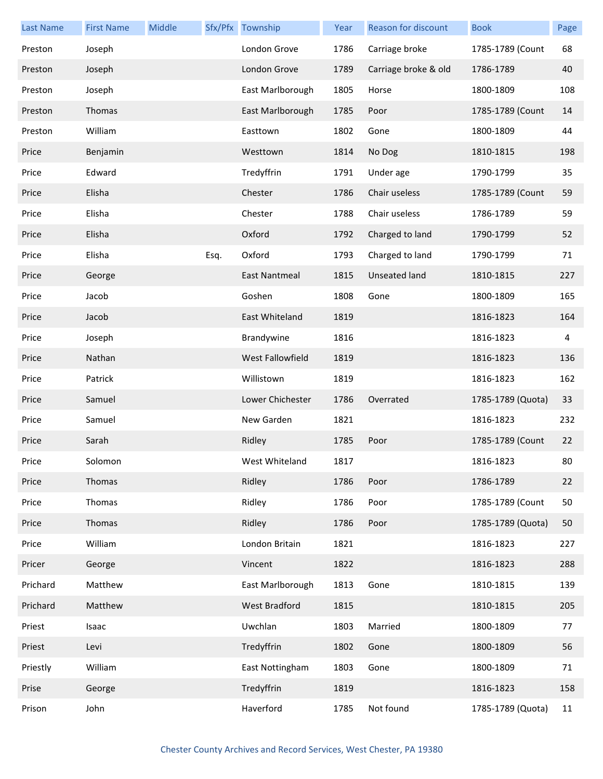| <b>Last Name</b> | <b>First Name</b> | Middle |      | Sfx/Pfx Township     | Year | Reason for discount  | <b>Book</b>       | Page |
|------------------|-------------------|--------|------|----------------------|------|----------------------|-------------------|------|
| Preston          | Joseph            |        |      | London Grove         | 1786 | Carriage broke       | 1785-1789 (Count  | 68   |
| Preston          | Joseph            |        |      | London Grove         | 1789 | Carriage broke & old | 1786-1789         | 40   |
| Preston          | Joseph            |        |      | East Marlborough     | 1805 | Horse                | 1800-1809         | 108  |
| Preston          | Thomas            |        |      | East Marlborough     | 1785 | Poor                 | 1785-1789 (Count  | 14   |
| Preston          | William           |        |      | Easttown             | 1802 | Gone                 | 1800-1809         | 44   |
| Price            | Benjamin          |        |      | Westtown             | 1814 | No Dog               | 1810-1815         | 198  |
| Price            | Edward            |        |      | Tredyffrin           | 1791 | Under age            | 1790-1799         | 35   |
| Price            | Elisha            |        |      | Chester              | 1786 | Chair useless        | 1785-1789 (Count  | 59   |
| Price            | Elisha            |        |      | Chester              | 1788 | Chair useless        | 1786-1789         | 59   |
| Price            | Elisha            |        |      | Oxford               | 1792 | Charged to land      | 1790-1799         | 52   |
| Price            | Elisha            |        | Esq. | Oxford               | 1793 | Charged to land      | 1790-1799         | 71   |
| Price            | George            |        |      | <b>East Nantmeal</b> | 1815 | <b>Unseated land</b> | 1810-1815         | 227  |
| Price            | Jacob             |        |      | Goshen               | 1808 | Gone                 | 1800-1809         | 165  |
| Price            | Jacob             |        |      | East Whiteland       | 1819 |                      | 1816-1823         | 164  |
| Price            | Joseph            |        |      | Brandywine           | 1816 |                      | 1816-1823         | 4    |
| Price            | Nathan            |        |      | West Fallowfield     | 1819 |                      | 1816-1823         | 136  |
| Price            | Patrick           |        |      | Willistown           | 1819 |                      | 1816-1823         | 162  |
| Price            | Samuel            |        |      | Lower Chichester     | 1786 | Overrated            | 1785-1789 (Quota) | 33   |
| Price            | Samuel            |        |      | New Garden           | 1821 |                      | 1816-1823         | 232  |
| Price            | Sarah             |        |      | Ridley               | 1785 | Poor                 | 1785-1789 (Count  | 22   |
| Price            | Solomon           |        |      | West Whiteland       | 1817 |                      | 1816-1823         | 80   |
| Price            | Thomas            |        |      | Ridley               | 1786 | Poor                 | 1786-1789         | 22   |
| Price            | Thomas            |        |      | Ridley               | 1786 | Poor                 | 1785-1789 (Count  | 50   |
| Price            | Thomas            |        |      | Ridley               | 1786 | Poor                 | 1785-1789 (Quota) | 50   |
| Price            | William           |        |      | London Britain       | 1821 |                      | 1816-1823         | 227  |
| Pricer           | George            |        |      | Vincent              | 1822 |                      | 1816-1823         | 288  |
| Prichard         | Matthew           |        |      | East Marlborough     | 1813 | Gone                 | 1810-1815         | 139  |
| Prichard         | Matthew           |        |      | <b>West Bradford</b> | 1815 |                      | 1810-1815         | 205  |
| Priest           | Isaac             |        |      | Uwchlan              | 1803 | Married              | 1800-1809         | 77   |
| Priest           | Levi              |        |      | Tredyffrin           | 1802 | Gone                 | 1800-1809         | 56   |
| Priestly         | William           |        |      | East Nottingham      | 1803 | Gone                 | 1800-1809         | 71   |
| Prise            | George            |        |      | Tredyffrin           | 1819 |                      | 1816-1823         | 158  |
| Prison           | John              |        |      | Haverford            | 1785 | Not found            | 1785-1789 (Quota) | 11   |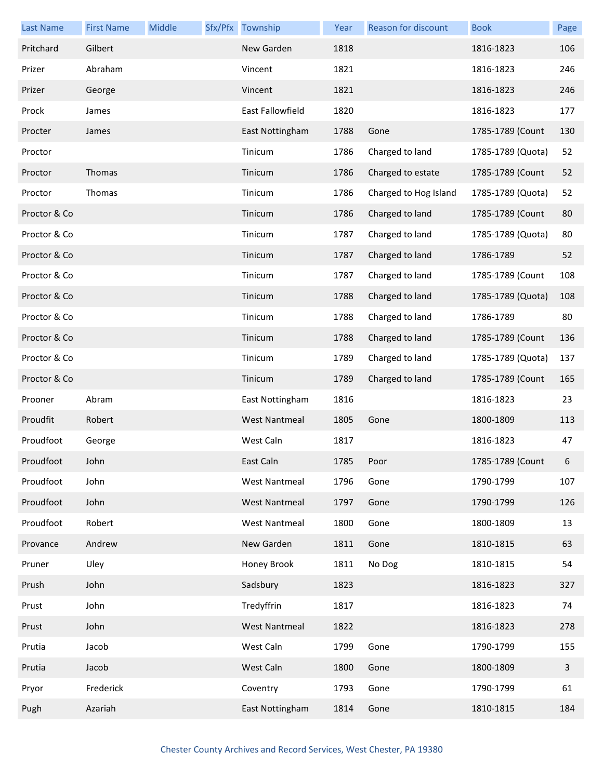| <b>Last Name</b> | <b>First Name</b> | Middle | Sfx/Pfx Township        | Year | <b>Reason for discount</b> | <b>Book</b>       | Page         |
|------------------|-------------------|--------|-------------------------|------|----------------------------|-------------------|--------------|
| Pritchard        | Gilbert           |        | New Garden              | 1818 |                            | 1816-1823         | 106          |
| Prizer           | Abraham           |        | Vincent                 | 1821 |                            | 1816-1823         | 246          |
| Prizer           | George            |        | Vincent                 | 1821 |                            | 1816-1823         | 246          |
| Prock            | James             |        | <b>East Fallowfield</b> | 1820 |                            | 1816-1823         | 177          |
| Procter          | James             |        | East Nottingham         | 1788 | Gone                       | 1785-1789 (Count  | 130          |
| Proctor          |                   |        | Tinicum                 | 1786 | Charged to land            | 1785-1789 (Quota) | 52           |
| Proctor          | Thomas            |        | Tinicum                 | 1786 | Charged to estate          | 1785-1789 (Count  | 52           |
| Proctor          | Thomas            |        | Tinicum                 | 1786 | Charged to Hog Island      | 1785-1789 (Quota) | 52           |
| Proctor & Co     |                   |        | Tinicum                 | 1786 | Charged to land            | 1785-1789 (Count  | 80           |
| Proctor & Co     |                   |        | Tinicum                 | 1787 | Charged to land            | 1785-1789 (Quota) | 80           |
| Proctor & Co     |                   |        | Tinicum                 | 1787 | Charged to land            | 1786-1789         | 52           |
| Proctor & Co     |                   |        | Tinicum                 | 1787 | Charged to land            | 1785-1789 (Count  | 108          |
| Proctor & Co     |                   |        | Tinicum                 | 1788 | Charged to land            | 1785-1789 (Quota) | 108          |
| Proctor & Co     |                   |        | Tinicum                 | 1788 | Charged to land            | 1786-1789         | 80           |
| Proctor & Co     |                   |        | Tinicum                 | 1788 | Charged to land            | 1785-1789 (Count  | 136          |
| Proctor & Co     |                   |        | Tinicum                 | 1789 | Charged to land            | 1785-1789 (Quota) | 137          |
| Proctor & Co     |                   |        | Tinicum                 | 1789 | Charged to land            | 1785-1789 (Count  | 165          |
| Prooner          | Abram             |        | East Nottingham         | 1816 |                            | 1816-1823         | 23           |
| Proudfit         | Robert            |        | <b>West Nantmeal</b>    | 1805 | Gone                       | 1800-1809         | 113          |
| Proudfoot        | George            |        | West Caln               | 1817 |                            | 1816-1823         | 47           |
| Proudfoot        | John              |        | East Caln               | 1785 | Poor                       | 1785-1789 (Count  | 6            |
| Proudfoot        | John              |        | <b>West Nantmeal</b>    | 1796 | Gone                       | 1790-1799         | 107          |
| Proudfoot        | John              |        | <b>West Nantmeal</b>    | 1797 | Gone                       | 1790-1799         | 126          |
| Proudfoot        | Robert            |        | <b>West Nantmeal</b>    | 1800 | Gone                       | 1800-1809         | 13           |
| Provance         | Andrew            |        | New Garden              | 1811 | Gone                       | 1810-1815         | 63           |
| Pruner           | Uley              |        | Honey Brook             | 1811 | No Dog                     | 1810-1815         | 54           |
| Prush            | John              |        | Sadsbury                | 1823 |                            | 1816-1823         | 327          |
| Prust            | John              |        | Tredyffrin              | 1817 |                            | 1816-1823         | 74           |
| Prust            | John              |        | <b>West Nantmeal</b>    | 1822 |                            | 1816-1823         | 278          |
| Prutia           | Jacob             |        | West Caln               | 1799 | Gone                       | 1790-1799         | 155          |
| Prutia           | Jacob             |        | West Caln               | 1800 | Gone                       | 1800-1809         | $\mathbf{3}$ |
| Pryor            | Frederick         |        | Coventry                | 1793 | Gone                       | 1790-1799         | 61           |
| Pugh             | Azariah           |        | East Nottingham         | 1814 | Gone                       | 1810-1815         | 184          |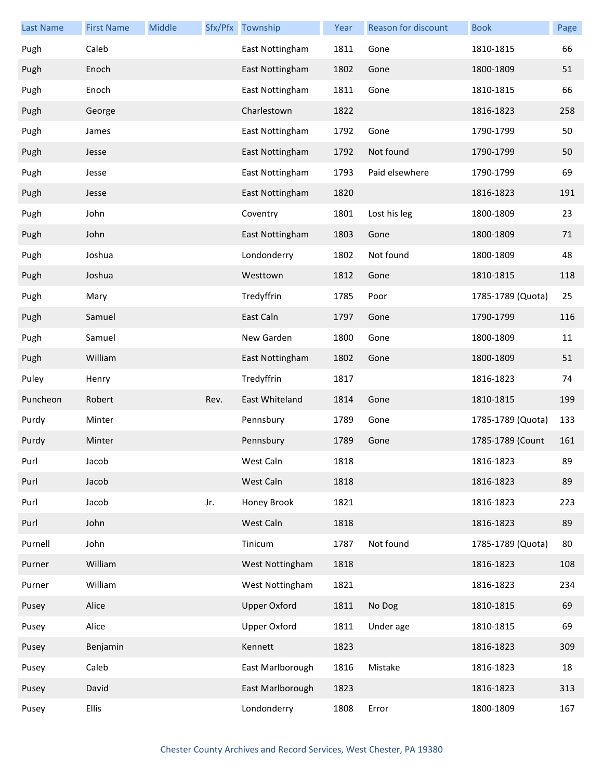| <b>Last Name</b> | <b>First Name</b> | Middle |      | Sfx/Pfx Township    | Year | Reason for discount | <b>Book</b>       | Page |
|------------------|-------------------|--------|------|---------------------|------|---------------------|-------------------|------|
| Pugh             | Caleb             |        |      | East Nottingham     | 1811 | Gone                | 1810-1815         | 66   |
| Pugh             | Enoch             |        |      | East Nottingham     | 1802 | Gone                | 1800-1809         | 51   |
| Pugh             | Enoch             |        |      | East Nottingham     | 1811 | Gone                | 1810-1815         | 66   |
| Pugh             | George            |        |      | Charlestown         | 1822 |                     | 1816-1823         | 258  |
| Pugh             | James             |        |      | East Nottingham     | 1792 | Gone                | 1790-1799         | 50   |
| Pugh             | Jesse             |        |      | East Nottingham     | 1792 | Not found           | 1790-1799         | 50   |
| Pugh             | Jesse             |        |      | East Nottingham     | 1793 | Paid elsewhere      | 1790-1799         | 69   |
| Pugh             | Jesse             |        |      | East Nottingham     | 1820 |                     | 1816-1823         | 191  |
| Pugh             | John              |        |      | Coventry            | 1801 | Lost his leg        | 1800-1809         | 23   |
| Pugh             | John              |        |      | East Nottingham     | 1803 | Gone                | 1800-1809         | 71   |
| Pugh             | Joshua            |        |      | Londonderry         | 1802 | Not found           | 1800-1809         | 48   |
| Pugh             | Joshua            |        |      | Westtown            | 1812 | Gone                | 1810-1815         | 118  |
| Pugh             | Mary              |        |      | Tredyffrin          | 1785 | Poor                | 1785-1789 (Quota) | 25   |
| Pugh             | Samuel            |        |      | East Caln           | 1797 | Gone                | 1790-1799         | 116  |
| Pugh             | Samuel            |        |      | New Garden          | 1800 | Gone                | 1800-1809         | 11   |
| Pugh             | William           |        |      | East Nottingham     | 1802 | Gone                | 1800-1809         | 51   |
| Puley            | Henry             |        |      | Tredyffrin          | 1817 |                     | 1816-1823         | 74   |
| Puncheon         | Robert            |        | Rev. | East Whiteland      | 1814 | Gone                | 1810-1815         | 199  |
| Purdy            | Minter            |        |      | Pennsbury           | 1789 | Gone                | 1785-1789 (Quota) | 133  |
| Purdy            | Minter            |        |      | Pennsbury           | 1789 | Gone                | 1785-1789 (Count  | 161  |
| Purl             | Jacob             |        |      | West Caln           | 1818 |                     | 1816-1823         | 89   |
| Purl             | Jacob             |        |      | West Caln           | 1818 |                     | 1816-1823         | 89   |
| Purl             | Jacob             |        | Jr.  | Honey Brook         | 1821 |                     | 1816-1823         | 223  |
| Purl             | John              |        |      | West Caln           | 1818 |                     | 1816-1823         | 89   |
| Purnell          | John              |        |      | Tinicum             | 1787 | Not found           | 1785-1789 (Quota) | 80   |
| Purner           | William           |        |      | West Nottingham     | 1818 |                     | 1816-1823         | 108  |
| Purner           | William           |        |      | West Nottingham     | 1821 |                     | 1816-1823         | 234  |
| Pusey            | Alice             |        |      | <b>Upper Oxford</b> | 1811 | No Dog              | 1810-1815         | 69   |
| Pusey            | Alice             |        |      | <b>Upper Oxford</b> | 1811 | Under age           | 1810-1815         | 69   |
| Pusey            | Benjamin          |        |      | Kennett             | 1823 |                     | 1816-1823         | 309  |
| Pusey            | Caleb             |        |      | East Marlborough    | 1816 | Mistake             | 1816-1823         | 18   |
| Pusey            | David             |        |      | East Marlborough    | 1823 |                     | 1816-1823         | 313  |
| Pusey            | <b>Ellis</b>      |        |      | Londonderry         | 1808 | Error               | 1800-1809         | 167  |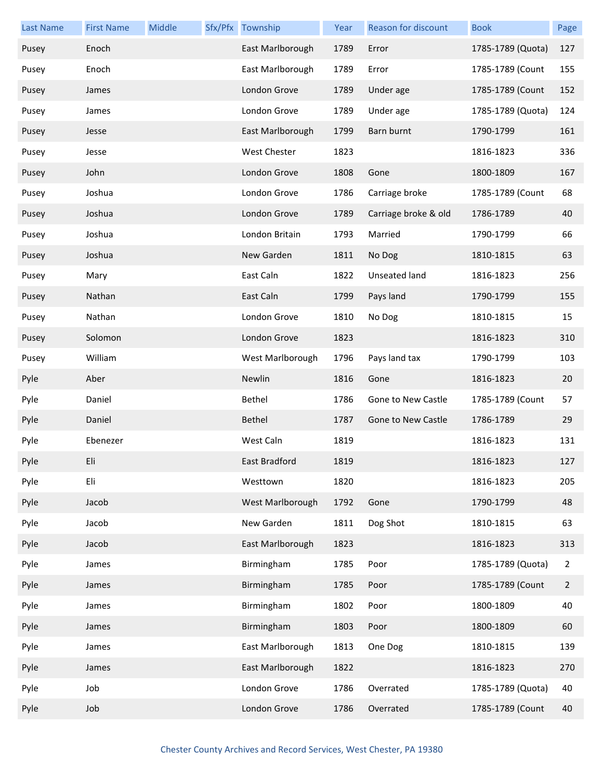| <b>Last Name</b> | <b>First Name</b> | Middle | Sfx/Pfx Township | Year | Reason for discount  | <b>Book</b>       | Page           |
|------------------|-------------------|--------|------------------|------|----------------------|-------------------|----------------|
| Pusey            | Enoch             |        | East Marlborough | 1789 | Error                | 1785-1789 (Quota) | 127            |
| Pusey            | Enoch             |        | East Marlborough | 1789 | Error                | 1785-1789 (Count  | 155            |
| Pusey            | James             |        | London Grove     | 1789 | Under age            | 1785-1789 (Count  | 152            |
| Pusey            | James             |        | London Grove     | 1789 | Under age            | 1785-1789 (Quota) | 124            |
| Pusey            | Jesse             |        | East Marlborough | 1799 | Barn burnt           | 1790-1799         | 161            |
| Pusey            | Jesse             |        | West Chester     | 1823 |                      | 1816-1823         | 336            |
| Pusey            | John              |        | London Grove     | 1808 | Gone                 | 1800-1809         | 167            |
| Pusey            | Joshua            |        | London Grove     | 1786 | Carriage broke       | 1785-1789 (Count  | 68             |
| Pusey            | Joshua            |        | London Grove     | 1789 | Carriage broke & old | 1786-1789         | 40             |
| Pusey            | Joshua            |        | London Britain   | 1793 | Married              | 1790-1799         | 66             |
| Pusey            | Joshua            |        | New Garden       | 1811 | No Dog               | 1810-1815         | 63             |
| Pusey            | Mary              |        | East Caln        | 1822 | Unseated land        | 1816-1823         | 256            |
| Pusey            | Nathan            |        | East Caln        | 1799 | Pays land            | 1790-1799         | 155            |
| Pusey            | Nathan            |        | London Grove     | 1810 | No Dog               | 1810-1815         | 15             |
| Pusey            | Solomon           |        | London Grove     | 1823 |                      | 1816-1823         | 310            |
| Pusey            | William           |        | West Marlborough | 1796 | Pays land tax        | 1790-1799         | 103            |
| Pyle             | Aber              |        | Newlin           | 1816 | Gone                 | 1816-1823         | 20             |
| Pyle             | Daniel            |        | Bethel           | 1786 | Gone to New Castle   | 1785-1789 (Count  | 57             |
| Pyle             | Daniel            |        | Bethel           | 1787 | Gone to New Castle   | 1786-1789         | 29             |
| Pyle             | Ebenezer          |        | West Caln        | 1819 |                      | 1816-1823         | 131            |
| Pyle             | Eli               |        | East Bradford    | 1819 |                      | 1816-1823         | 127            |
| Pyle             | Eli               |        | Westtown         | 1820 |                      | 1816-1823         | 205            |
| Pyle             | Jacob             |        | West Marlborough | 1792 | Gone                 | 1790-1799         | 48             |
| Pyle             | Jacob             |        | New Garden       | 1811 | Dog Shot             | 1810-1815         | 63             |
| Pyle             | Jacob             |        | East Marlborough | 1823 |                      | 1816-1823         | 313            |
| Pyle             | James             |        | Birmingham       | 1785 | Poor                 | 1785-1789 (Quota) | $\overline{2}$ |
| Pyle             | James             |        | Birmingham       | 1785 | Poor                 | 1785-1789 (Count  | $\overline{2}$ |
| Pyle             | James             |        | Birmingham       | 1802 | Poor                 | 1800-1809         | 40             |
| Pyle             | James             |        | Birmingham       | 1803 | Poor                 | 1800-1809         | 60             |
| Pyle             | James             |        | East Marlborough | 1813 | One Dog              | 1810-1815         | 139            |
| Pyle             | James             |        | East Marlborough | 1822 |                      | 1816-1823         | 270            |
| Pyle             | Job               |        | London Grove     | 1786 | Overrated            | 1785-1789 (Quota) | 40             |
| Pyle             | Job               |        | London Grove     | 1786 | Overrated            | 1785-1789 (Count  | 40             |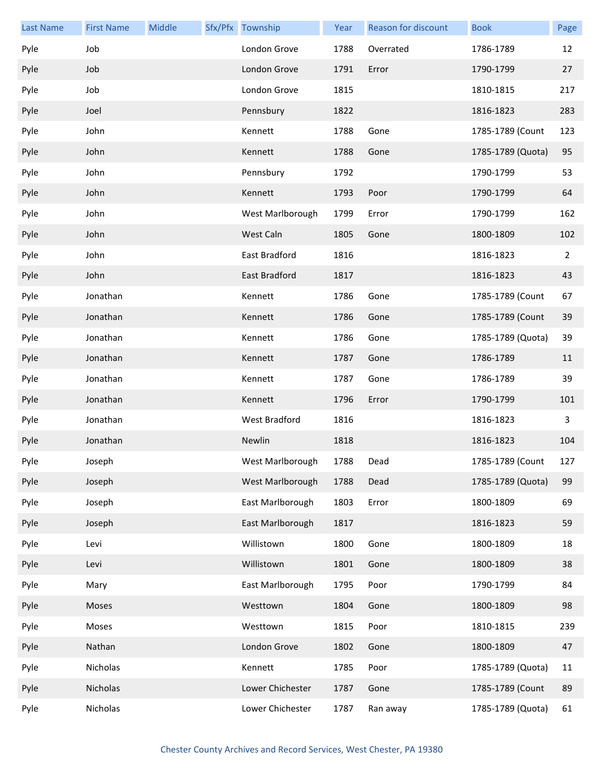| <b>Last Name</b> | <b>First Name</b> | Middle | Sfx/Pfx Township | Year | <b>Reason for discount</b> | <b>Book</b>       | Page           |
|------------------|-------------------|--------|------------------|------|----------------------------|-------------------|----------------|
| Pyle             | Job               |        | London Grove     | 1788 | Overrated                  | 1786-1789         | 12             |
| Pyle             | Job               |        | London Grove     | 1791 | Error                      | 1790-1799         | 27             |
| Pyle             | Job               |        | London Grove     | 1815 |                            | 1810-1815         | 217            |
| Pyle             | Joel              |        | Pennsbury        | 1822 |                            | 1816-1823         | 283            |
| Pyle             | John              |        | Kennett          | 1788 | Gone                       | 1785-1789 (Count  | 123            |
| Pyle             | John              |        | Kennett          | 1788 | Gone                       | 1785-1789 (Quota) | 95             |
| Pyle             | John              |        | Pennsbury        | 1792 |                            | 1790-1799         | 53             |
| Pyle             | John              |        | Kennett          | 1793 | Poor                       | 1790-1799         | 64             |
| Pyle             | John              |        | West Marlborough | 1799 | Error                      | 1790-1799         | 162            |
| Pyle             | John              |        | West Caln        | 1805 | Gone                       | 1800-1809         | 102            |
| Pyle             | John              |        | East Bradford    | 1816 |                            | 1816-1823         | $\overline{2}$ |
| Pyle             | John              |        | East Bradford    | 1817 |                            | 1816-1823         | 43             |
| Pyle             | Jonathan          |        | Kennett          | 1786 | Gone                       | 1785-1789 (Count  | 67             |
| Pyle             | Jonathan          |        | Kennett          | 1786 | Gone                       | 1785-1789 (Count  | 39             |
| Pyle             | Jonathan          |        | Kennett          | 1786 | Gone                       | 1785-1789 (Quota) | 39             |
| Pyle             | Jonathan          |        | Kennett          | 1787 | Gone                       | 1786-1789         | 11             |
| Pyle             | Jonathan          |        | Kennett          | 1787 | Gone                       | 1786-1789         | 39             |
| Pyle             | Jonathan          |        | Kennett          | 1796 | Error                      | 1790-1799         | 101            |
| Pyle             | Jonathan          |        | West Bradford    | 1816 |                            | 1816-1823         | 3              |
| Pyle             | Jonathan          |        | Newlin           | 1818 |                            | 1816-1823         | 104            |
| Pyle             | Joseph            |        | West Marlborough | 1788 | Dead                       | 1785-1789 (Count  | 127            |
| Pyle             | Joseph            |        | West Marlborough | 1788 | Dead                       | 1785-1789 (Quota) | 99             |
| Pyle             | Joseph            |        | East Marlborough | 1803 | Error                      | 1800-1809         | 69             |
| Pyle             | Joseph            |        | East Marlborough | 1817 |                            | 1816-1823         | 59             |
| Pyle             | Levi              |        | Willistown       | 1800 | Gone                       | 1800-1809         | 18             |
| Pyle             | Levi              |        | Willistown       | 1801 | Gone                       | 1800-1809         | 38             |
| Pyle             | Mary              |        | East Marlborough | 1795 | Poor                       | 1790-1799         | 84             |
| Pyle             | Moses             |        | Westtown         | 1804 | Gone                       | 1800-1809         | 98             |
| Pyle             | Moses             |        | Westtown         | 1815 | Poor                       | 1810-1815         | 239            |
| Pyle             | Nathan            |        | London Grove     | 1802 | Gone                       | 1800-1809         | 47             |
| Pyle             | Nicholas          |        | Kennett          | 1785 | Poor                       | 1785-1789 (Quota) | 11             |
| Pyle             | Nicholas          |        | Lower Chichester | 1787 | Gone                       | 1785-1789 (Count  | 89             |
| Pyle             | Nicholas          |        | Lower Chichester | 1787 | Ran away                   | 1785-1789 (Quota) | 61             |